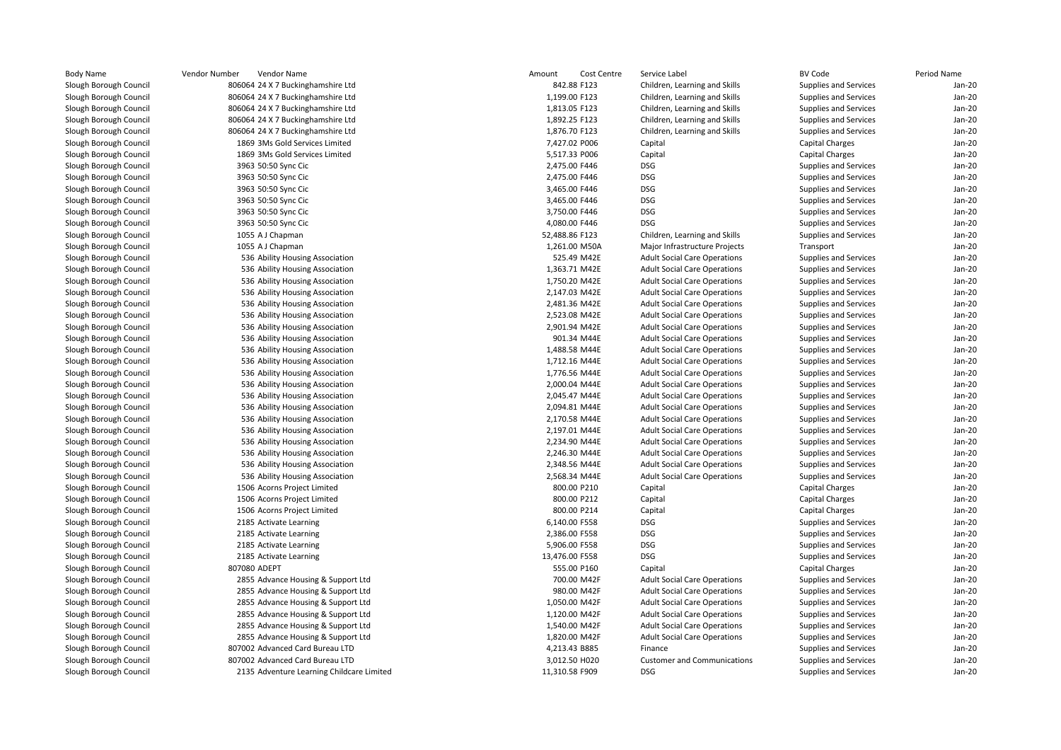|               | Vendor Number<br>Vendor Name                     | Amount<br>Cost Centre           | Service Label                       | BV Code                      | Period Name |
|---------------|--------------------------------------------------|---------------------------------|-------------------------------------|------------------------------|-------------|
| rough Council | 806064 24 X 7 Buckinghamshire Ltd                | 842.88 F123                     | Children, Learning and Skills       | <b>Supplies and Services</b> | Jan-20      |
| ough Council  | 806064 24 X 7 Buckinghamshire Ltd                | 1,199.00 F123                   | Children, Learning and Skills       | Supplies and Services        | Jan-20      |
| ough Council  | 806064 24 X 7 Buckinghamshire Ltd                | 1,813.05 F123                   | Children, Learning and Skills       | Supplies and Services        | Jan-20      |
| ough Council  | 806064 24 X 7 Buckinghamshire Ltd                | 1,892.25 F123                   | Children, Learning and Skills       | Supplies and Services        | Jan-20      |
| ough Council  | 806064 24 X 7 Buckinghamshire Ltd                | 1,876.70 F123                   | Children, Learning and Skills       | Supplies and Services        | Jan-20      |
| rough Council | 1869 3Ms Gold Services Limited                   | 7,427.02 P006                   | Capital                             | <b>Capital Charges</b>       | Jan-20      |
| ough Council  | 1869 3Ms Gold Services Limited                   | 5,517.33 P006                   | Capital                             | <b>Capital Charges</b>       | Jan-20      |
| ough Council  | 3963 50:50 Sync Cic                              | 2,475.00 F446                   | <b>DSG</b>                          | Supplies and Services        | Jan-20      |
| ough Council  | 3963 50:50 Sync Cic                              | 2,475.00 F446                   | <b>DSG</b>                          | Supplies and Services        | Jan-20      |
| ough Council  | 3963 50:50 Sync Cic                              | 3,465.00 F446                   | <b>DSG</b>                          | Supplies and Services        | Jan-20      |
| rough Council | 3963 50:50 Sync Cic                              | 3,465.00 F446                   | <b>DSG</b>                          | <b>Supplies and Services</b> | Jan-20      |
| ough Council  | 3963 50:50 Sync Cic                              | 3,750.00 F446                   | <b>DSG</b>                          | Supplies and Services        | Jan-20      |
| ough Council  | 3963 50:50 Sync Cic                              | 4,080.00 F446                   | <b>DSG</b>                          | Supplies and Services        | Jan-20      |
| ough Council  | 1055 A J Chapman                                 | 52,488.86 F123                  | Children, Learning and Skills       | Supplies and Services        | Jan-20      |
| ough Council  | 1055 A J Chapman                                 | 1,261.00 M50A                   | Major Infrastructure Projects       | Transport                    | Jan-20      |
| ough Council  | 536 Ability Housing Association                  | 525.49 M42E                     | <b>Adult Social Care Operations</b> | Supplies and Services        | Jan-20      |
| rough Council | 536 Ability Housing Association                  | 1,363.71 M42E                   | <b>Adult Social Care Operations</b> | Supplies and Services        | Jan-20      |
| rough Council | 536 Ability Housing Association                  | 1,750.20 M42E                   | <b>Adult Social Care Operations</b> | Supplies and Services        | $Jan-2C$    |
| ough Council  | 536 Ability Housing Association                  | 2,147.03 M42E                   | <b>Adult Social Care Operations</b> | Supplies and Services        | Jan-20      |
| ough Council  | 536 Ability Housing Association                  | 2,481.36 M42E                   | <b>Adult Social Care Operations</b> | Supplies and Services        | Jan-20      |
| ough Council  | 536 Ability Housing Association                  | 2,523.08 M42E                   | <b>Adult Social Care Operations</b> | Supplies and Services        | Jan-20      |
| ough Council  | 536 Ability Housing Association                  | 2,901.94 M42E                   | <b>Adult Social Care Operations</b> | Supplies and Services        | Jan-20      |
| ough Council  | 536 Ability Housing Association                  | 901.34 M44E                     | <b>Adult Social Care Operations</b> | Supplies and Services        | Jan-20      |
| ough Council  | 536 Ability Housing Association                  | 1,488.58 M44E                   | <b>Adult Social Care Operations</b> | Supplies and Services        | Jan-20      |
| rough Council | 536 Ability Housing Association                  | 1,712.16 M44E                   | <b>Adult Social Care Operations</b> | Supplies and Services        | Jan-20      |
| ough Council  | 536 Ability Housing Association                  | 1,776.56 M44E                   | <b>Adult Social Care Operations</b> | Supplies and Services        | Jan-20      |
| ough Council  | 536 Ability Housing Association                  | 2,000.04 M44E                   | <b>Adult Social Care Operations</b> | Supplies and Services        | Jan-20      |
| rough Council | 536 Ability Housing Association                  | 2,045.47 M44E                   | <b>Adult Social Care Operations</b> | Supplies and Services        | Jan-20      |
| ough Council  | 536 Ability Housing Association                  | 2,094.81 M44E                   | <b>Adult Social Care Operations</b> | Supplies and Services        | Jan-20      |
| ough Council  | 536 Ability Housing Association                  | 2,170.58 M44E                   | <b>Adult Social Care Operations</b> | Supplies and Services        | Jan-20      |
| ough Council  | 536 Ability Housing Association                  | 2,197.01 M44E                   | <b>Adult Social Care Operations</b> | Supplies and Services        | $Jan-2C$    |
| rough Council | 536 Ability Housing Association                  | 2,234.90 M44E                   | <b>Adult Social Care Operations</b> | Supplies and Services        | Jan-20      |
| ough Council  | 536 Ability Housing Association                  | 2,246.30 M44E                   | <b>Adult Social Care Operations</b> | Supplies and Services        | Jan-20      |
| ough Council  | 536 Ability Housing Association                  | 2,348.56 M44E                   | <b>Adult Social Care Operations</b> | Supplies and Services        | Jan-20      |
| ough Council  | 536 Ability Housing Association                  | 2,568.34 M44E                   | <b>Adult Social Care Operations</b> | Supplies and Services        | Jan-20      |
| ough Council  | 1506 Acorns Project Limited                      | 800.00 P210                     | Capital                             | <b>Capital Charges</b>       | Jan-20      |
| ough Council  | 1506 Acorns Project Limited                      | 800.00 P212                     | Capital                             | <b>Capital Charges</b>       | Jan-20      |
| ough Council  | 1506 Acorns Project Limited                      | 800.00 P214                     | Capital                             | <b>Capital Charges</b>       | Jan-20      |
| rough Council | 2185 Activate Learning                           | 6,140.00 F558                   | DSG                                 | Supplies and Services        | Jan-20      |
| ough Council  |                                                  | 2,386.00 F558                   | <b>DSG</b>                          |                              | Jan-20      |
|               | 2185 Activate Learning                           |                                 | <b>DSG</b>                          | Supplies and Services        | Jan-20      |
| ough Council  | 2185 Activate Learning<br>2185 Activate Learning | 5,906.00 F558<br>13,476.00 F558 | DSG                                 | Supplies and Services        | Jan-20      |
| rough Council | 807080 ADEPT                                     |                                 |                                     | Supplies and Services        |             |
| ough Council  |                                                  | 555.00 P160                     | Capital                             | <b>Capital Charges</b>       | Jan-20      |
| ough Council  | 2855 Advance Housing & Support Ltd               | 700.00 M42F                     | <b>Adult Social Care Operations</b> | Supplies and Services        | Jan-20      |
| rough Council | 2855 Advance Housing & Support Ltd               | 980.00 M42F                     | <b>Adult Social Care Operations</b> | Supplies and Services        | Jan-20      |
| rough Council | 2855 Advance Housing & Support Ltd               | 1,050.00 M42F                   | <b>Adult Social Care Operations</b> | Supplies and Services        | Jan-20      |
| rough Council | 2855 Advance Housing & Support Ltd               | 1,120.00 M42F                   | <b>Adult Social Care Operations</b> | Supplies and Services        | $Jan-2C$    |
| ough Council  | 2855 Advance Housing & Support Ltd               | 1,540.00 M42F                   | <b>Adult Social Care Operations</b> | Supplies and Services        | Jan-20      |
| rough Council | 2855 Advance Housing & Support Ltd               | 1,820.00 M42F                   | <b>Adult Social Care Operations</b> | Supplies and Services        | Jan-20      |
| ough Council  | 807002 Advanced Card Bureau LTD                  | 4,213.43 B885                   | Finance                             | Supplies and Services        | Jan-20      |
| ough Council  | 807002 Advanced Card Bureau LTD                  | 3,012.50 H020                   | <b>Customer and Communications</b>  | Supplies and Services        | Jan-20      |
| rough Council | 2135 Adventure Learning Childcare Limited        | 11,310.58 F909                  | <b>DSG</b>                          | Supplies and Services        | Jan-20      |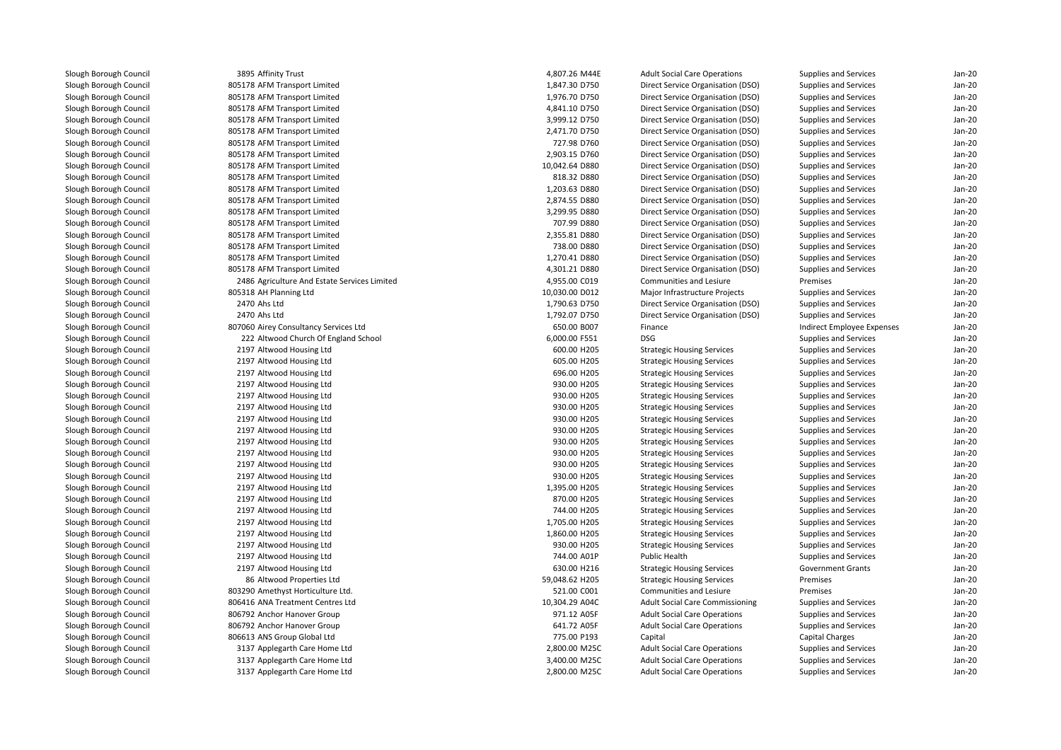3895 Affinity Trust 805178 AFM Transport Limited 805178 AFM Transport Limited 805178 AFM Transport Limited 805178 AFM Transport Limited 805178 AFM Transport Limited 805178 AFM Transport Limited 805178 AFM Transport Limited 805178 AFM Transport Limited 805178 AFM Transport Limited 805178 AFM Transport Limited 805178 AFM Transport Limited 805178 AFM Transport Limited 805178 AFM Transport Limited 805178 AFM Transport Limited 805178 AFM Transport Limited 805178 AFM Transport Limited 805178 AFM Transport Limited 2486 Agriculture And Estate Services Limited 805318 AH Planning Ltd 2470 Ahs Ltd 2470 Ahs Ltd 807060 Airey Consultancy Services Ltd1 **222 Altwood Church Of England School** 6,000.00 F551 **DSG**  2197 Altwood Housing Ltd 2197 Altwood Housing Ltd 2197 Altwood Housing Ltd 2197 Altwood Housing Ltd 2197 Altwood Housing Ltd 2197 Altwood Housing Ltd 2197 Altwood Housing Ltd 2197 Altwood Housing Ltd 2197 Altwood Housing Ltd 2197 Altwood Housing Ltd 2197 Altwood Housing Ltd 2197 Altwood Housing Ltd 2197 Altwood Housing Ltd 2197 Altwood Housing Ltd 2197 Altwood Housing Ltd 2197 Altwood Housing Ltd 2197 Altwood Housing Ltd 2197 Altwood Housing Ltd 2197 Altwood Housing Ltd 2197 Altwood Housing Ltd 8686 Altwood Properties Ltd 803290 Amethyst Horticulture Ltd. 806416 ANA Treatment Centres Ltd 806792 Anchor Hanover Group 806792 Anchor Hanover Group 806613 ANS Group Global Ltd 3137 Applegarth Care Home Ltd 3137 Applegarth Care Home Ltd3137 Applegarth Care Home Ltd

| 5 Affinity Trust                          | 4,807.26 M44E  | <b>Adult Social Care Operations</b>    | <b>Supplies and Services</b> | Jan-20   |
|-------------------------------------------|----------------|----------------------------------------|------------------------------|----------|
| 8 AFM Transport Limited                   | 1,847.30 D750  | Direct Service Organisation (DSO)      | Supplies and Services        | Jan-20   |
| 8 AFM Transport Limited                   | 1,976.70 D750  | Direct Service Organisation (DSO)      | Supplies and Services        | Jan-20   |
| 8 AFM Transport Limited                   | 4,841.10 D750  | Direct Service Organisation (DSO)      | Supplies and Services        | Jan-20   |
| 8 AFM Transport Limited                   | 3,999.12 D750  | Direct Service Organisation (DSO)      | <b>Supplies and Services</b> | Jan-20   |
| 8 AFM Transport Limited                   | 2,471.70 D750  | Direct Service Organisation (DSO)      | Supplies and Services        | Jan-20   |
| 8 AFM Transport Limited                   | 727.98 D760    | Direct Service Organisation (DSO)      | Supplies and Services        | Jan-20   |
| 8 AFM Transport Limited                   | 2,903.15 D760  | Direct Service Organisation (DSO)      | Supplies and Services        | Jan-20   |
| 8 AFM Transport Limited                   | 10,042.64 D880 | Direct Service Organisation (DSO)      | Supplies and Services        | Jan-20   |
| 8 AFM Transport Limited                   | 818.32 D880    | Direct Service Organisation (DSO)      | Supplies and Services        | $Jan-2C$ |
| 8 AFM Transport Limited                   | 1,203.63 D880  | Direct Service Organisation (DSO)      | Supplies and Services        | Jan-20   |
| 8 AFM Transport Limited                   | 2,874.55 D880  | Direct Service Organisation (DSO)      | Supplies and Services        | Jan-20   |
| 8 AFM Transport Limited                   | 3,299.95 D880  | Direct Service Organisation (DSO)      | Supplies and Services        | $Jan-2C$ |
| 8 AFM Transport Limited                   | 707.99 D880    | Direct Service Organisation (DSO)      | Supplies and Services        | Jan-20   |
| 8 AFM Transport Limited                   | 2,355.81 D880  | Direct Service Organisation (DSO)      | Supplies and Services        | Jan-20   |
| 8 AFM Transport Limited                   | 738.00 D880    | Direct Service Organisation (DSO)      | Supplies and Services        | Jan-20   |
| 8 AFM Transport Limited                   | 1,270.41 D880  | Direct Service Organisation (DSO)      | Supplies and Services        | Jan-20   |
| 8 AFM Transport Limited                   | 4,301.21 D880  | Direct Service Organisation (DSO)      | Supplies and Services        | $Jan-2C$ |
| 6 Agriculture And Estate Services Limited | 4,955.00 C019  | Communities and Lesiure                | Premises                     | Jan-20   |
| 8 AH Planning Ltd                         | 10,030.00 D012 | Major Infrastructure Projects          | Supplies and Services        | Jan-20   |
| 0 Ahs Ltd                                 | 1,790.63 D750  | Direct Service Organisation (DSO)      | <b>Supplies and Services</b> | Jan-20   |
| 0 Ahs Ltd                                 | 1,792.07 D750  | Direct Service Organisation (DSO)      | <b>Supplies and Services</b> | Jan-20   |
| 0 Airey Consultancy Services Ltd          | 650.00 B007    | Finance                                | Indirect Employee Expenses   | $Jan-2C$ |
| 2 Altwood Church Of England School        | 6,000.00 F551  | <b>DSG</b>                             | Supplies and Services        | Jan-20   |
| 7 Altwood Housing Ltd                     | 600.00 H205    | <b>Strategic Housing Services</b>      | <b>Supplies and Services</b> | Jan-20   |
| 7 Altwood Housing Ltd                     | 605.00 H205    | <b>Strategic Housing Services</b>      | Supplies and Services        | Jan-20   |
| 7 Altwood Housing Ltd                     | 696.00 H205    | <b>Strategic Housing Services</b>      | Supplies and Services        | Jan-20   |
| 7 Altwood Housing Ltd                     | 930.00 H205    | <b>Strategic Housing Services</b>      | Supplies and Services        | $Jan-2C$ |
| 7 Altwood Housing Ltd                     | 930.00 H205    | <b>Strategic Housing Services</b>      | Supplies and Services        | $Jan-2C$ |
| 7 Altwood Housing Ltd                     | 930.00 H205    | <b>Strategic Housing Services</b>      | <b>Supplies and Services</b> | Jan-20   |
| 7 Altwood Housing Ltd                     | 930.00 H205    | <b>Strategic Housing Services</b>      | Supplies and Services        | Jan-20   |
| 7 Altwood Housing Ltd                     | 930.00 H205    | <b>Strategic Housing Services</b>      | Supplies and Services        | Jan-20   |
| 7 Altwood Housing Ltd                     | 930.00 H205    | <b>Strategic Housing Services</b>      | Supplies and Services        | Jan-20   |
| 7 Altwood Housing Ltd                     | 930.00 H205    | <b>Strategic Housing Services</b>      | <b>Supplies and Services</b> | $Jan-2C$ |
| 7 Altwood Housing Ltd                     | 930.00 H205    |                                        |                              | $Jan-2C$ |
| 7 Altwood Housing Ltd                     | 930.00 H205    | <b>Strategic Housing Services</b>      | Supplies and Services        | Jan-20   |
|                                           |                | <b>Strategic Housing Services</b>      | <b>Supplies and Services</b> |          |
| 7 Altwood Housing Ltd                     | 1,395.00 H205  | <b>Strategic Housing Services</b>      | Supplies and Services        | Jan-20   |
| 7 Altwood Housing Ltd                     | 870.00 H205    | <b>Strategic Housing Services</b>      | Supplies and Services        | Jan-20   |
| 7 Altwood Housing Ltd                     | 744.00 H205    | <b>Strategic Housing Services</b>      | Supplies and Services        | $Jan-2C$ |
| 7 Altwood Housing Ltd                     | 1,705.00 H205  | <b>Strategic Housing Services</b>      | <b>Supplies and Services</b> | $Jan-2C$ |
| 7 Altwood Housing Ltd                     | 1,860.00 H205  | <b>Strategic Housing Services</b>      | <b>Supplies and Services</b> | Jan-20   |
| 7 Altwood Housing Ltd                     | 930.00 H205    | <b>Strategic Housing Services</b>      | Supplies and Services        | Jan-20   |
| 7 Altwood Housing Ltd                     | 744.00 A01P    | <b>Public Health</b>                   | <b>Supplies and Services</b> | Jan-20   |
| 7 Altwood Housing Ltd                     | 630.00 H216    | <b>Strategic Housing Services</b>      | <b>Government Grants</b>     | Jan-20   |
| 6 Altwood Properties Ltd                  | 59,048.62 H205 | <b>Strategic Housing Services</b>      | Premises                     | $Jan-2C$ |
| 0 Amethyst Horticulture Ltd.              | 521.00 C001    | Communities and Lesiure                | Premises                     | Jan-20   |
| 6 ANA Treatment Centres Ltd               | 10,304.29 A04C | <b>Adult Social Care Commissioning</b> | Supplies and Services        | Jan-20   |
| 2 Anchor Hanover Group                    | 971.12 A05F    | <b>Adult Social Care Operations</b>    | <b>Supplies and Services</b> | $Jan-2C$ |
| 2 Anchor Hanover Group                    | 641.72 A05F    | <b>Adult Social Care Operations</b>    | Supplies and Services        | Jan-20   |
| 3 ANS Group Global Ltd                    | 775.00 P193    | Capital                                | Capital Charges              | $Jan-2C$ |
| 7 Applegarth Care Home Ltd                | 2,800.00 M25C  | <b>Adult Social Care Operations</b>    | Supplies and Services        | Jan-20   |
| 7 Applegarth Care Home Ltd                | 3,400.00 M25C  | <b>Adult Social Care Operations</b>    | <b>Supplies and Services</b> | Jan-20   |
| 7 Applegarth Care Home Ltd                | 2,800.00 M25C  | <b>Adult Social Care Operations</b>    | Supplies and Services        | $Jan-2C$ |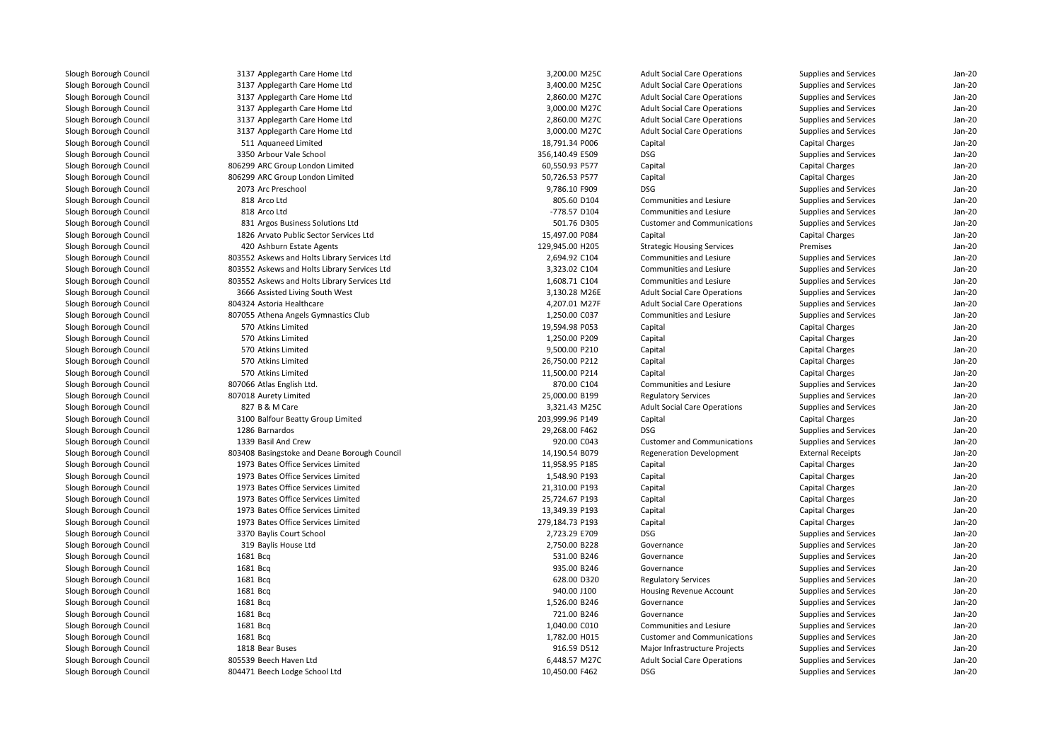| 3137 Applegarth Care Home Ltd                | 3,200.00 M25C   | <b>Adult Social Care Operations</b> | Supplies and Services    | Jan-20   |
|----------------------------------------------|-----------------|-------------------------------------|--------------------------|----------|
| 3137 Applegarth Care Home Ltd                | 3,400.00 M25C   | <b>Adult Social Care Operations</b> | Supplies and Services    | $Jan-2C$ |
| 3137 Applegarth Care Home Ltd                | 2,860.00 M27C   | <b>Adult Social Care Operations</b> | Supplies and Services    | Jan-20   |
| 3137 Applegarth Care Home Ltd                | 3,000.00 M27C   | <b>Adult Social Care Operations</b> | Supplies and Services    | Jan-20   |
| 3137 Applegarth Care Home Ltd                | 2,860.00 M27C   | <b>Adult Social Care Operations</b> | Supplies and Services    | Jan-20   |
| 3137 Applegarth Care Home Ltd                | 3,000.00 M27C   | <b>Adult Social Care Operations</b> | Supplies and Services    | Jan-20   |
| 511 Aguaneed Limited                         | 18,791.34 P006  | Capital                             | Capital Charges          | Jan-20   |
| 3350 Arbour Vale School                      | 356,140.49 E509 | <b>DSG</b>                          | Supplies and Services    | Jan-20   |
| 806299 ARC Group London Limited              | 60,550.93 P577  | Capital                             | Capital Charges          | Jan-20   |
| 806299 ARC Group London Limited              | 50,726.53 P577  | Capital                             | Capital Charges          | Jan-20   |
| 2073 Arc Preschool                           | 9,786.10 F909   | <b>DSG</b>                          | Supplies and Services    | $Jan-2C$ |
| 818 Arco Ltd                                 | 805.60 D104     | Communities and Lesiure             | Supplies and Services    | Jan-20   |
| 818 Arco Ltd                                 | -778.57 D104    | Communities and Lesiure             | Supplies and Services    | Jan-20   |
| 831 Argos Business Solutions Ltd             | 501.76 D305     | <b>Customer and Communications</b>  | Supplies and Services    | Jan-20   |
| 1826 Arvato Public Sector Services Ltd       | 15,497.00 P084  | Capital                             | Capital Charges          | Jan-20   |
| 420 Ashburn Estate Agents                    | 129,945.00 H205 | <b>Strategic Housing Services</b>   | Premises                 | Jan-20   |
| 803552 Askews and Holts Library Services Ltd | 2,694.92 C104   | Communities and Lesiure             | Supplies and Services    | Jan-20   |
| 803552 Askews and Holts Library Services Ltd | 3,323.02 C104   | Communities and Lesiure             | Supplies and Services    | $Jan-2C$ |
| 803552 Askews and Holts Library Services Ltd | 1,608.71 C104   | <b>Communities and Lesiure</b>      | Supplies and Services    | Jan-20   |
| 3666 Assisted Living South West              | 3,130.28 M26E   | <b>Adult Social Care Operations</b> | Supplies and Services    | Jan-20   |
| 804324 Astoria Healthcare                    | 4,207.01 M27F   | <b>Adult Social Care Operations</b> | Supplies and Services    | Jan-20   |
| 807055 Athena Angels Gymnastics Club         | 1,250.00 C037   | Communities and Lesiure             | Supplies and Services    | Jan-20   |
| 570 Atkins Limited                           | 19,594.98 P053  | Capital                             | Capital Charges          | Jan-20   |
| 570 Atkins Limited                           | 1,250.00 P209   | Capital                             | Capital Charges          | Jan-20   |
| 570 Atkins Limited                           | 9,500.00 P210   | Capital                             | Capital Charges          | $Jan-2C$ |
| 570 Atkins Limited                           | 26,750.00 P212  | Capital                             | <b>Capital Charges</b>   | Jan-20   |
| 570 Atkins Limited                           | 11,500.00 P214  | Capital                             | Capital Charges          | Jan-20   |
| 807066 Atlas English Ltd.                    | 870.00 C104     | Communities and Lesiure             | Supplies and Services    | Jan-20   |
| 807018 Aurety Limited                        | 25,000.00 B199  | <b>Regulatory Services</b>          | Supplies and Services    | Jan-20   |
| 827 B & M Care                               | 3,321.43 M25C   | <b>Adult Social Care Operations</b> | Supplies and Services    | Jan-20   |
| 3100 Balfour Beatty Group Limited            | 203,999.96 P149 | Capital                             | Capital Charges          | $Jan-2C$ |
| 1286 Barnardos                               | 29,268.00 F462  | <b>DSG</b>                          | Supplies and Services    | $Jan-2C$ |
| 1339 Basil And Crew                          | 920.00 C043     | <b>Customer and Communications</b>  | Supplies and Services    | Jan-20   |
| 803408 Basingstoke and Deane Borough Council | 14,190.54 B079  | <b>Regeneration Development</b>     | <b>External Receipts</b> | Jan-20   |
| 1973 Bates Office Services Limited           | 11,958.95 P185  | Capital                             | Capital Charges          | Jan-20   |
| 1973 Bates Office Services Limited           | 1,548.90 P193   | Capital                             | Capital Charges          | Jan-20   |
| 1973 Bates Office Services Limited           | 21,310.00 P193  | Capital                             | Capital Charges          | Jan-20   |
| 1973 Bates Office Services Limited           | 25,724.67 P193  | Capital                             | Capital Charges          | Jan-20   |
| 1973 Bates Office Services Limited           | 13,349.39 P193  | Capital                             | <b>Capital Charges</b>   | $Jan-2C$ |
| 1973 Bates Office Services Limited           | 279,184.73 P193 | Capital                             | Capital Charges          | $Jan-2C$ |
| 3370 Baylis Court School                     | 2,723.29 E709   | <b>DSG</b>                          | Supplies and Services    | Jan-20   |
| 319 Baylis House Ltd                         | 2,750.00 B228   | Governance                          | Supplies and Services    | Jan-20   |
| 1681 Bcg                                     | 531.00 B246     | Governance                          | Supplies and Services    | Jan-20   |
| 1681 Bcq                                     | 935.00 B246     | Governance                          | Supplies and Services    | Jan-20   |
| 1681 Bcq                                     | 628.00 D320     | <b>Regulatory Services</b>          | Supplies and Services    | Jan-20   |
| 1681 Bcg                                     | 940.00 J100     | Housing Revenue Account             | Supplies and Services    | Jan-20   |
| 1681 Bcg                                     | 1,526.00 B246   | Governance                          | Supplies and Services    | Jan-20   |
| 1681 Bcg                                     | 721.00 B246     | Governance                          | Supplies and Services    | Jan-20   |
| 1681 Bcq                                     | 1,040.00 C010   | Communities and Lesiure             | Supplies and Services    | Jan-20   |
| 1681 Bcq                                     | 1,782.00 H015   | <b>Customer and Communications</b>  | Supplies and Services    | $Jan-2C$ |
| 1818 Bear Buses                              | 916.59 D512     | Major Infrastructure Projects       | Supplies and Services    | $Jan-2C$ |
| 805539 Beech Haven Ltd                       | 6,448.57 M27C   | <b>Adult Social Care Operations</b> | Supplies and Services    | $Jan-2C$ |
| 804471 Beech Lodge School Ltd                | 10,450.00 F462  | <b>DSG</b>                          | Supplies and Services    | Jan-20   |
|                                              |                 |                                     |                          |          |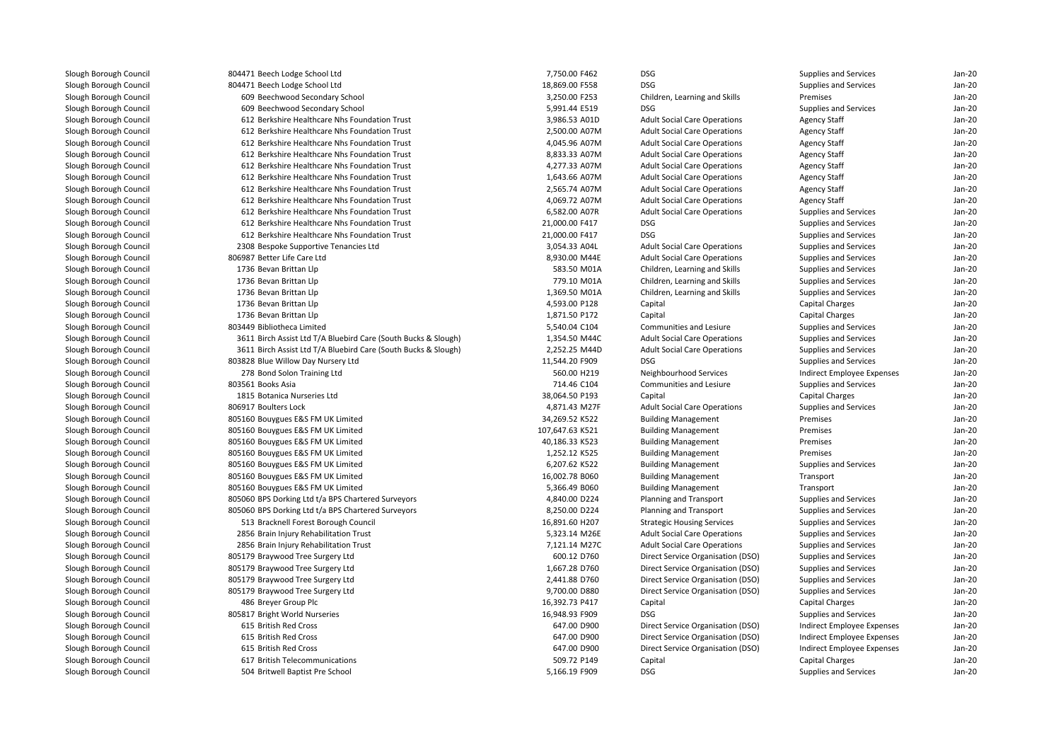| Slough Borough Council | 804471 Beech Lodge School Ltd                                  | 7,750.00 F462   | <b>DSG</b>                          | Supplies and Services      | $Jan-20$ |
|------------------------|----------------------------------------------------------------|-----------------|-------------------------------------|----------------------------|----------|
| Slough Borough Council | 804471 Beech Lodge School Ltd                                  | 18,869.00 F558  | <b>DSG</b>                          | Supplies and Services      | Jan-20   |
| Slough Borough Council | 609 Beechwood Secondary School                                 | 3,250.00 F253   | Children, Learning and Skills       | Premises                   | Jan-20   |
| Slough Borough Council | 609 Beechwood Secondary School                                 | 5,991.44 E519   | <b>DSG</b>                          | Supplies and Services      | $Jan-20$ |
| Slough Borough Council | 612 Berkshire Healthcare Nhs Foundation Trust                  | 3,986.53 A01D   | <b>Adult Social Care Operations</b> | <b>Agency Staff</b>        | Jan-20   |
| Slough Borough Council | 612 Berkshire Healthcare Nhs Foundation Trust                  | 2,500.00 A07M   | <b>Adult Social Care Operations</b> | <b>Agency Staff</b>        | Jan-20   |
| Slough Borough Council | 612 Berkshire Healthcare Nhs Foundation Trust                  | 4,045.96 A07M   | <b>Adult Social Care Operations</b> | <b>Agency Staff</b>        | $Jan-20$ |
| Slough Borough Council | 612 Berkshire Healthcare Nhs Foundation Trust                  | 8,833.33 A07M   | <b>Adult Social Care Operations</b> | <b>Agency Staff</b>        | Jan-20   |
| Slough Borough Council | 612 Berkshire Healthcare Nhs Foundation Trust                  | 4,277.33 A07M   | <b>Adult Social Care Operations</b> | <b>Agency Staff</b>        | $Jan-20$ |
| Slough Borough Council | 612 Berkshire Healthcare Nhs Foundation Trust                  | 1,643.66 A07M   | <b>Adult Social Care Operations</b> | <b>Agency Staff</b>        | $Jan-20$ |
| Slough Borough Council | 612 Berkshire Healthcare Nhs Foundation Trust                  | 2,565.74 A07M   | <b>Adult Social Care Operations</b> | <b>Agency Staff</b>        | Jan-20   |
| Slough Borough Council | 612 Berkshire Healthcare Nhs Foundation Trust                  | 4,069.72 A07M   | <b>Adult Social Care Operations</b> | <b>Agency Staff</b>        | $Jan-20$ |
| Slough Borough Council | 612 Berkshire Healthcare Nhs Foundation Trust                  | 6,582.00 A07R   | <b>Adult Social Care Operations</b> | Supplies and Services      | $Jan-20$ |
| Slough Borough Council | 612 Berkshire Healthcare Nhs Foundation Trust                  | 21,000.00 F417  | <b>DSG</b>                          | Supplies and Services      | $Jan-20$ |
| Slough Borough Council | 612 Berkshire Healthcare Nhs Foundation Trust                  | 21,000.00 F417  | <b>DSG</b>                          | Supplies and Services      | $Jan-20$ |
| Slough Borough Council | 2308 Bespoke Supportive Tenancies Ltd                          | 3,054.33 A04L   | <b>Adult Social Care Operations</b> | Supplies and Services      | Jan-20   |
| Slough Borough Council | 806987 Better Life Care Ltd                                    | 8,930.00 M44E   | <b>Adult Social Care Operations</b> | Supplies and Services      | $Jan-20$ |
| Slough Borough Council | 1736 Bevan Brittan Llp                                         | 583.50 M01A     | Children, Learning and Skills       | Supplies and Services      | $Jan-20$ |
| Slough Borough Council | 1736 Bevan Brittan Llp                                         | 779.10 M01A     | Children, Learning and Skills       | Supplies and Services      | $Jan-20$ |
| Slough Borough Council | 1736 Bevan Brittan Llp                                         | 1,369.50 M01A   | Children, Learning and Skills       | Supplies and Services      | $Jan-20$ |
| Slough Borough Council | 1736 Bevan Brittan Llp                                         | 4,593.00 P128   | Capital                             | <b>Capital Charges</b>     | Jan-20   |
| Slough Borough Council | 1736 Bevan Brittan Llp                                         | 1,871.50 P172   | Capital                             | <b>Capital Charges</b>     | $Jan-20$ |
| Slough Borough Council | 803449 Bibliotheca Limited                                     | 5,540.04 C104   | Communities and Lesiure             | Supplies and Services      | $Jan-20$ |
| Slough Borough Council | 3611 Birch Assist Ltd T/A Bluebird Care (South Bucks & Slough) | 1,354.50 M44C   | <b>Adult Social Care Operations</b> | Supplies and Services      | $Jan-20$ |
| Slough Borough Council | 3611 Birch Assist Ltd T/A Bluebird Care (South Bucks & Slough) | 2,252.25 M44D   | <b>Adult Social Care Operations</b> | Supplies and Services      | $Jan-20$ |
| Slough Borough Council | 803828 Blue Willow Day Nursery Ltd                             | 11,544.20 F909  | <b>DSG</b>                          | Supplies and Services      | $Jan-20$ |
| Slough Borough Council | 278 Bond Solon Training Ltd                                    | 560.00 H219     | Neighbourhood Services              | Indirect Employee Expenses | Jan-20   |
| Slough Borough Council | 803561 Books Asia                                              | 714.46 C104     | Communities and Lesiure             | Supplies and Services      | $Jan-20$ |
| Slough Borough Council | 1815 Botanica Nurseries Ltd                                    | 38,064.50 P193  | Capital                             | <b>Capital Charges</b>     | $Jan-20$ |
| Slough Borough Council | 806917 Boulters Lock                                           | 4,871.43 M27F   | <b>Adult Social Care Operations</b> | Supplies and Services      | $Jan-20$ |
| Slough Borough Council | 805160 Bouygues E&S FM UK Limited                              | 34,269.52 K522  | <b>Building Management</b>          | Premises                   | $Jan-20$ |
| Slough Borough Council | 805160 Bouygues E&S FM UK Limited                              | 107,647.63 K521 | <b>Building Management</b>          | Premises                   | $Jan-20$ |
| Slough Borough Council | 805160 Bouygues E&S FM UK Limited                              | 40,186.33 K523  | <b>Building Management</b>          | Premises                   | Jan-20   |
| Slough Borough Council | 805160 Bouygues E&S FM UK Limited                              | 1,252.12 K525   | <b>Building Management</b>          | Premises                   | $Jan-20$ |
| Slough Borough Council | 805160 Bouygues E&S FM UK Limited                              | 6,207.62 K522   | <b>Building Management</b>          | Supplies and Services      | $Jan-20$ |
| Slough Borough Council | 805160 Bouygues E&S FM UK Limited                              | 16,002.78 B060  | <b>Building Management</b>          | Transport                  | $Jan-20$ |
| Slough Borough Council | 805160 Bouygues E&S FM UK Limited                              | 5,366.49 B060   | <b>Building Management</b>          | Transport                  | $Jan-20$ |
| Slough Borough Council | 805060 BPS Dorking Ltd t/a BPS Chartered Surveyors             | 4,840.00 D224   | <b>Planning and Transport</b>       | Supplies and Services      | Jan-20   |
| Slough Borough Council | 805060 BPS Dorking Ltd t/a BPS Chartered Surveyors             | 8,250.00 D224   | Planning and Transport              | Supplies and Services      | $Jan-20$ |
| Slough Borough Council | 513 Bracknell Forest Borough Council                           | 16,891.60 H207  | <b>Strategic Housing Services</b>   | Supplies and Services      | Jan-20   |
| Slough Borough Council | 2856 Brain Injury Rehabilitation Trust                         | 5,323.14 M26E   | <b>Adult Social Care Operations</b> | Supplies and Services      | $Jan-20$ |
| Slough Borough Council | 2856 Brain Injury Rehabilitation Trust                         | 7,121.14 M27C   | <b>Adult Social Care Operations</b> | Supplies and Services      | $Jan-20$ |
| Slough Borough Council | 805179 Braywood Tree Surgery Ltd                               | 600.12 D760     | Direct Service Organisation (DSO)   | Supplies and Services      | Jan-20   |
| Slough Borough Council | 805179 Braywood Tree Surgery Ltd                               | 1,667.28 D760   | Direct Service Organisation (DSO)   | Supplies and Services      | Jan-20   |
| Slough Borough Council | 805179 Braywood Tree Surgery Ltd                               | 2,441.88 D760   | Direct Service Organisation (DSO)   | Supplies and Services      | $Jan-20$ |
| Slough Borough Council | 805179 Braywood Tree Surgery Ltd                               | 9,700.00 D880   | Direct Service Organisation (DSO)   | Supplies and Services      | $Jan-20$ |
| Slough Borough Council |                                                                | 16,392.73 P417  |                                     |                            | $Jan-20$ |
|                        | 486 Breyer Group Plc                                           |                 | Capital<br><b>DSG</b>               | <b>Capital Charges</b>     |          |
| Slough Borough Council | 805817 Bright World Nurseries                                  | 16,948.93 F909  |                                     | Supplies and Services      | $Jan-20$ |
| Slough Borough Council | 615 British Red Cross                                          | 647.00 D900     | Direct Service Organisation (DSO)   | Indirect Employee Expenses | Jan-20   |
| Slough Borough Council | 615 British Red Cross                                          | 647.00 D900     | Direct Service Organisation (DSO)   | Indirect Employee Expenses | Jan-20   |
| Slough Borough Council | 615 British Red Cross                                          | 647.00 D900     | Direct Service Organisation (DSO)   | Indirect Employee Expenses | $Jan-20$ |
| Slough Borough Council | 617 British Telecommunications                                 | 509.72 P149     | Capital                             | <b>Capital Charges</b>     | $Jan-20$ |
| Slough Borough Council | 504 Britwell Baptist Pre School                                | 5,166.19 F909   | <b>DSG</b>                          | Supplies and Services      | Jan-20   |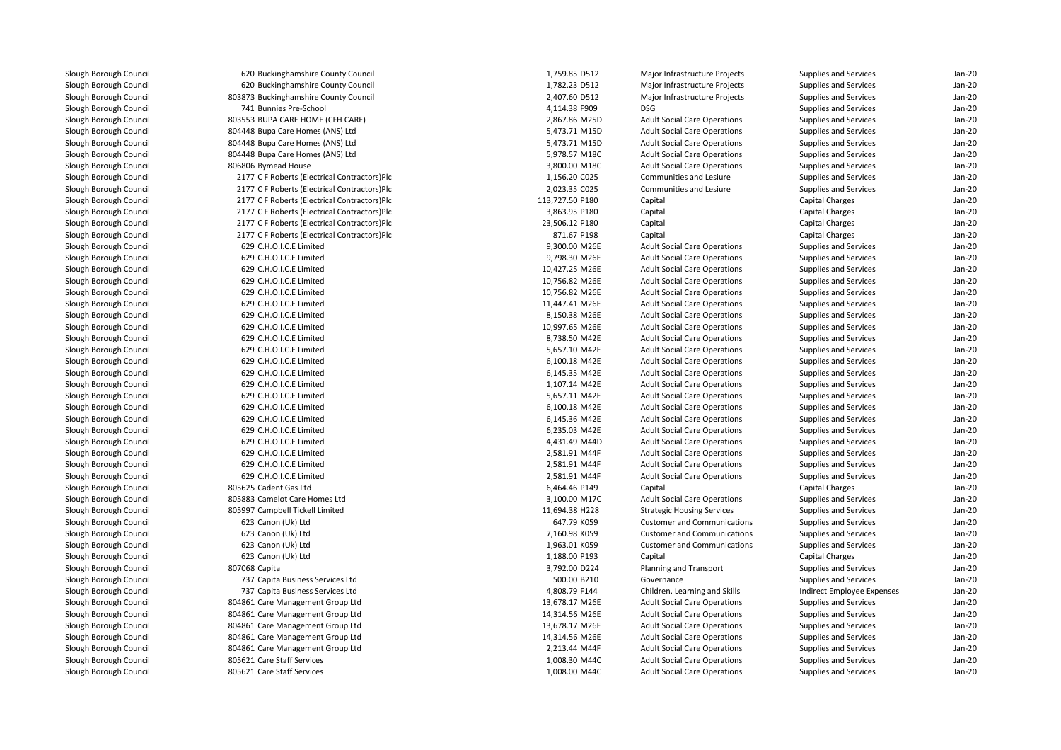| 620 Buckinghamshire County Council           | 1,759.85 D512   | Major Infrastructure Projects       | Supplies and Services      | Jan-20             |
|----------------------------------------------|-----------------|-------------------------------------|----------------------------|--------------------|
| 620 Buckinghamshire County Council           | 1,782.23 D512   | Major Infrastructure Projects       | Supplies and Services      | Jan-20             |
| 803873 Buckinghamshire County Council        | 2,407.60 D512   | Major Infrastructure Projects       | Supplies and Services      | $Jan-2C$           |
| 741 Bunnies Pre-School                       | 4,114.38 F909   | <b>DSG</b>                          | Supplies and Services      | Jan-20             |
| 803553 BUPA CARE HOME (CFH CARE)             | 2,867.86 M25D   | <b>Adult Social Care Operations</b> | Supplies and Services      | $Jan-2C$           |
| 804448 Bupa Care Homes (ANS) Ltd             | 5,473.71 M15D   | <b>Adult Social Care Operations</b> | Supplies and Services      | $Jan-2C$           |
| 804448 Bupa Care Homes (ANS) Ltd             | 5,473.71 M15D   | <b>Adult Social Care Operations</b> | Supplies and Services      | $Jan-20$           |
| 804448 Bupa Care Homes (ANS) Ltd             | 5,978.57 M18C   | <b>Adult Social Care Operations</b> | Supplies and Services      | Jan-20             |
| 806806 Bymead House                          | 3,800.00 M18C   | <b>Adult Social Care Operations</b> | Supplies and Services      | Jan-20             |
| 2177 C F Roberts (Electrical Contractors)Plc | 1,156.20 C025   | Communities and Lesiure             | Supplies and Services      | Jan-20             |
| 2177 C F Roberts (Electrical Contractors)Plc | 2,023.35 C025   | Communities and Lesiure             | Supplies and Services      | $Jan-2C$           |
| 2177 C F Roberts (Electrical Contractors)Plc | 113,727.50 P180 | Capital                             | Capital Charges            | Jan-20             |
| 2177 C F Roberts (Electrical Contractors)Plc | 3,863.95 P180   | Capital                             | <b>Capital Charges</b>     | Jan-20             |
| 2177 C F Roberts (Electrical Contractors)Plc | 23,506.12 P180  | Capital                             | <b>Capital Charges</b>     | Jan-20             |
| 2177 C F Roberts (Electrical Contractors)Plc | 871.67 P198     | Capital                             | Capital Charges            | Jan-20             |
| 629 C.H.O.I.C.E Limited                      | 9,300.00 M26E   | <b>Adult Social Care Operations</b> | Supplies and Services      | $Jan-2C$           |
| 629 C.H.O.I.C.E Limited                      | 9,798.30 M26E   | <b>Adult Social Care Operations</b> | Supplies and Services      | Jan-20             |
| 629 C.H.O.I.C.E Limited                      | 10,427.25 M26E  | <b>Adult Social Care Operations</b> | Supplies and Services      | $Jan-2C$           |
| 629 C.H.O.I.C.E Limited                      | 10,756.82 M26E  | <b>Adult Social Care Operations</b> | Supplies and Services      | Jan-20             |
| 629 C.H.O.I.C.E Limited                      | 10,756.82 M26E  | <b>Adult Social Care Operations</b> | Supplies and Services      | Jan-20             |
| 629 C.H.O.I.C.E Limited                      | 11,447.41 M26E  | <b>Adult Social Care Operations</b> | Supplies and Services      | Jan-20             |
| 629 C.H.O.I.C.E Limited                      | 8,150.38 M26E   | <b>Adult Social Care Operations</b> | Supplies and Services      | Jan-20             |
| 629 C.H.O.I.C.E Limited                      | 10,997.65 M26E  |                                     |                            | $Jan-2C$           |
|                                              |                 | <b>Adult Social Care Operations</b> | Supplies and Services      |                    |
| 629 C.H.O.I.C.E Limited                      | 8,738.50 M42E   | <b>Adult Social Care Operations</b> | Supplies and Services      | $Jan-2C$<br>Jan-20 |
| 629 C.H.O.I.C.E Limited                      | 5,657.10 M42E   | <b>Adult Social Care Operations</b> | Supplies and Services      |                    |
| 629 C.H.O.I.C.E Limited                      | 6,100.18 M42E   | <b>Adult Social Care Operations</b> | Supplies and Services      | Jan-20             |
| 629 C.H.O.I.C.E Limited                      | 6,145.35 M42E   | <b>Adult Social Care Operations</b> | Supplies and Services      | Jan-20             |
| 629 C.H.O.I.C.E Limited                      | 1,107.14 M42E   | <b>Adult Social Care Operations</b> | Supplies and Services      | Jan-20             |
| 629 C.H.O.I.C.E Limited                      | 5,657.11 M42E   | <b>Adult Social Care Operations</b> | Supplies and Services      | $Jan-2C$           |
| 629 C.H.O.I.C.E Limited                      | 6,100.18 M42E   | <b>Adult Social Care Operations</b> | Supplies and Services      | $Jan-2C$           |
| 629 C.H.O.I.C.E Limited                      | 6,145.36 M42E   | <b>Adult Social Care Operations</b> | Supplies and Services      | $Jan-2C$           |
| 629 C.H.O.I.C.E Limited                      | 6,235.03 M42E   | <b>Adult Social Care Operations</b> | Supplies and Services      | Jan-20             |
| 629 C.H.O.I.C.E Limited                      | 4,431.49 M44D   | <b>Adult Social Care Operations</b> | Supplies and Services      | Jan-20             |
| 629 C.H.O.I.C.E Limited                      | 2,581.91 M44F   | <b>Adult Social Care Operations</b> | Supplies and Services      | Jan-20             |
| 629 C.H.O.I.C.E Limited                      | 2,581.91 M44F   | <b>Adult Social Care Operations</b> | Supplies and Services      | $Jan-2C$           |
| 629 C.H.O.I.C.E Limited                      | 2,581.91 M44F   | <b>Adult Social Care Operations</b> | Supplies and Services      | $Jan-2C$           |
| 805625 Cadent Gas Ltd                        | 6,464.46 P149   | Capital                             | <b>Capital Charges</b>     | $Jan-2C$           |
| 805883 Camelot Care Homes Ltd                | 3,100.00 M17C   | <b>Adult Social Care Operations</b> | Supplies and Services      | Jan-20             |
| 805997 Campbell Tickell Limited              | 11,694.38 H228  | <b>Strategic Housing Services</b>   | Supplies and Services      | Jan-20             |
| 623 Canon (Uk) Ltd                           | 647.79 K059     | <b>Customer and Communications</b>  | Supplies and Services      | $Jan-2C$           |
| 623 Canon (Uk) Ltd                           | 7,160.98 K059   | <b>Customer and Communications</b>  | Supplies and Services      | Jan-20             |
| 623 Canon (Uk) Ltd                           | 1,963.01 K059   | <b>Customer and Communications</b>  | Supplies and Services      | $Jan-2C$           |
| 623 Canon (Uk) Ltd                           | 1,188.00 P193   | Capital                             | <b>Capital Charges</b>     | $Jan-2C$           |
| 807068 Capita                                | 3,792.00 D224   | Planning and Transport              | Supplies and Services      | $Jan-20$           |
| 737 Capita Business Services Ltd             | 500.00 B210     | Governance                          | Supplies and Services      | Jan-20             |
| 737 Capita Business Services Ltd             | 4,808.79 F144   | Children, Learning and Skills       | Indirect Employee Expenses | Jan-20             |
| 804861 Care Management Group Ltd             | 13,678.17 M26E  | <b>Adult Social Care Operations</b> | Supplies and Services      | Jan-20             |
| 804861 Care Management Group Ltd             | 14,314.56 M26E  | <b>Adult Social Care Operations</b> | Supplies and Services      | $Jan-2C$           |
| 804861 Care Management Group Ltd             | 13,678.17 M26E  | <b>Adult Social Care Operations</b> | Supplies and Services      | $Jan-2C$           |
| 804861 Care Management Group Ltd             | 14,314.56 M26E  | <b>Adult Social Care Operations</b> | Supplies and Services      | Jan-20             |
| 804861 Care Management Group Ltd             | 2,213.44 M44F   | <b>Adult Social Care Operations</b> | Supplies and Services      | Jan-20             |
| 805621 Care Staff Services                   | 1,008.30 M44C   | <b>Adult Social Care Operations</b> | Supplies and Services      | $Jan-2C$           |
| 805621 Care Staff Services                   | 1,008.00 M44C   | <b>Adult Social Care Operations</b> | Supplies and Services      | $Jan-2C$           |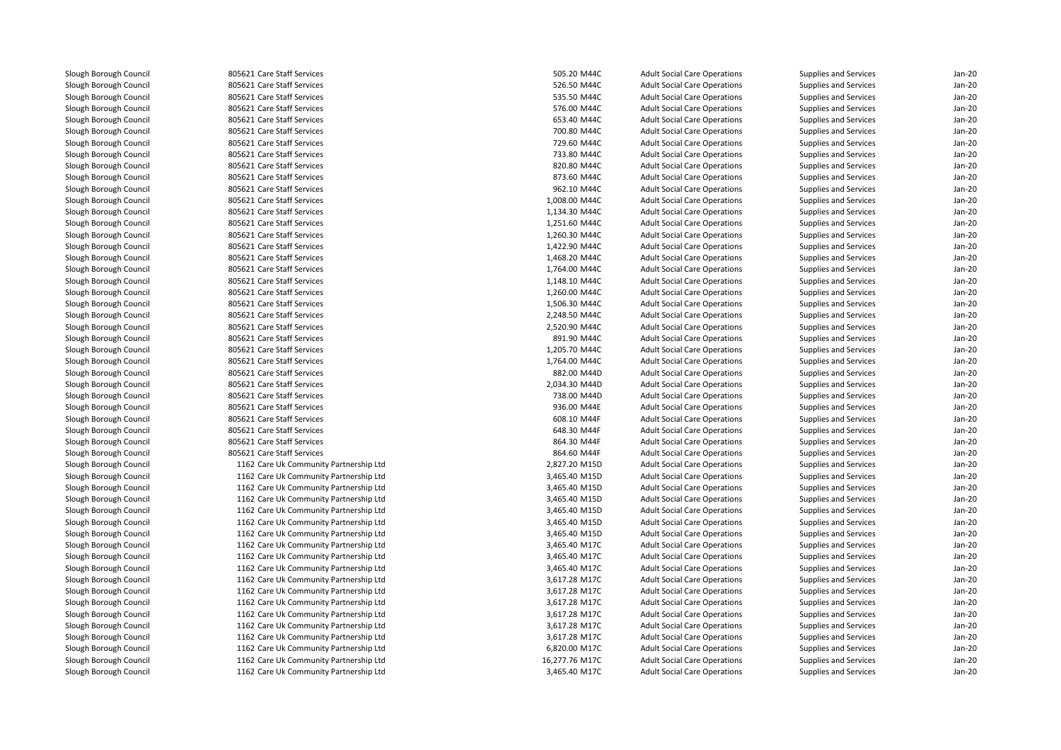**1** 805621 Care Staff Services **605.20 M44C** 505.20 M44C 805621 Care Staff Services 526.50 M44C 805621 Care Staff Services 535.50 M44C 805621 Care Staff Services 576.00 M44C 805621 Care Staff Services 653.40 M44C 805621 Care Staff Services 700.80 M44C 805621 Care Staff Services 729.60 M44C 805621 Care Staff Services 733.80 M44C 805621 Care Staff Services 820.80 M44C 805621 Care Staff Services 873.60 M44C 805621 Care Staff Services 962.10 M44C 805621 Care Staff Services 1,008.00 M44C 805621 Care Staff Services 1,134.30 M44C 805621 Care Staff Services 1,251.60 M44C 805621 Care Staff Services 1,260.30 M44C 805621 Care Staff Services 1,422.90 M44C 805621 Care Staff Services 1,468.20 M44C 805621 Care Staff Services 1,764.00 M44C 805621 Care Staff Services 1,148.10 M44C 805621 Care Staff Services 1,260.00 M44C 805621 Care Staff Services 1,506.30 M44C 805621 Care Staff Services 2,248.50 M44C 805621 Care Staff Services 2,520.90 M44C 805621 Care Staff Services 891.90 M44C 805621 Care Staff Services 1,205.70 M44C 805621 Care Staff Services 1,764.00 M44C 805621 Care Staff Services 882.00 M44D 805621 Care Staff Services 2,034.30 M44D 805621 Care Staff Services 738.00 M44D805621 Care Staff Services 805621 Care Staff Services 805621 Care Staff Services 805621 Care Staff Services 805621 Care Staff Services 1162 Care Uk Community Partnership Ltd 1162 Care Uk Community Partnership Ltd 1162 Care Uk Community Partnership Ltd 1162 Care Uk Community Partnership Ltd 1162 Care Uk Community Partnership Ltd 1162 Care Uk Community Partnership Ltd 1162 Care Uk Community Partnership Ltd 1162 Care Uk Community Partnership Ltd 1162 Care Uk Community Partnership Ltd 1162 Care Uk Community Partnership Ltd 1162 Care Uk Community Partnership Ltd 1162 Care Uk Community Partnership Ltd 1162 Care Uk Community Partnership Ltd 1162 Care Uk Community Partnership Ltd 1162 Care Uk Community Partnership Ltd 1162 Care Uk Community Partnership Ltd 1162 Care Uk Community Partnership Ltd 1162 Care Uk Community Partnership Ltd1162 Care Uk Community Partnership Ltd

| 1 Care Staff Services                          | 505.20 M44C                    | <b>Adult Social Care Operations</b>                                        | Supplies and Services                          | $Jan-2C$           |
|------------------------------------------------|--------------------------------|----------------------------------------------------------------------------|------------------------------------------------|--------------------|
| 1 Care Staff Services                          | 526.50 M44C                    | <b>Adult Social Care Operations</b>                                        | <b>Supplies and Services</b>                   | $Jan-2C$           |
| 1 Care Staff Services                          | 535.50 M44C                    | <b>Adult Social Care Operations</b>                                        | Supplies and Services                          | Jan-20             |
| 1 Care Staff Services                          | 576.00 M44C                    | <b>Adult Social Care Operations</b>                                        | <b>Supplies and Services</b>                   | Jan-20             |
| 1 Care Staff Services                          | 653.40 M44C                    | <b>Adult Social Care Operations</b>                                        | Supplies and Services                          | $Jan-2C$           |
| 1 Care Staff Services                          | 700.80 M44C                    | <b>Adult Social Care Operations</b>                                        | <b>Supplies and Services</b>                   | $Jan-2C$           |
| 1 Care Staff Services                          | 729.60 M44C                    | <b>Adult Social Care Operations</b>                                        | <b>Supplies and Services</b>                   | Jan-20             |
| 1 Care Staff Services                          | 733.80 M44C                    | <b>Adult Social Care Operations</b>                                        | Supplies and Services                          | Jan-20             |
| 1 Care Staff Services                          | 820.80 M44C                    | <b>Adult Social Care Operations</b>                                        | <b>Supplies and Services</b>                   | Jan-20             |
| 1 Care Staff Services                          | 873.60 M44C                    | <b>Adult Social Care Operations</b>                                        | Supplies and Services                          | $Jan-2C$           |
| 1 Care Staff Services                          | 962.10 M44C                    | <b>Adult Social Care Operations</b>                                        | Supplies and Services                          | Jan-20             |
| 1 Care Staff Services                          | 1,008.00 M44C                  | <b>Adult Social Care Operations</b>                                        | Supplies and Services                          | Jan-20             |
| 1 Care Staff Services                          | 1,134.30 M44C                  | <b>Adult Social Care Operations</b>                                        | Supplies and Services                          | $Jan-2C$           |
| 1 Care Staff Services                          | 1,251.60 M44C                  | <b>Adult Social Care Operations</b>                                        | <b>Supplies and Services</b>                   | Jan-20             |
| 1 Care Staff Services                          | 1,260.30 M44C                  | <b>Adult Social Care Operations</b>                                        | Supplies and Services                          | Jan-20             |
| 1 Care Staff Services                          | 1,422.90 M44C                  | <b>Adult Social Care Operations</b>                                        | Supplies and Services                          | $Jan-2C$           |
|                                                |                                |                                                                            |                                                | Jan-20             |
| 1 Care Staff Services<br>1 Care Staff Services | 1,468.20 M44C<br>1,764.00 M44C | <b>Adult Social Care Operations</b><br><b>Adult Social Care Operations</b> | Supplies and Services<br>Supplies and Services | Jan-20             |
| 1 Care Staff Services                          | 1,148.10 M44C                  | <b>Adult Social Care Operations</b>                                        | Supplies and Services                          | Jan-20             |
| 1 Care Staff Services                          |                                |                                                                            |                                                | Jan-20             |
| 1 Care Staff Services                          | 1,260.00 M44C                  | <b>Adult Social Care Operations</b>                                        | Supplies and Services                          | $Jan-2C$           |
| 1 Care Staff Services                          | 1,506.30 M44C<br>2,248.50 M44C | <b>Adult Social Care Operations</b><br><b>Adult Social Care Operations</b> | Supplies and Services<br>Supplies and Services | Jan-20             |
|                                                |                                |                                                                            |                                                |                    |
| 1 Care Staff Services                          | 2,520.90 M44C                  | <b>Adult Social Care Operations</b>                                        | Supplies and Services                          | Jan-20             |
| 1 Care Staff Services<br>1 Care Staff Services | 891.90 M44C<br>1,205.70 M44C   | <b>Adult Social Care Operations</b>                                        | Supplies and Services                          | $Jan-2C$<br>Jan-20 |
| 1 Care Staff Services                          | 1,764.00 M44C                  | <b>Adult Social Care Operations</b><br><b>Adult Social Care Operations</b> | <b>Supplies and Services</b>                   | Jan-20             |
| 1 Care Staff Services                          | 882.00 M44D                    | <b>Adult Social Care Operations</b>                                        | Supplies and Services<br>Supplies and Services | Jan-20             |
| 1 Care Staff Services                          | 2,034.30 M44D                  | <b>Adult Social Care Operations</b>                                        | <b>Supplies and Services</b>                   | $Jan-2C$           |
| 1 Care Staff Services                          | 738.00 M44D                    | <b>Adult Social Care Operations</b>                                        | <b>Supplies and Services</b>                   | Jan-20             |
| 1 Care Staff Services                          | 936.00 M44E                    | <b>Adult Social Care Operations</b>                                        | Supplies and Services                          | Jan-20             |
| 1 Care Staff Services                          | 608.10 M44F                    | <b>Adult Social Care Operations</b>                                        | <b>Supplies and Services</b>                   | Jan-20             |
| 1 Care Staff Services                          | 648.30 M44F                    | <b>Adult Social Care Operations</b>                                        | Supplies and Services                          | Jan-20             |
| 1 Care Staff Services                          | 864.30 M44F                    | <b>Adult Social Care Operations</b>                                        | Supplies and Services                          | Jan-20             |
| 1 Care Staff Services                          | 864.60 M44F                    | <b>Adult Social Care Operations</b>                                        | Supplies and Services                          | Jan-20             |
| 2 Care Uk Community Partnership Ltd            | 2,827.20 M15D                  | <b>Adult Social Care Operations</b>                                        | Supplies and Services                          | Jan-20             |
| 2 Care Uk Community Partnership Ltd            | 3,465.40 M15D                  | <b>Adult Social Care Operations</b>                                        | <b>Supplies and Services</b>                   | $Jan-2C$           |
| 2 Care Uk Community Partnership Ltd            | 3,465.40 M15D                  | <b>Adult Social Care Operations</b>                                        | Supplies and Services                          | Jan-20             |
| 2 Care Uk Community Partnership Ltd            | 3,465.40 M15D                  | <b>Adult Social Care Operations</b>                                        | <b>Supplies and Services</b>                   | Jan-20             |
| 2 Care Uk Community Partnership Ltd            | 3,465.40 M15D                  | <b>Adult Social Care Operations</b>                                        | Supplies and Services                          | $Jan-2C$           |
| 2 Care Uk Community Partnership Ltd            | 3,465.40 M15D                  | <b>Adult Social Care Operations</b>                                        | <b>Supplies and Services</b>                   | Jan-20             |
| 2 Care Uk Community Partnership Ltd            | 3,465.40 M15D                  | <b>Adult Social Care Operations</b>                                        | <b>Supplies and Services</b>                   | Jan-20             |
| 2 Care Uk Community Partnership Ltd            | 3,465.40 M17C                  | <b>Adult Social Care Operations</b>                                        | Supplies and Services                          | $Jan-2C$           |
| 2 Care Uk Community Partnership Ltd            | 3,465.40 M17C                  | <b>Adult Social Care Operations</b>                                        | <b>Supplies and Services</b>                   | Jan-20             |
| 2 Care Uk Community Partnership Ltd            | 3,465.40 M17C                  | <b>Adult Social Care Operations</b>                                        | Supplies and Services                          | Jan-20             |
| 2 Care Uk Community Partnership Ltd            | 3,617.28 M17C                  | <b>Adult Social Care Operations</b>                                        | Supplies and Services                          | Jan-20             |
| 2 Care Uk Community Partnership Ltd            | 3,617.28 M17C                  | <b>Adult Social Care Operations</b>                                        | Supplies and Services                          | Jan-20             |
| 2 Care Uk Community Partnership Ltd            | 3,617.28 M17C                  | <b>Adult Social Care Operations</b>                                        | Supplies and Services                          | $Jan-2C$           |
| 2 Care Uk Community Partnership Ltd            | 3,617.28 M17C                  | <b>Adult Social Care Operations</b>                                        | Supplies and Services                          | Jan-20             |
| 2 Care Uk Community Partnership Ltd            | 3,617.28 M17C                  | <b>Adult Social Care Operations</b>                                        | Supplies and Services                          | Jan-20             |
| 2 Care Uk Community Partnership Ltd            | 3,617.28 M17C                  | <b>Adult Social Care Operations</b>                                        | Supplies and Services                          | $Jan-2C$           |
| 2 Care Uk Community Partnership Ltd            | 6,820.00 M17C                  | <b>Adult Social Care Operations</b>                                        | <b>Supplies and Services</b>                   | $Jan-2C$           |
| 2 Care Uk Community Partnership Ltd            | 16,277.76 M17C                 | <b>Adult Social Care Operations</b>                                        | <b>Supplies and Services</b>                   | Jan-20             |
| 2 Care Uk Community Partnership Ltd            | 3,465.40 M17C                  | <b>Adult Social Care Operations</b>                                        | Supplies and Services                          | $Jan-2C$           |
|                                                |                                |                                                                            |                                                |                    |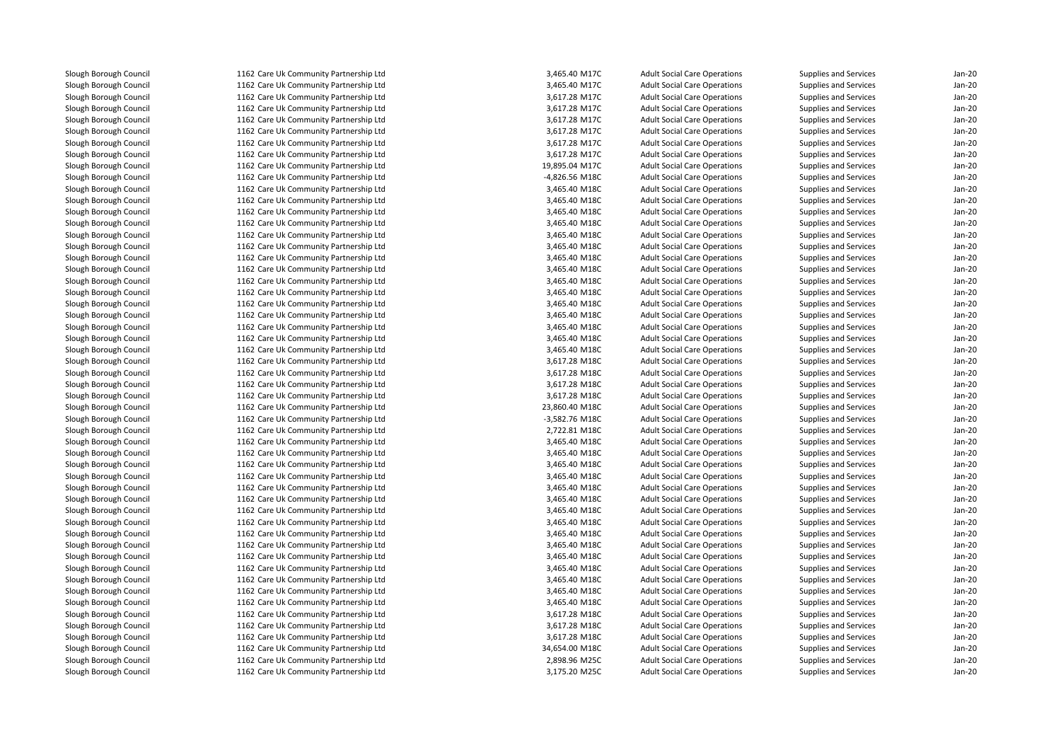1162 Care Uk Community Partnership Ltd 1162 Care Uk Community Partnership Ltd 1162 Care Uk Community Partnership Ltd 1162 Care Uk Community Partnership Ltd 1162 Care Uk Community Partnership Ltd 1162 Care Uk Community Partnership Ltd 1162 Care Uk Community Partnership Ltd 1162 Care Uk Community Partnership Ltd 1162 Care Uk Community Partnership Ltd 1162 Care Uk Community Partnership Ltd 1162 Care Uk Community Partnership Ltd 1162 Care Uk Community Partnership Ltd 1162 Care Uk Community Partnership Ltd 1162 Care Uk Community Partnership Ltd 1162 Care Uk Community Partnership Ltd 1162 Care Uk Community Partnership Ltd 1162 Care Uk Community Partnership Ltd 1162 Care Uk Community Partnership Ltd 1162 Care Uk Community Partnership Ltd 1162 Care Uk Community Partnership Ltd 1162 Care Uk Community Partnership Ltd 1162 Care Uk Community Partnership Ltd 1162 Care Uk Community Partnership Ltd 1162 Care Uk Community Partnership Ltd 1162 Care Uk Community Partnership Ltd 1162 Care Uk Community Partnership Ltd 1162 Care Uk Community Partnership Ltd 1162 Care Uk Community Partnership Ltd 1162 Care Uk Community Partnership Ltd 1162 Care Uk Community Partnership Ltd 1162 Care Uk Community Partnership Ltd 1162 Care Uk Community Partnership Ltd 1162 Care Uk Community Partnership Ltd 1162 Care Uk Community Partnership Ltd 1162 Care Uk Community Partnership Ltd 1162 Care Uk Community Partnership Ltd 1162 Care Uk Community Partnership Ltd 1162 Care Uk Community Partnership Ltd 1162 Care Uk Community Partnership Ltd 1162 Care Uk Community Partnership Ltd 1162 Care Uk Community Partnership Ltd 1162 Care Uk Community Partnership Ltd 1162 Care Uk Community Partnership Ltd 1162 Care Uk Community Partnership Ltd 1162 Care Uk Community Partnership Ltd 1162 Care Uk Community Partnership Ltd 1162 Care Uk Community Partnership Ltd 1162 Care Uk Community Partnership Ltd 1162 Care Uk Community Partnership Ltd 1162 Care Uk Community Partnership Ltd 1162 Care Uk Community Partnership Ltd 1162 Care Uk Community Partnership Ltd1162 Care Uk Community Partnership Ltd

| d | 3,465.40 M17C  | <b>Adult Social Care Operations</b> | Supplies and Services        | $Jan-20$ |
|---|----------------|-------------------------------------|------------------------------|----------|
| d | 3,465.40 M17C  | <b>Adult Social Care Operations</b> | Supplies and Services        | Jan-20   |
| d | 3,617.28 M17C  | <b>Adult Social Care Operations</b> | Supplies and Services        | $Jan-20$ |
| d | 3,617.28 M17C  | <b>Adult Social Care Operations</b> | Supplies and Services        | $Jan-20$ |
| d | 3,617.28 M17C  | <b>Adult Social Care Operations</b> | Supplies and Services        | $Jan-20$ |
| d | 3,617.28 M17C  | <b>Adult Social Care Operations</b> | Supplies and Services        | $Jan-20$ |
| d | 3,617.28 M17C  | <b>Adult Social Care Operations</b> | Supplies and Services        | $Jan-20$ |
| d | 3,617.28 M17C  | <b>Adult Social Care Operations</b> | Supplies and Services        | $Jan-20$ |
| d | 19,895.04 M17C | <b>Adult Social Care Operations</b> | Supplies and Services        | $Jan-20$ |
| d | -4,826.56 M18C | <b>Adult Social Care Operations</b> | Supplies and Services        | $Jan-20$ |
| d | 3,465.40 M18C  | <b>Adult Social Care Operations</b> | Supplies and Services        | $Jan-20$ |
| d | 3,465.40 M18C  | <b>Adult Social Care Operations</b> | Supplies and Services        | $Jan-20$ |
| d | 3,465.40 M18C  | <b>Adult Social Care Operations</b> | Supplies and Services        | $Jan-20$ |
| d | 3,465.40 M18C  | <b>Adult Social Care Operations</b> | Supplies and Services        | $Jan-20$ |
| d | 3,465.40 M18C  | <b>Adult Social Care Operations</b> | Supplies and Services        | $Jan-20$ |
| d | 3,465.40 M18C  | <b>Adult Social Care Operations</b> | Supplies and Services        | $Jan-20$ |
| d | 3,465.40 M18C  | <b>Adult Social Care Operations</b> | Supplies and Services        | $Jan-20$ |
| d | 3,465.40 M18C  | <b>Adult Social Care Operations</b> | Supplies and Services        | $Jan-20$ |
| d | 3,465.40 M18C  | <b>Adult Social Care Operations</b> | Supplies and Services        | $Jan-20$ |
| d | 3,465.40 M18C  | <b>Adult Social Care Operations</b> | Supplies and Services        | Jan-20   |
| d | 3,465.40 M18C  | <b>Adult Social Care Operations</b> | <b>Supplies and Services</b> | $Jan-20$ |
| d | 3,465.40 M18C  | <b>Adult Social Care Operations</b> | Supplies and Services        | $Jan-20$ |
| d | 3,465.40 M18C  | <b>Adult Social Care Operations</b> | Supplies and Services        | $Jan-20$ |
| d | 3,465.40 M18C  | <b>Adult Social Care Operations</b> | <b>Supplies and Services</b> | $Jan-20$ |
| d | 3,465.40 M18C  | <b>Adult Social Care Operations</b> | Supplies and Services        | $Jan-20$ |
| d | 3,617.28 M18C  | <b>Adult Social Care Operations</b> | Supplies and Services        | Jan-20   |
| d | 3,617.28 M18C  | <b>Adult Social Care Operations</b> | Supplies and Services        | $Jan-20$ |
| d | 3,617.28 M18C  | <b>Adult Social Care Operations</b> | Supplies and Services        | $Jan-20$ |
| d | 3,617.28 M18C  | <b>Adult Social Care Operations</b> | Supplies and Services        | $Jan-20$ |
| d | 23,860.40 M18C | <b>Adult Social Care Operations</b> | Supplies and Services        | $Jan-20$ |
| d | -3,582.76 M18C | <b>Adult Social Care Operations</b> | Supplies and Services        | $Jan-20$ |
| d | 2,722.81 M18C  | <b>Adult Social Care Operations</b> | Supplies and Services        | $Jan-20$ |
| d | 3,465.40 M18C  | <b>Adult Social Care Operations</b> | Supplies and Services        | $Jan-20$ |
| d | 3,465.40 M18C  | <b>Adult Social Care Operations</b> | Supplies and Services        | $Jan-20$ |
| d | 3,465.40 M18C  | <b>Adult Social Care Operations</b> | <b>Supplies and Services</b> | $Jan-20$ |
| d | 3,465.40 M18C  | <b>Adult Social Care Operations</b> | Supplies and Services        | $Jan-20$ |
| d | 3,465.40 M18C  | <b>Adult Social Care Operations</b> | <b>Supplies and Services</b> | $Jan-20$ |
| d | 3,465.40 M18C  | <b>Adult Social Care Operations</b> | Supplies and Services        | $Jan-20$ |
| d | 3,465.40 M18C  | <b>Adult Social Care Operations</b> | Supplies and Services        | Jan-20   |
| d | 3,465.40 M18C  | <b>Adult Social Care Operations</b> | Supplies and Services        | $Jan-20$ |
| d | 3,465.40 M18C  | <b>Adult Social Care Operations</b> | Supplies and Services        | $Jan-20$ |
| d | 3,465.40 M18C  | <b>Adult Social Care Operations</b> | Supplies and Services        | $Jan-20$ |
| d | 3,465.40 M18C  | <b>Adult Social Care Operations</b> | Supplies and Services        | $Jan-20$ |
| d | 3,465.40 M18C  | <b>Adult Social Care Operations</b> | Supplies and Services        | $Jan-20$ |
| d | 3,465.40 M18C  | <b>Adult Social Care Operations</b> | Supplies and Services        | $Jan-20$ |
| d | 3,465.40 M18C  | <b>Adult Social Care Operations</b> | Supplies and Services        | $Jan-20$ |
| d | 3,465.40 M18C  | <b>Adult Social Care Operations</b> | Supplies and Services        | $Jan-20$ |
| d | 3,617.28 M18C  | <b>Adult Social Care Operations</b> | Supplies and Services        | $Jan-20$ |
| d | 3,617.28 M18C  | <b>Adult Social Care Operations</b> | Supplies and Services        | $Jan-20$ |
| d | 3,617.28 M18C  | <b>Adult Social Care Operations</b> | Supplies and Services        | $Jan-20$ |
| d | 34,654.00 M18C | <b>Adult Social Care Operations</b> | Supplies and Services        | $Jan-20$ |
| d | 2,898.96 M25C  | <b>Adult Social Care Operations</b> | Supplies and Services        | $Jan-20$ |
| d | 3.175.20 M25C  | <b>Adult Social Care Operations</b> | Supplies and Services        | $Jan-20$ |
|   |                |                                     |                              |          |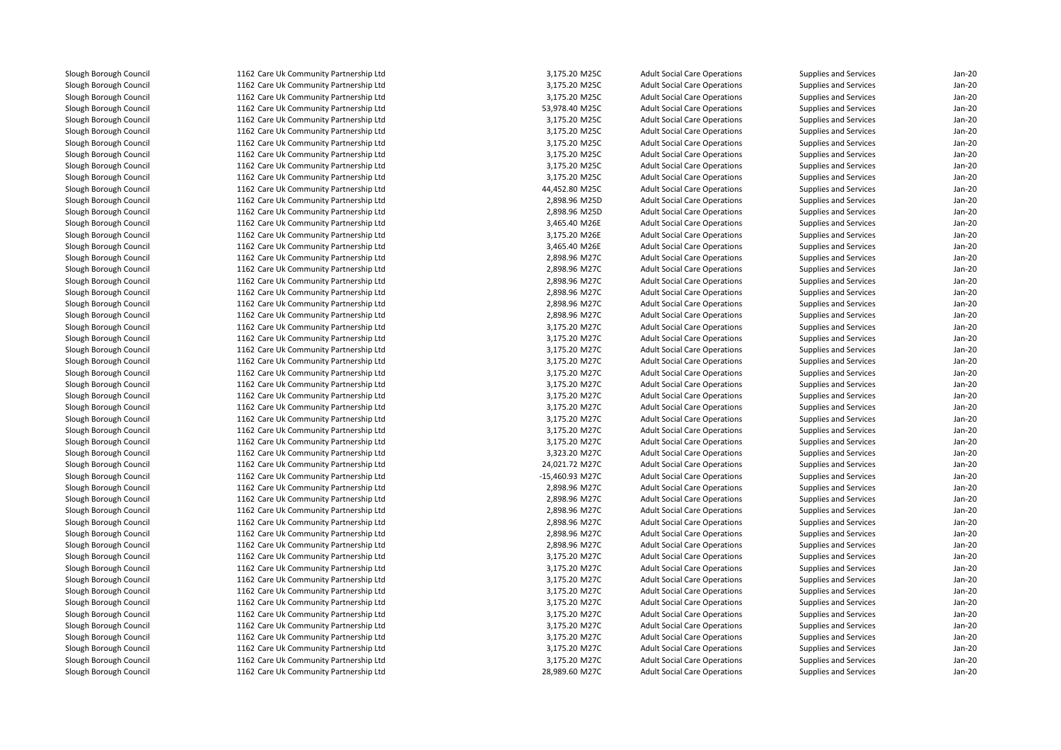1162 Care Uk Community Partnership Ltd 1162 Care Uk Community Partnership Ltd 1162 Care Uk Community Partnership Ltd 1162 Care Uk Community Partnership Ltd 1162 Care Uk Community Partnership Ltd 1162 Care Uk Community Partnership Ltd 1162 Care Uk Community Partnership Ltd 1162 Care Uk Community Partnership Ltd 1162 Care Uk Community Partnership Ltd 1162 Care Uk Community Partnership Ltd 1162 Care Uk Community Partnership Ltd 1162 Care Uk Community Partnership Ltd 1162 Care Uk Community Partnership Ltd 1162 Care Uk Community Partnership Ltd 1162 Care Uk Community Partnership Ltd 1162 Care Uk Community Partnership Ltd 1162 Care Uk Community Partnership Ltd 1162 Care Uk Community Partnership Ltd 1162 Care Uk Community Partnership Ltd 1162 Care Uk Community Partnership Ltd 1162 Care Uk Community Partnership Ltd 1162 Care Uk Community Partnership Ltd 1162 Care Uk Community Partnership Ltd 1162 Care Uk Community Partnership Ltd 1162 Care Uk Community Partnership Ltd 1162 Care Uk Community Partnership Ltd 1162 Care Uk Community Partnership Ltd 1162 Care Uk Community Partnership Ltd 1162 Care Uk Community Partnership Ltd 1162 Care Uk Community Partnership Ltd 1162 Care Uk Community Partnership Ltd 1162 Care Uk Community Partnership Ltd 1162 Care Uk Community Partnership Ltd 1162 Care Uk Community Partnership Ltd 1162 Care Uk Community Partnership Ltd 1162 Care Uk Community Partnership Ltd 1162 Care Uk Community Partnership Ltd 1162 Care Uk Community Partnership Ltd 1162 Care Uk Community Partnership Ltd 1162 Care Uk Community Partnership Ltd 1162 Care Uk Community Partnership Ltd 1162 Care Uk Community Partnership Ltd 1162 Care Uk Community Partnership Ltd 1162 Care Uk Community Partnership Ltd 1162 Care Uk Community Partnership Ltd 1162 Care Uk Community Partnership Ltd 1162 Care Uk Community Partnership Ltd 1162 Care Uk Community Partnership Ltd 1162 Care Uk Community Partnership Ltd 1162 Care Uk Community Partnership Ltd 1162 Care Uk Community Partnership Ltd 1162 Care Uk Community Partnership Ltd1162 Care Uk Community Partnership Ltd

| d      | 3,175.20 M25C   | <b>Adult Social Care Operations</b> | <b>Supplies and Services</b> | $Jan-20$ |
|--------|-----------------|-------------------------------------|------------------------------|----------|
| d      | 3,175.20 M25C   | <b>Adult Social Care Operations</b> | Supplies and Services        | Jan-20   |
| d      | 3,175.20 M25C   | <b>Adult Social Care Operations</b> | Supplies and Services        | $Jan-20$ |
| d      | 53,978.40 M25C  | <b>Adult Social Care Operations</b> | Supplies and Services        | $Jan-20$ |
| d      | 3,175.20 M25C   | <b>Adult Social Care Operations</b> | Supplies and Services        | $Jan-20$ |
| d      | 3,175.20 M25C   | <b>Adult Social Care Operations</b> | Supplies and Services        | $Jan-20$ |
| d      | 3,175.20 M25C   | <b>Adult Social Care Operations</b> | <b>Supplies and Services</b> | $Jan-20$ |
| d      | 3,175.20 M25C   | <b>Adult Social Care Operations</b> | Supplies and Services        | Jan-20   |
| d      | 3,175.20 M25C   | <b>Adult Social Care Operations</b> | Supplies and Services        | $Jan-20$ |
| d      | 3,175.20 M25C   | <b>Adult Social Care Operations</b> | Supplies and Services        | $Jan-20$ |
| d      | 44,452.80 M25C  | <b>Adult Social Care Operations</b> | Supplies and Services        | $Jan-20$ |
| d      | 2,898.96 M25D   | <b>Adult Social Care Operations</b> | Supplies and Services        | $Jan-20$ |
| d      | 2,898.96 M25D   | <b>Adult Social Care Operations</b> | Supplies and Services        | $Jan-20$ |
| d      | 3,465.40 M26E   | <b>Adult Social Care Operations</b> | Supplies and Services        | $Jan-20$ |
| d      | 3,175.20 M26E   | <b>Adult Social Care Operations</b> | Supplies and Services        | $Jan-20$ |
| d      | 3,465.40 M26E   | <b>Adult Social Care Operations</b> | Supplies and Services        | $Jan-20$ |
| d      | 2,898.96 M27C   | <b>Adult Social Care Operations</b> | Supplies and Services        | $Jan-20$ |
| d      | 2,898.96 M27C   | <b>Adult Social Care Operations</b> | <b>Supplies and Services</b> | $Jan-20$ |
| d      | 2,898.96 M27C   | <b>Adult Social Care Operations</b> | Supplies and Services        | $Jan-20$ |
| d      | 2,898.96 M27C   | <b>Adult Social Care Operations</b> | Supplies and Services        | Jan-20   |
| d      | 2,898.96 M27C   | <b>Adult Social Care Operations</b> | Supplies and Services        | $Jan-20$ |
| d      | 2,898.96 M27C   | <b>Adult Social Care Operations</b> | Supplies and Services        | $Jan-20$ |
| d      | 3,175.20 M27C   | <b>Adult Social Care Operations</b> | Supplies and Services        | $Jan-20$ |
| d      | 3,175.20 M27C   | <b>Adult Social Care Operations</b> | Supplies and Services        | $Jan-20$ |
| d      | 3,175.20 M27C   | <b>Adult Social Care Operations</b> | Supplies and Services        | $Jan-20$ |
| d      | 3,175.20 M27C   | <b>Adult Social Care Operations</b> | Supplies and Services        | Jan-20   |
| d      | 3,175.20 M27C   | <b>Adult Social Care Operations</b> | Supplies and Services        | $Jan-20$ |
| d      | 3,175.20 M27C   | <b>Adult Social Care Operations</b> | Supplies and Services        | $Jan-20$ |
| d      | 3,175.20 M27C   | <b>Adult Social Care Operations</b> | Supplies and Services        | $Jan-20$ |
| d      | 3,175.20 M27C   | <b>Adult Social Care Operations</b> | Supplies and Services        | $Jan-20$ |
| d      | 3,175.20 M27C   | <b>Adult Social Care Operations</b> | Supplies and Services        | $Jan-20$ |
| d      | 3,175.20 M27C   | <b>Adult Social Care Operations</b> | Supplies and Services        | Jan-20   |
| d      | 3,175.20 M27C   | <b>Adult Social Care Operations</b> | Supplies and Services        | $Jan-20$ |
| d      | 3,323.20 M27C   | <b>Adult Social Care Operations</b> | Supplies and Services        | $Jan-20$ |
| d      | 24,021.72 M27C  | <b>Adult Social Care Operations</b> | Supplies and Services        | $Jan-20$ |
| d      | -15,460.93 M27C | <b>Adult Social Care Operations</b> | Supplies and Services        | $Jan-20$ |
| d      | 2,898.96 M27C   | <b>Adult Social Care Operations</b> | Supplies and Services        | $Jan-20$ |
| d      | 2,898.96 M27C   | <b>Adult Social Care Operations</b> | Supplies and Services        | Jan-20   |
| d      | 2,898.96 M27C   | <b>Adult Social Care Operations</b> | Supplies and Services        | $Jan-20$ |
| d      | 2,898.96 M27C   | <b>Adult Social Care Operations</b> | Supplies and Services        | $Jan-20$ |
|        |                 |                                     |                              | Jan-20   |
| d<br>d | 2,898.96 M27C   | <b>Adult Social Care Operations</b> | Supplies and Services        | $Jan-20$ |
|        | 2,898.96 M27C   | <b>Adult Social Care Operations</b> | Supplies and Services        | $Jan-20$ |
| d      | 3,175.20 M27C   | <b>Adult Social Care Operations</b> | Supplies and Services        |          |
| d      | 3,175.20 M27C   | <b>Adult Social Care Operations</b> | Supplies and Services        | Jan-20   |
| d      | 3,175.20 M27C   | <b>Adult Social Care Operations</b> | Supplies and Services        | $Jan-20$ |
| d      | 3,175.20 M27C   | <b>Adult Social Care Operations</b> | Supplies and Services        | $Jan-20$ |
| d      | 3,175.20 M27C   | <b>Adult Social Care Operations</b> | Supplies and Services        | Jan-20   |
| d      | 3,175.20 M27C   | <b>Adult Social Care Operations</b> | Supplies and Services        | $Jan-20$ |
| d      | 3,175.20 M27C   | <b>Adult Social Care Operations</b> | Supplies and Services        | $Jan-20$ |
| d      | 3,175.20 M27C   | <b>Adult Social Care Operations</b> | Supplies and Services        | Jan-20   |
| d      | 3,175.20 M27C   | <b>Adult Social Care Operations</b> | Supplies and Services        | Jan-20   |
| d      | 3,175.20 M27C   | <b>Adult Social Care Operations</b> | Supplies and Services        | Jan-20   |
| d      | 28.989.60 M27C  | <b>Adult Social Care Operations</b> | Supplies and Services        | $Jan-20$ |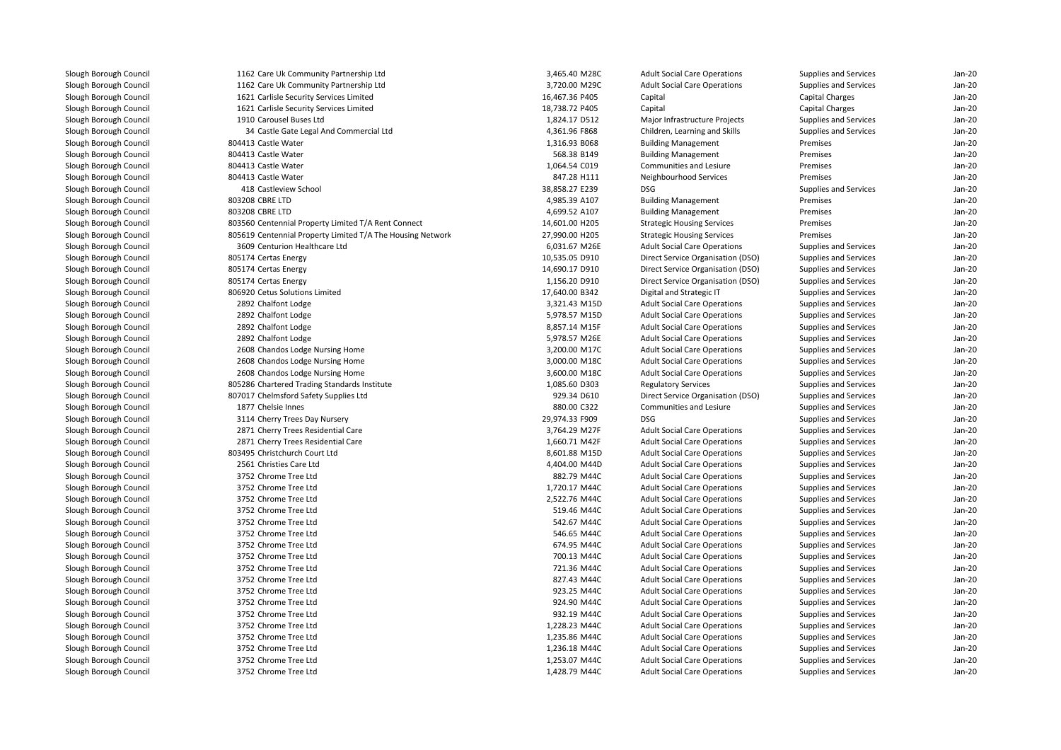| 1162 Care Uk Community Partnership Ltd                     | 3,465.40 M28C  | <b>Adult Social Care Operations</b> | Supplies and Services | $Jan-2C$ |
|------------------------------------------------------------|----------------|-------------------------------------|-----------------------|----------|
| 1162 Care Uk Community Partnership Ltd                     | 3,720.00 M29C  | <b>Adult Social Care Operations</b> | Supplies and Services | Jan-20   |
| 1621 Carlisle Security Services Limited                    | 16,467.36 P405 | Capital                             | Capital Charges       | $Jan-2C$ |
| 1621 Carlisle Security Services Limited                    | 18,738.72 P405 | Capital                             | Capital Charges       | Jan-20   |
| 1910 Carousel Buses Ltd                                    | 1,824.17 D512  | Major Infrastructure Projects       | Supplies and Services | $Jan-2C$ |
| 34 Castle Gate Legal And Commercial Ltd                    | 4,361.96 F868  | Children, Learning and Skills       | Supplies and Services | $Jan-2C$ |
| 804413 Castle Water                                        | 1,316.93 B068  | <b>Building Management</b>          | Premises              | Jan-20   |
| 804413 Castle Water                                        | 568.38 B149    | <b>Building Management</b>          | Premises              | Jan-20   |
| 804413 Castle Water                                        | 1,064.54 C019  | Communities and Lesiure             | Premises              | Jan-20   |
| 804413 Castle Water                                        | 847.28 H111    | Neighbourhood Services              | Premises              | Jan-20   |
| 418 Castleview School                                      | 38,858.27 E239 | <b>DSG</b>                          | Supplies and Services | $Jan-2C$ |
| 803208 CBRE LTD                                            | 4,985.39 A107  | <b>Building Management</b>          | Premises              | $Jan-2C$ |
| 803208 CBRE LTD                                            | 4,699.52 A107  | <b>Building Management</b>          | Premises              | $Jan-2C$ |
| 803560 Centennial Property Limited T/A Rent Connect        | 14,601.00 H205 | <b>Strategic Housing Services</b>   | Premises              | $Jan-2C$ |
| 805619 Centennial Property Limited T/A The Housing Network | 27,990.00 H205 | <b>Strategic Housing Services</b>   | Premises              | Jan-20   |
| 3609 Centurion Healthcare Ltd                              | 6,031.67 M26E  | <b>Adult Social Care Operations</b> | Supplies and Services | $Jan-2C$ |
| 805174 Certas Energy                                       | 10,535.05 D910 | Direct Service Organisation (DSO)   | Supplies and Services | Jan-20   |
| 805174 Certas Energy                                       | 14,690.17 D910 | Direct Service Organisation (DSO)   | Supplies and Services | $Jan-2C$ |
| 805174 Certas Energy                                       | 1,156.20 D910  | Direct Service Organisation (DSO)   | Supplies and Services | $Jan-2C$ |
| 806920 Cetus Solutions Limited                             | 17,640.00 B342 | Digital and Strategic IT            | Supplies and Services | Jan-20   |
| 2892 Chalfont Lodge                                        | 3,321.43 M15D  | <b>Adult Social Care Operations</b> | Supplies and Services | $Jan-2C$ |
| 2892 Chalfont Lodge                                        | 5,978.57 M15D  | <b>Adult Social Care Operations</b> | Supplies and Services | Jan-20   |
| 2892 Chalfont Lodge                                        | 8,857.14 M15F  | <b>Adult Social Care Operations</b> | Supplies and Services | Jan-20   |
| 2892 Chalfont Lodge                                        | 5,978.57 M26E  | <b>Adult Social Care Operations</b> | Supplies and Services | Jan-20   |
| 2608 Chandos Lodge Nursing Home                            | 3,200.00 M17C  | <b>Adult Social Care Operations</b> | Supplies and Services | Jan-20   |
| 2608 Chandos Lodge Nursing Home                            | 3,000.00 M18C  | <b>Adult Social Care Operations</b> | Supplies and Services | $Jan-2C$ |
| 2608 Chandos Lodge Nursing Home                            | 3,600.00 M18C  | <b>Adult Social Care Operations</b> | Supplies and Services | Jan-20   |
| 805286 Chartered Trading Standards Institute               | 1,085.60 D303  | <b>Regulatory Services</b>          | Supplies and Services | $Jan-2C$ |
| 807017 Chelmsford Safety Supplies Ltd                      | 929.34 D610    | Direct Service Organisation (DSO)   | Supplies and Services | $Jan-2C$ |
| 1877 Chelsie Innes                                         | 880.00 C322    | Communities and Lesiure             | Supplies and Services | $Jan-2C$ |
| 3114 Cherry Trees Day Nursery                              | 29,974.33 F909 | <b>DSG</b>                          | Supplies and Services | Jan-20   |
| 2871 Cherry Trees Residential Care                         | 3,764.29 M27F  | <b>Adult Social Care Operations</b> | Supplies and Services | Jan-20   |
| 2871 Cherry Trees Residential Care                         | 1,660.71 M42F  | <b>Adult Social Care Operations</b> | Supplies and Services | Jan-20   |
| 803495 Christchurch Court Ltd                              | 8,601.88 M15D  | <b>Adult Social Care Operations</b> | Supplies and Services | $Jan-2C$ |
| 2561 Christies Care Ltd                                    | 4,404.00 M44D  | <b>Adult Social Care Operations</b> | Supplies and Services | Jan-20   |
| 3752 Chrome Tree Ltd                                       | 882.79 M44C    | <b>Adult Social Care Operations</b> | Supplies and Services | $Jan-2C$ |
| 3752 Chrome Tree Ltd                                       | 1,720.17 M44C  | <b>Adult Social Care Operations</b> | Supplies and Services | Jan-20   |
| 3752 Chrome Tree Ltd                                       | 2.522.76 M44C  | <b>Adult Social Care Operations</b> | Supplies and Services | Jan-20   |
| 3752 Chrome Tree Ltd                                       | 519.46 M44C    | <b>Adult Social Care Operations</b> | Supplies and Services | Jan-20   |
| 3752 Chrome Tree Ltd                                       | 542.67 M44C    | <b>Adult Social Care Operations</b> | Supplies and Services | Jan-20   |
| 3752 Chrome Tree Ltd                                       | 546.65 M44C    | <b>Adult Social Care Operations</b> | Supplies and Services | Jan-20   |
| 3752 Chrome Tree Ltd                                       | 674.95 M44C    | <b>Adult Social Care Operations</b> | Supplies and Services | $Jan-2C$ |
| 3752 Chrome Tree Ltd                                       | 700.13 M44C    | <b>Adult Social Care Operations</b> | Supplies and Services | $Jan-2C$ |
| 3752 Chrome Tree Ltd                                       | 721.36 M44C    | <b>Adult Social Care Operations</b> | Supplies and Services | $Jan-2C$ |
| 3752 Chrome Tree Ltd                                       | 827.43 M44C    | <b>Adult Social Care Operations</b> | Supplies and Services | $Jan-2C$ |
| 3752 Chrome Tree Ltd                                       | 923.25 M44C    | <b>Adult Social Care Operations</b> | Supplies and Services | Jan-20   |
| 3752 Chrome Tree Ltd                                       | 924.90 M44C    | <b>Adult Social Care Operations</b> | Supplies and Services | Jan-20   |
| 3752 Chrome Tree Ltd                                       | 932.19 M44C    | <b>Adult Social Care Operations</b> | Supplies and Services | Jan-20   |
| 3752 Chrome Tree Ltd                                       | 1,228.23 M44C  | <b>Adult Social Care Operations</b> | Supplies and Services | $Jan-2C$ |
| 3752 Chrome Tree Ltd                                       | 1,235.86 M44C  | <b>Adult Social Care Operations</b> | Supplies and Services | $Jan-2C$ |
| 3752 Chrome Tree Ltd                                       | 1,236.18 M44C  | <b>Adult Social Care Operations</b> | Supplies and Services | $Jan-2C$ |
| 3752 Chrome Tree Ltd                                       | 1,253.07 M44C  | <b>Adult Social Care Operations</b> | Supplies and Services | $Jan-2C$ |
| 3752 Chrome Tree Ltd                                       | 1,428.79 M44C  | <b>Adult Social Care Operations</b> | Supplies and Services | Jan-20   |
|                                                            |                |                                     |                       |          |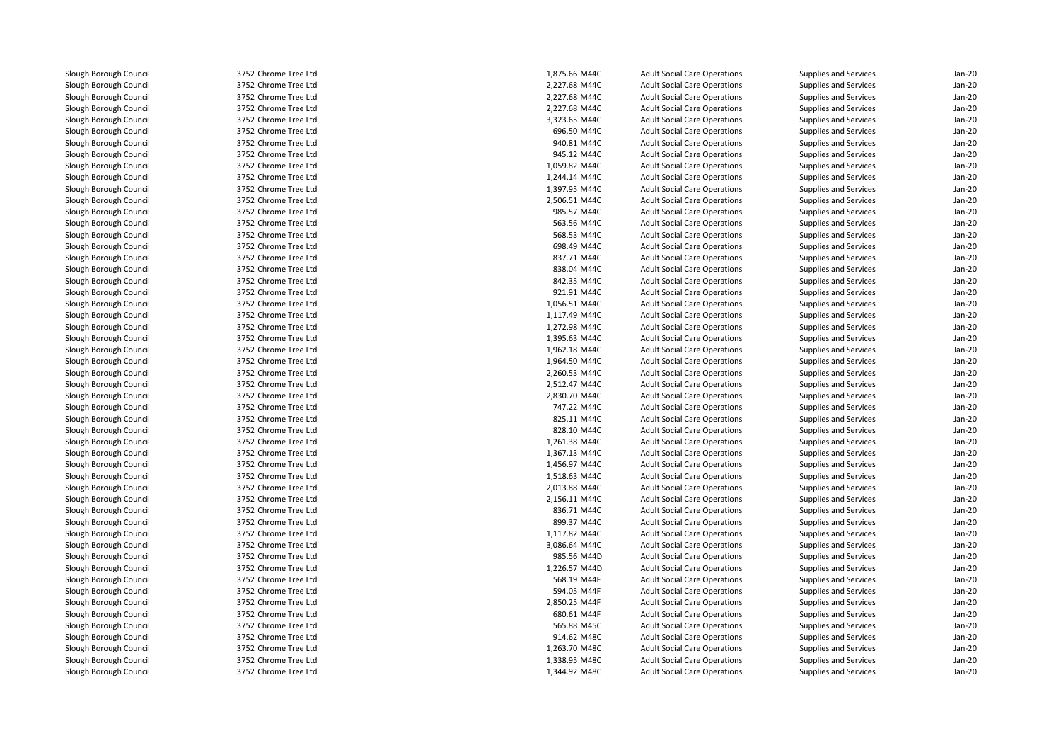3752 Chrome Tree Ltd 3752 Chrome Tree Ltd 3752 Chrome Tree Ltd 3752 Chrome Tree Ltd 3752 Chrome Tree Ltd 3752 Chrome Tree Ltd 3752 Chrome Tree Ltd 3752 Chrome Tree Ltd 3752 Chrome Tree Ltd 3752 Chrome Tree Ltd 3752 Chrome Tree Ltd 3752 Chrome Tree Ltd 3752 Chrome Tree Ltd 3752 Chrome Tree Ltd 3752 Chrome Tree Ltd 3752 Chrome Tree Ltd 3752 Chrome Tree Ltd 3752 Chrome Tree Ltd 3752 Chrome Tree Ltd 3752 Chrome Tree Ltd 3752 Chrome Tree Ltd 3752 Chrome Tree Ltd 3752 Chrome Tree Ltd 3752 Chrome Tree Ltd 3752 Chrome Tree Ltd 3752 Chrome Tree Ltd 3752 Chrome Tree Ltd 3752 Chrome Tree Ltd 3752 Chrome Tree Ltd 3752 Chrome Tree Ltd 3752 Chrome Tree Ltd 3752 Chrome Tree Ltd 3752 Chrome Tree Ltd 3752 Chrome Tree Ltd 3752 Chrome Tree Ltd 3752 Chrome Tree Ltd 3752 Chrome Tree Ltd 3752 Chrome Tree Ltd 3752 Chrome Tree Ltd 3752 Chrome Tree Ltd 3752 Chrome Tree Ltd 3752 Chrome Tree Ltd 3752 Chrome Tree Ltd 3752 Chrome Tree Ltd 3752 Chrome Tree Ltd 3752 Chrome Tree Ltd 3752 Chrome Tree Ltd 3752 Chrome Tree Ltd 3752 Chrome Tree Ltd 3752 Chrome Tree Ltd 3752 Chrome Tree Ltd 3752 Chrome Tree Ltd3752 Chrome Tree Ltd

| d | 1,875.66 M44C | <b>Adult Social Care Operations</b> | <b>Supplies and Services</b> | $Jan-2C$ |
|---|---------------|-------------------------------------|------------------------------|----------|
| d | 2,227.68 M44C | <b>Adult Social Care Operations</b> | Supplies and Services        | $Jan-2C$ |
| d | 2,227.68 M44C | <b>Adult Social Care Operations</b> | Supplies and Services        | Jan-20   |
| d | 2,227.68 M44C | <b>Adult Social Care Operations</b> | Supplies and Services        | Jan-20   |
| d | 3,323.65 M44C | <b>Adult Social Care Operations</b> | Supplies and Services        | Jan-20   |
| d | 696.50 M44C   | <b>Adult Social Care Operations</b> | Supplies and Services        | Jan-20   |
| d | 940.81 M44C   | <b>Adult Social Care Operations</b> | Supplies and Services        | Jan-20   |
| d | 945.12 M44C   | <b>Adult Social Care Operations</b> | Supplies and Services        | Jan-20   |
| d | 1,059.82 M44C | <b>Adult Social Care Operations</b> | Supplies and Services        | Jan-20   |
| d | 1,244.14 M44C | <b>Adult Social Care Operations</b> | Supplies and Services        | $Jan-2C$ |
| d | 1,397.95 M44C | <b>Adult Social Care Operations</b> | Supplies and Services        | Jan-20   |
| d | 2,506.51 M44C | <b>Adult Social Care Operations</b> | Supplies and Services        | Jan-20   |
| d | 985.57 M44C   | <b>Adult Social Care Operations</b> | Supplies and Services        | Jan-20   |
| d | 563.56 M44C   | <b>Adult Social Care Operations</b> | Supplies and Services        | Jan-20   |
| d | 568.53 M44C   | <b>Adult Social Care Operations</b> | Supplies and Services        | Jan-20   |
| d | 698.49 M44C   | <b>Adult Social Care Operations</b> | Supplies and Services        | Jan-20   |
| d | 837.71 M44C   | <b>Adult Social Care Operations</b> | Supplies and Services        | Jan-20   |
| d | 838.04 M44C   | <b>Adult Social Care Operations</b> | Supplies and Services        | Jan-20   |
| d | 842.35 M44C   | <b>Adult Social Care Operations</b> | Supplies and Services        | Jan-20   |
| d | 921.91 M44C   | <b>Adult Social Care Operations</b> | Supplies and Services        | $Jan-2C$ |
| d | 1,056.51 M44C | <b>Adult Social Care Operations</b> | Supplies and Services        | Jan-20   |
| d | 1,117.49 M44C | <b>Adult Social Care Operations</b> | Supplies and Services        | Jan-20   |
| d | 1,272.98 M44C | <b>Adult Social Care Operations</b> | Supplies and Services        | $Jan-2C$ |
| d | 1,395.63 M44C | <b>Adult Social Care Operations</b> | Supplies and Services        | Jan-20   |
| d | 1,962.18 M44C | <b>Adult Social Care Operations</b> | Supplies and Services        | Jan-20   |
| d | 1,964.50 M44C | <b>Adult Social Care Operations</b> | Supplies and Services        | Jan-20   |
| d | 2,260.53 M44C | <b>Adult Social Care Operations</b> | Supplies and Services        | Jan-20   |
| d | 2,512.47 M44C | <b>Adult Social Care Operations</b> | Supplies and Services        | $Jan-2C$ |
| d | 2,830.70 M44C | <b>Adult Social Care Operations</b> | Supplies and Services        | Jan-20   |
| d | 747.22 M44C   | <b>Adult Social Care Operations</b> | Supplies and Services        | $Jan-2C$ |
| d | 825.11 M44C   | <b>Adult Social Care Operations</b> | Supplies and Services        | Jan-20   |
| d | 828.10 M44C   | <b>Adult Social Care Operations</b> | Supplies and Services        | $Jan-2C$ |
| d | 1,261.38 M44C | <b>Adult Social Care Operations</b> | Supplies and Services        | Jan-20   |
| d | 1,367.13 M44C | <b>Adult Social Care Operations</b> | Supplies and Services        | Jan-20   |
| d | 1,456.97 M44C | <b>Adult Social Care Operations</b> | Supplies and Services        | $Jan-2C$ |
| d | 1,518.63 M44C | <b>Adult Social Care Operations</b> | Supplies and Services        | Jan-20   |
| d | 2,013.88 M44C | <b>Adult Social Care Operations</b> | Supplies and Services        | $Jan-2C$ |
| d | 2,156.11 M44C | <b>Adult Social Care Operations</b> | Supplies and Services        | Jan-20   |
| d | 836.71 M44C   | <b>Adult Social Care Operations</b> | Supplies and Services        | $Jan-2C$ |
| d | 899.37 M44C   | <b>Adult Social Care Operations</b> | Supplies and Services        | $Jan-2C$ |
| d | 1,117.82 M44C | <b>Adult Social Care Operations</b> | Supplies and Services        | Jan-20   |
| d | 3,086.64 M44C | <b>Adult Social Care Operations</b> | Supplies and Services        | Jan-20   |
| d | 985.56 M44D   | <b>Adult Social Care Operations</b> | Supplies and Services        | Jan-20   |
| d | 1,226.57 M44D | <b>Adult Social Care Operations</b> | Supplies and Services        | Jan-20   |
| d | 568.19 M44F   | <b>Adult Social Care Operations</b> |                              | $Jan-2C$ |
| d | 594.05 M44F   |                                     | Supplies and Services        | Jan-20   |
| d | 2,850.25 M44F | <b>Adult Social Care Operations</b> | Supplies and Services        | Jan-20   |
| d | 680.61 M44F   | <b>Adult Social Care Operations</b> | Supplies and Services        |          |
|   |               | <b>Adult Social Care Operations</b> | Supplies and Services        | Jan-20   |
| d | 565.88 M45C   | <b>Adult Social Care Operations</b> | Supplies and Services        | Jan-20   |
| d | 914.62 M48C   | <b>Adult Social Care Operations</b> | Supplies and Services        | $Jan-2C$ |
| d | 1,263.70 M48C | <b>Adult Social Care Operations</b> | Supplies and Services        | Jan-20   |
| d | 1,338.95 M48C | <b>Adult Social Care Operations</b> | Supplies and Services        | Jan-20   |
| d | 1,344.92 M48C | <b>Adult Social Care Operations</b> | <b>Supplies and Services</b> | $Jan-2C$ |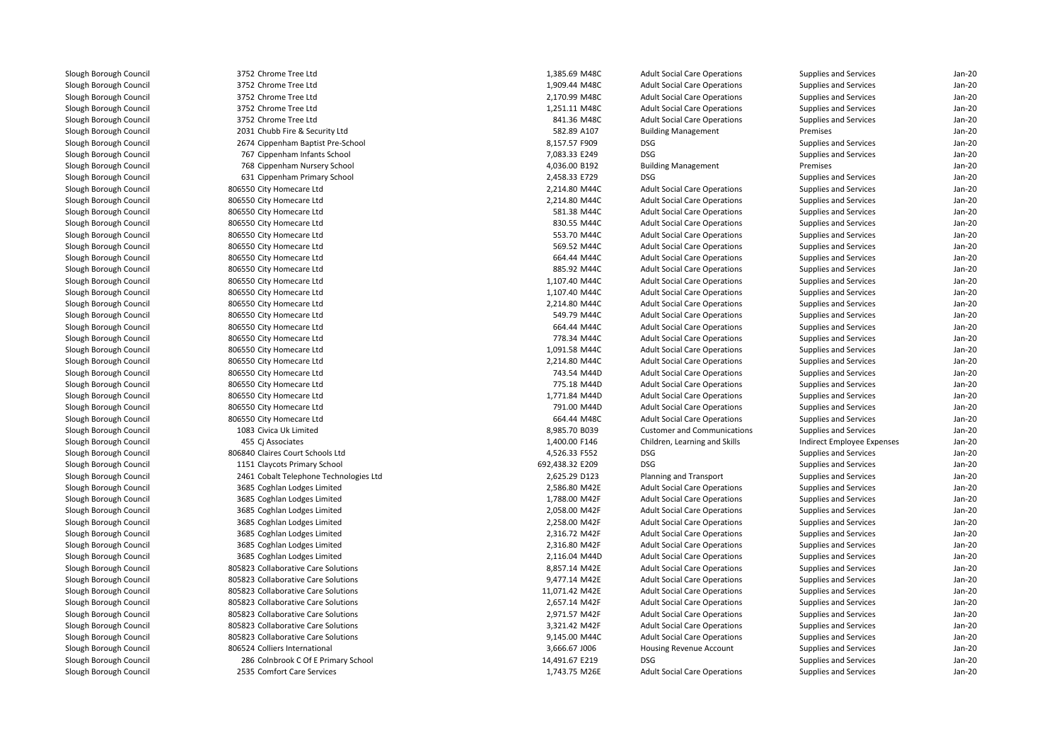| 3752 Chrome Tree Ltd                   | 1,385.69 M48C   | <b>Adult Social Care Operations</b> | Supplies and Services      | Jan-20   |
|----------------------------------------|-----------------|-------------------------------------|----------------------------|----------|
| 3752 Chrome Tree Ltd                   | 1,909.44 M48C   | <b>Adult Social Care Operations</b> | Supplies and Services      | $Jan-20$ |
| 3752 Chrome Tree Ltd                   | 2,170.99 M48C   | <b>Adult Social Care Operations</b> | Supplies and Services      | $Jan-20$ |
| 3752 Chrome Tree Ltd                   | 1,251.11 M48C   | <b>Adult Social Care Operations</b> | Supplies and Services      | Jan-20   |
| 3752 Chrome Tree Ltd                   | 841.36 M48C     | <b>Adult Social Care Operations</b> | Supplies and Services      | $Jan-20$ |
| 2031 Chubb Fire & Security Ltd         | 582.89 A107     | <b>Building Management</b>          | Premises                   | Jan-20   |
| 2674 Cippenham Baptist Pre-School      | 8,157.57 F909   | DSG                                 | Supplies and Services      | $Jan-20$ |
| 767 Cippenham Infants School           | 7,083.33 E249   | <b>DSG</b>                          | Supplies and Services      | $Jan-20$ |
| 768 Cippenham Nursery School           | 4,036.00 B192   | <b>Building Management</b>          | Premises                   | Jan-20   |
| 631 Cippenham Primary School           | 2,458.33 E729   | <b>DSG</b>                          | Supplies and Services      | $Jan-20$ |
| 806550 City Homecare Ltd               | 2,214.80 M44C   | <b>Adult Social Care Operations</b> | Supplies and Services      | $Jan-20$ |
| 806550 City Homecare Ltd               | 2,214.80 M44C   | <b>Adult Social Care Operations</b> | Supplies and Services      | $Jan-20$ |
| 806550 City Homecare Ltd               | 581.38 M44C     | <b>Adult Social Care Operations</b> | Supplies and Services      | $Jan-20$ |
| 806550 City Homecare Ltd               | 830.55 M44C     | <b>Adult Social Care Operations</b> | Supplies and Services      | $Jan-20$ |
| 806550 City Homecare Ltd               | 553.70 M44C     | <b>Adult Social Care Operations</b> | Supplies and Services      | $Jan-20$ |
| 806550 City Homecare Ltd               | 569.52 M44C     | <b>Adult Social Care Operations</b> | Supplies and Services      | Jan-20   |
| 806550 City Homecare Ltd               | 664.44 M44C     | <b>Adult Social Care Operations</b> | Supplies and Services      | Jan-20   |
| 806550 City Homecare Ltd               | 885.92 M44C     | <b>Adult Social Care Operations</b> | Supplies and Services      | $Jan-20$ |
| 806550 City Homecare Ltd               | 1,107.40 M44C   | <b>Adult Social Care Operations</b> | Supplies and Services      | Jan-20   |
| 806550 City Homecare Ltd               | 1,107.40 M44C   | <b>Adult Social Care Operations</b> | Supplies and Services      | $Jan-20$ |
| 806550 City Homecare Ltd               | 2,214.80 M44C   | <b>Adult Social Care Operations</b> | Supplies and Services      | $Jan-20$ |
| 806550 City Homecare Ltd               | 549.79 M44C     | <b>Adult Social Care Operations</b> | Supplies and Services      | Jan-20   |
| 806550 City Homecare Ltd               | 664.44 M44C     | <b>Adult Social Care Operations</b> | Supplies and Services      | $Jan-20$ |
| 806550 City Homecare Ltd               | 778.34 M44C     | <b>Adult Social Care Operations</b> | Supplies and Services      | $Jan-20$ |
| 806550 City Homecare Ltd               | 1,091.58 M44C   | <b>Adult Social Care Operations</b> | Supplies and Services      | Jan-20   |
| 806550 City Homecare Ltd               | 2,214.80 M44C   | <b>Adult Social Care Operations</b> | Supplies and Services      | $Jan-20$ |
|                                        | 743.54 M44D     |                                     |                            | $Jan-20$ |
| 806550 City Homecare Ltd               |                 | <b>Adult Social Care Operations</b> | Supplies and Services      | Jan-20   |
| 806550 City Homecare Ltd               | 775.18 M44D     | <b>Adult Social Care Operations</b> | Supplies and Services      |          |
| 806550 City Homecare Ltd               | 1,771.84 M44D   | <b>Adult Social Care Operations</b> | Supplies and Services      | $Jan-20$ |
| 806550 City Homecare Ltd               | 791.00 M44D     | <b>Adult Social Care Operations</b> | Supplies and Services      | $Jan-20$ |
| 806550 City Homecare Ltd               | 664.44 M48C     | <b>Adult Social Care Operations</b> | Supplies and Services      | $Jan-20$ |
| 1083 Civica Uk Limited                 | 8,985.70 B039   | <b>Customer and Communications</b>  | Supplies and Services      | $Jan-20$ |
| 455 Cj Associates                      | 1,400.00 F146   | Children, Learning and Skills       | Indirect Employee Expenses | $Jan-20$ |
| 806840 Claires Court Schools Ltd       | 4,526.33 F552   | DSG                                 | Supplies and Services      | $Jan-20$ |
| 1151 Claycots Primary School           | 692,438.32 E209 | <b>DSG</b>                          | Supplies and Services      | $Jan-20$ |
| 2461 Cobalt Telephone Technologies Ltd | 2,625.29 D123   | Planning and Transport              | Supplies and Services      | Jan-20   |
| 3685 Coghlan Lodges Limited            | 2,586.80 M42E   | <b>Adult Social Care Operations</b> | Supplies and Services      | $Jan-20$ |
| 3685 Coghlan Lodges Limited            | 1,788.00 M42F   | <b>Adult Social Care Operations</b> | Supplies and Services      | Jan-20   |
| 3685 Coghlan Lodges Limited            | 2,058.00 M42F   | <b>Adult Social Care Operations</b> | Supplies and Services      | $Jan-20$ |
| 3685 Coghlan Lodges Limited            | 2,258.00 M42F   | <b>Adult Social Care Operations</b> | Supplies and Services      | $Jan-20$ |
| 3685 Coghlan Lodges Limited            | 2,316.72 M42F   | <b>Adult Social Care Operations</b> | Supplies and Services      | $Jan-20$ |
| 3685 Coghlan Lodges Limited            | 2,316.80 M42F   | <b>Adult Social Care Operations</b> | Supplies and Services      | $Jan-20$ |
| 3685 Coghlan Lodges Limited            | 2,116.04 M44D   | <b>Adult Social Care Operations</b> | Supplies and Services      | $Jan-20$ |
| 805823 Collaborative Care Solutions    | 8,857.14 M42E   | <b>Adult Social Care Operations</b> | Supplies and Services      | Jan-20   |
| 805823 Collaborative Care Solutions    | 9,477.14 M42E   | <b>Adult Social Care Operations</b> | Supplies and Services      | $Jan-20$ |
| 805823 Collaborative Care Solutions    | 11,071.42 M42E  | <b>Adult Social Care Operations</b> | Supplies and Services      | $Jan-20$ |
| 805823 Collaborative Care Solutions    | 2,657.14 M42F   | <b>Adult Social Care Operations</b> | Supplies and Services      | $Jan-20$ |
| 805823 Collaborative Care Solutions    | 2,971.57 M42F   | <b>Adult Social Care Operations</b> | Supplies and Services      | $Jan-20$ |
| 805823 Collaborative Care Solutions    | 3,321.42 M42F   | <b>Adult Social Care Operations</b> | Supplies and Services      | Jan-20   |
| 805823 Collaborative Care Solutions    | 9,145.00 M44C   | <b>Adult Social Care Operations</b> | Supplies and Services      | $Jan-20$ |
| 806524 Colliers International          | 3,666.67 J006   | Housing Revenue Account             | Supplies and Services      | $Jan-20$ |
| 286 Colnbrook C Of E Primary School    | 14,491.67 E219  | <b>DSG</b>                          | Supplies and Services      | Jan-20   |
| 2535 Comfort Care Services             | 1,743.75 M26E   | <b>Adult Social Care Operations</b> | Supplies and Services      | $Jan-20$ |
|                                        |                 |                                     |                            |          |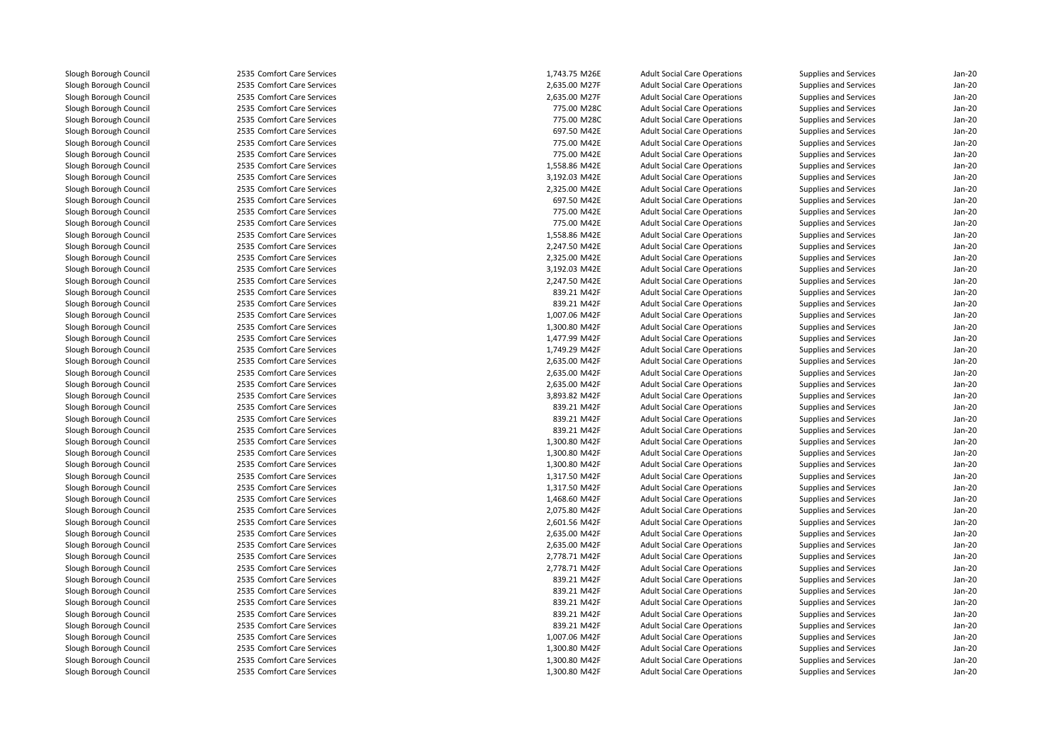2535 Comfort Care Services 2535 Comfort Care Services 2535 Comfort Care Services 2535 Comfort Care Services 775.00 M28C 2535 Comfort Care Services 775.00 M28C2535 Comfort Care Services 2535 Comfort Care Services 2535 Comfort Care Services 2535 Comfort Care Services 2535 Comfort Care Services 2535 Comfort Care Services 2535 Comfort Care Services 2535 Comfort Care Services 2535 Comfort Care Services 2535 Comfort Care Services 2535 Comfort Care Services 2535 Comfort Care Services 2535 Comfort Care Services 2535 Comfort Care Services 2535 Comfort Care Services 2535 Comfort Care Services 2535 Comfort Care Services 2535 Comfort Care Services 2535 Comfort Care Services 2535 Comfort Care Services 2535 Comfort Care Services 2535 Comfort Care Services 2535 Comfort Care Services 2535 Comfort Care Services 2535 Comfort Care Services 2535 Comfort Care Services 2535 Comfort Care Services 2535 Comfort Care Services 2535 Comfort Care Services 2535 Comfort Care Services 2535 Comfort Care Services 2535 Comfort Care Services 2535 Comfort Care Services 2535 Comfort Care Services 2535 Comfort Care Services 2535 Comfort Care Services 2535 Comfort Care Services 2535 Comfort Care Services 2535 Comfort Care Services 2535 Comfort Care Services 2535 Comfort Care Services 2535 Comfort Care Services 2535 Comfort Care Services 2535 Comfort Care Services 2535 Comfort Care Services 2535 Comfort Care Services 2535 Comfort Care Services 2535 Comfort Care Services

| 5 Comfort Care Services                            | 1.743.75 M26E | <b>Adult Social Care Operations</b> | <b>Supplies and Services</b> | Jan-20   |
|----------------------------------------------------|---------------|-------------------------------------|------------------------------|----------|
| 5 Comfort Care Services                            | 2,635.00 M27F | <b>Adult Social Care Operations</b> | Supplies and Services        | Jan-20   |
| 5 Comfort Care Services                            | 2,635.00 M27F | <b>Adult Social Care Operations</b> | Supplies and Services        | Jan-20   |
| 5 Comfort Care Services                            | 775.00 M28C   | <b>Adult Social Care Operations</b> | Supplies and Services        | Jan-20   |
| 5 Comfort Care Services                            | 775.00 M28C   | <b>Adult Social Care Operations</b> | Supplies and Services        | $Jan-2C$ |
| 5 Comfort Care Services                            | 697.50 M42E   | <b>Adult Social Care Operations</b> | Supplies and Services        | Jan-20   |
| 5 Comfort Care Services                            | 775.00 M42E   | <b>Adult Social Care Operations</b> | <b>Supplies and Services</b> | Jan-20   |
| 5 Comfort Care Services                            | 775.00 M42E   | <b>Adult Social Care Operations</b> | Supplies and Services        | Jan-20   |
| 5 Comfort Care Services                            | 1,558.86 M42E | <b>Adult Social Care Operations</b> | Supplies and Services        | Jan-20   |
| 5 Comfort Care Services                            | 3,192.03 M42E | <b>Adult Social Care Operations</b> | Supplies and Services        | $Jan-2C$ |
| 5 Comfort Care Services                            | 2,325.00 M42E | <b>Adult Social Care Operations</b> | <b>Supplies and Services</b> | $Jan-2C$ |
| 5 Comfort Care Services                            | 697.50 M42E   | <b>Adult Social Care Operations</b> | Supplies and Services        | Jan-20   |
| 5 Comfort Care Services                            | 775.00 M42E   | <b>Adult Social Care Operations</b> | Supplies and Services        | Jan-20   |
| 5 Comfort Care Services                            | 775.00 M42E   | <b>Adult Social Care Operations</b> | Supplies and Services        | Jan-20   |
| 5 Comfort Care Services                            | 1,558.86 M42E | <b>Adult Social Care Operations</b> | Supplies and Services        | $Jan-2C$ |
| 5 Comfort Care Services                            | 2,247.50 M42E | <b>Adult Social Care Operations</b> | <b>Supplies and Services</b> | $Jan-2C$ |
| 5 Comfort Care Services                            | 2,325.00 M42E | <b>Adult Social Care Operations</b> | Supplies and Services        | Jan-20   |
| 5 Comfort Care Services                            | 3,192.03 M42E | <b>Adult Social Care Operations</b> | Supplies and Services        | Jan-20   |
| 5 Comfort Care Services                            | 2,247.50 M42E | <b>Adult Social Care Operations</b> | Supplies and Services        | Jan-20   |
| 5 Comfort Care Services                            | 839.21 M42F   | <b>Adult Social Care Operations</b> | Supplies and Services        | Jan-20   |
| 5 Comfort Care Services                            | 839.21 M42F   | <b>Adult Social Care Operations</b> | Supplies and Services        | $Jan-2C$ |
| 5 Comfort Care Services                            | 1,007.06 M42F | <b>Adult Social Care Operations</b> | Supplies and Services        | $Jan-2C$ |
| 5 Comfort Care Services                            | 1,300.80 M42F | <b>Adult Social Care Operations</b> | Supplies and Services        | Jan-20   |
| 5 Comfort Care Services                            | 1,477.99 M42F | <b>Adult Social Care Operations</b> | Supplies and Services        | Jan-20   |
| 5 Comfort Care Services                            | 1,749.29 M42F | <b>Adult Social Care Operations</b> | Supplies and Services        | Jan-20   |
| 5 Comfort Care Services                            | 2,635.00 M42F | <b>Adult Social Care Operations</b> | Supplies and Services        | Jan-20   |
| 5 Comfort Care Services                            | 2,635.00 M42F | <b>Adult Social Care Operations</b> | <b>Supplies and Services</b> | Jan-20   |
| 5 Comfort Care Services                            | 2,635.00 M42F | <b>Adult Social Care Operations</b> | <b>Supplies and Services</b> | Jan-20   |
| 5 Comfort Care Services                            | 3,893.82 M42F | <b>Adult Social Care Operations</b> | Supplies and Services        | Jan-20   |
| 5 Comfort Care Services                            | 839.21 M42F   | <b>Adult Social Care Operations</b> | Supplies and Services        | Jan-20   |
| 5 Comfort Care Services                            | 839.21 M42F   | <b>Adult Social Care Operations</b> | Supplies and Services        | Jan-20   |
| 5 Comfort Care Services                            | 839.21 M42F   | <b>Adult Social Care Operations</b> | Supplies and Services        | $Jan-2C$ |
| 5 Comfort Care Services                            | 1,300.80 M42F | <b>Adult Social Care Operations</b> | <b>Supplies and Services</b> | $Jan-2C$ |
| 5 Comfort Care Services                            | 1,300.80 M42F | <b>Adult Social Care Operations</b> | Supplies and Services        | Jan-20   |
| 5 Comfort Care Services                            | 1,300.80 M42F | <b>Adult Social Care Operations</b> | Supplies and Services        | Jan-20   |
| 5 Comfort Care Services                            | 1,317.50 M42F | <b>Adult Social Care Operations</b> | Supplies and Services        | Jan-20   |
| 5 Comfort Care Services                            | 1,317.50 M42F | <b>Adult Social Care Operations</b> | Supplies and Services        | Jan-20   |
| 5 Comfort Care Services                            | 1,468.60 M42F | <b>Adult Social Care Operations</b> | Supplies and Services        | Jan-20   |
| 5 Comfort Care Services                            | 2,075.80 M42F | <b>Adult Social Care Operations</b> | Supplies and Services        | Jan-20   |
| 5 Comfort Care Services                            | 2,601.56 M42F | <b>Adult Social Care Operations</b> | Supplies and Services        | Jan-20   |
| 5 Comfort Care Services                            | 2,635.00 M42F | <b>Adult Social Care Operations</b> | Supplies and Services        | Jan-20   |
| 5 Comfort Care Services                            | 2,635.00 M42F |                                     |                              | $Jan-2C$ |
| 5 Comfort Care Services                            | 2,778.71 M42F | <b>Adult Social Care Operations</b> | Supplies and Services        | Jan-20   |
|                                                    | 2,778.71 M42F | <b>Adult Social Care Operations</b> | <b>Supplies and Services</b> | Jan-20   |
| 5 Comfort Care Services<br>5 Comfort Care Services | 839.21 M42F   | <b>Adult Social Care Operations</b> | Supplies and Services        | Jan-20   |
|                                                    |               | <b>Adult Social Care Operations</b> | Supplies and Services        |          |
| 5 Comfort Care Services                            | 839.21 M42F   | <b>Adult Social Care Operations</b> | Supplies and Services        | Jan-20   |
| 5 Comfort Care Services                            | 839.21 M42F   | <b>Adult Social Care Operations</b> | Supplies and Services        | Jan-20   |
| 5 Comfort Care Services                            | 839.21 M42F   | <b>Adult Social Care Operations</b> | Supplies and Services        | $Jan-2C$ |
| 5 Comfort Care Services                            | 839.21 M42F   | <b>Adult Social Care Operations</b> | Supplies and Services        | Jan-20   |
| 5 Comfort Care Services                            | 1,007.06 M42F | <b>Adult Social Care Operations</b> | Supplies and Services        | $Jan-2C$ |
| 5 Comfort Care Services                            | 1,300.80 M42F | <b>Adult Social Care Operations</b> | Supplies and Services        | Jan-20   |
| 5 Comfort Care Services                            | 1,300.80 M42F | <b>Adult Social Care Operations</b> | Supplies and Services        | Jan-20   |
| 5 Comfort Care Services                            | 1,300.80 M42F | <b>Adult Social Care Operations</b> | Supplies and Services        | $Jan-2C$ |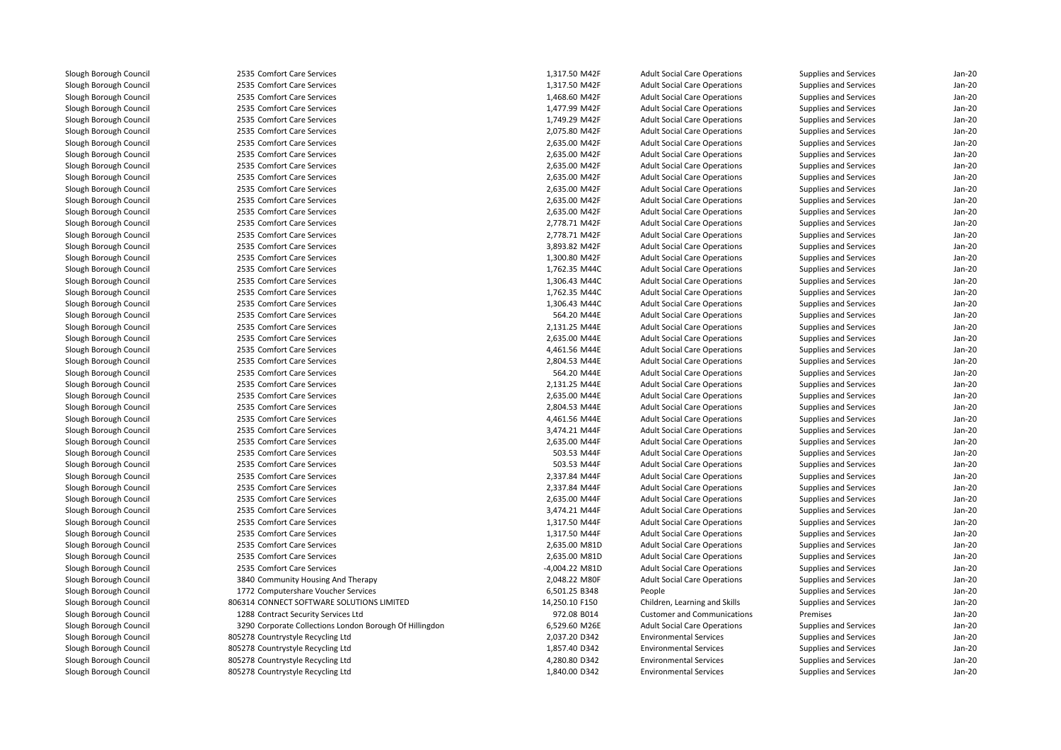| 2535 Comfort Care Services                              | 1,317.50 M42F  | <b>Adult Social Care Operations</b> | Supplies and Services | $Jan-2C$         |
|---------------------------------------------------------|----------------|-------------------------------------|-----------------------|------------------|
| 2535 Comfort Care Services                              | 1,317.50 M42F  | <b>Adult Social Care Operations</b> | Supplies and Services | Jan-20           |
| 2535 Comfort Care Services                              | 1,468.60 M42F  | <b>Adult Social Care Operations</b> | Supplies and Services | $Jan-2C$         |
| 2535 Comfort Care Services                              | 1,477.99 M42F  | <b>Adult Social Care Operations</b> | Supplies and Services | Jan-20           |
| 2535 Comfort Care Services                              | 1,749.29 M42F  | <b>Adult Social Care Operations</b> | Supplies and Services | Jan-20           |
| 2535 Comfort Care Services                              | 2,075.80 M42F  | <b>Adult Social Care Operations</b> | Supplies and Services | $Jan-2C$         |
| 2535 Comfort Care Services                              | 2,635.00 M42F  | <b>Adult Social Care Operations</b> | Supplies and Services | $Jan-2C$         |
| 2535 Comfort Care Services                              | 2,635.00 M42F  | <b>Adult Social Care Operations</b> | Supplies and Services | Jan-20           |
| 2535 Comfort Care Services                              | 2,635.00 M42F  | <b>Adult Social Care Operations</b> | Supplies and Services | $Jan-2C$         |
| 2535 Comfort Care Services                              | 2,635.00 M42F  | <b>Adult Social Care Operations</b> | Supplies and Services | Jan-20           |
| 2535 Comfort Care Services                              | 2,635.00 M42F  | <b>Adult Social Care Operations</b> | Supplies and Services | Jan-20           |
| 2535 Comfort Care Services                              | 2,635.00 M42F  | <b>Adult Social Care Operations</b> | Supplies and Services | $Jan-2C$         |
| 2535 Comfort Care Services                              | 2,635.00 M42F  | <b>Adult Social Care Operations</b> | Supplies and Services | Jan-20           |
| 2535 Comfort Care Services                              | 2,778.71 M42F  | <b>Adult Social Care Operations</b> | Supplies and Services | $Jan-2C$         |
| 2535 Comfort Care Services                              | 2,778.71 M42F  | <b>Adult Social Care Operations</b> | Supplies and Services | $Jan-2C$         |
| 2535 Comfort Care Services                              | 3,893.82 M42F  | <b>Adult Social Care Operations</b> | Supplies and Services | Jan-20           |
| 2535 Comfort Care Services                              | 1,300.80 M42F  | <b>Adult Social Care Operations</b> | Supplies and Services | Jan-20           |
| 2535 Comfort Care Services                              | 1,762.35 M44C  | <b>Adult Social Care Operations</b> | Supplies and Services | Jan-20           |
| 2535 Comfort Care Services                              | 1,306.43 M44C  | <b>Adult Social Care Operations</b> | Supplies and Services | $Jan-2C$         |
| 2535 Comfort Care Services                              | 1,762.35 M44C  | <b>Adult Social Care Operations</b> | Supplies and Services | $Jan-2C$         |
| 2535 Comfort Care Services                              | 1,306.43 M44C  | <b>Adult Social Care Operations</b> | Supplies and Services | $Jan-2C$         |
| 2535 Comfort Care Services                              | 564.20 M44E    | <b>Adult Social Care Operations</b> | Supplies and Services | Jan-20           |
| 2535 Comfort Care Services                              | 2,131.25 M44E  | <b>Adult Social Care Operations</b> | Supplies and Services | Jan-20           |
| 2535 Comfort Care Services                              | 2,635.00 M44E  | <b>Adult Social Care Operations</b> | Supplies and Services | Jan-20           |
| 2535 Comfort Care Services                              | 4,461.56 M44E  | <b>Adult Social Care Operations</b> | Supplies and Services | $Jan-2C$         |
| 2535 Comfort Care Services                              | 2,804.53 M44E  | <b>Adult Social Care Operations</b> | Supplies and Services | Jan-20           |
| 2535 Comfort Care Services                              | 564.20 M44E    | <b>Adult Social Care Operations</b> | Supplies and Services | $Jan-2C$         |
| 2535 Comfort Care Services                              | 2,131.25 M44E  | <b>Adult Social Care Operations</b> | Supplies and Services | Jan-20           |
| 2535 Comfort Care Services                              | 2,635.00 M44E  | <b>Adult Social Care Operations</b> | Supplies and Services | Jan-20           |
| 2535 Comfort Care Services                              | 2,804.53 M44E  | <b>Adult Social Care Operations</b> | Supplies and Services | Jan-20           |
| 2535 Comfort Care Services                              | 4,461.56 M44E  | <b>Adult Social Care Operations</b> | Supplies and Services | $Jan-2C$         |
| 2535 Comfort Care Services                              | 3,474.21 M44F  | <b>Adult Social Care Operations</b> | Supplies and Services | $Jan-2C$         |
| 2535 Comfort Care Services                              | 2,635.00 M44F  | <b>Adult Social Care Operations</b> | Supplies and Services | $Jan-2C$         |
| 2535 Comfort Care Services                              | 503.53 M44F    | <b>Adult Social Care Operations</b> | Supplies and Services | Jan-20           |
| 2535 Comfort Care Services                              | 503.53 M44F    | <b>Adult Social Care Operations</b> | Supplies and Services | Jan-20           |
| 2535 Comfort Care Services                              | 2,337.84 M44F  | <b>Adult Social Care Operations</b> | Supplies and Services | Jan-20           |
| 2535 Comfort Care Services                              | 2,337.84 M44F  | <b>Adult Social Care Operations</b> | Supplies and Services | Jan-20           |
| 2535 Comfort Care Services                              | 2,635.00 M44F  | <b>Adult Social Care Operations</b> | Supplies and Services | $Jan-2C$         |
| 2535 Comfort Care Services                              | 3,474.21 M44F  | <b>Adult Social Care Operations</b> |                       | Jan-20           |
| 2535 Comfort Care Services                              | 1,317.50 M44F  | <b>Adult Social Care Operations</b> | Supplies and Services | $Jan-2C$         |
| 2535 Comfort Care Services                              | 1,317.50 M44F  | <b>Adult Social Care Operations</b> | Supplies and Services | Jan-20           |
|                                                         |                |                                     | Supplies and Services |                  |
| 2535 Comfort Care Services                              | 2,635.00 M81D  | <b>Adult Social Care Operations</b> | Supplies and Services | Jan-20<br>Jan-20 |
| 2535 Comfort Care Services                              | 2,635.00 M81D  | <b>Adult Social Care Operations</b> | Supplies and Services |                  |
| 2535 Comfort Care Services                              | -4,004.22 M81D | <b>Adult Social Care Operations</b> | Supplies and Services | $Jan-2C$         |
| 3840 Community Housing And Therapy                      | 2,048.22 M80F  | <b>Adult Social Care Operations</b> | Supplies and Services | $Jan-2C$         |
| 1772 Computershare Voucher Services                     | 6,501.25 B348  | People                              | Supplies and Services | $Jan-2C$         |
| 806314 CONNECT SOFTWARE SOLUTIONS LIMITED               | 14,250.10 F150 | Children, Learning and Skills       | Supplies and Services | Jan-20           |
| 1288 Contract Security Services Ltd                     | 972.08 B014    | <b>Customer and Communications</b>  | Premises              | Jan-20           |
| 3290 Corporate Collections London Borough Of Hillingdon | 6,529.60 M26E  | <b>Adult Social Care Operations</b> | Supplies and Services | $Jan-2C$         |
| 805278 Countrystyle Recycling Ltd                       | 2,037.20 D342  | <b>Environmental Services</b>       | Supplies and Services | Jan-20           |
| 805278 Countrystyle Recycling Ltd                       | 1,857.40 D342  | <b>Environmental Services</b>       | Supplies and Services | $Jan-2C$         |
| 805278 Countrystyle Recycling Ltd                       | 4,280.80 D342  | <b>Environmental Services</b>       | Supplies and Services | $Jan-2C$         |
| 805278 Countrystyle Recycling Ltd                       | 1,840.00 D342  | <b>Environmental Services</b>       | Supplies and Services | Jan-20           |
|                                                         |                |                                     |                       |                  |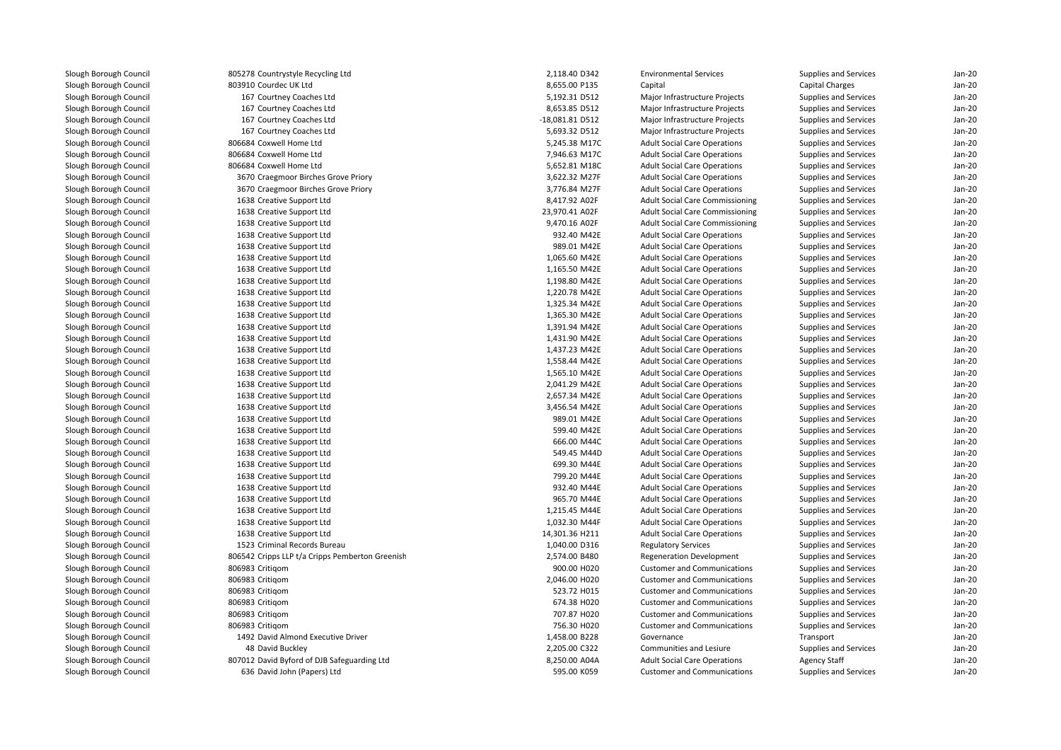| 805278 Countrystyle Recycling Ltd               | 2,118.40 D342   | <b>Environmental Services</b>          | Supplies and Services | Jan-20               |
|-------------------------------------------------|-----------------|----------------------------------------|-----------------------|----------------------|
| 803910 Courdec UK Ltd                           | 8,655.00 P135   | Capital                                | Capital Charges       | $Jan-2C$             |
| 167 Courtney Coaches Ltd                        | 5,192.31 D512   | Major Infrastructure Projects          | Supplies and Services | $Jan-2C$             |
| 167 Courtney Coaches Ltd                        | 8,653.85 D512   | Major Infrastructure Projects          | Supplies and Services | $Jan-2C$             |
| 167 Courtney Coaches Ltd                        | -18,081.81 D512 | Major Infrastructure Projects          | Supplies and Services | $Jan-2C$             |
| 167 Courtney Coaches Ltd                        | 5,693.32 D512   | Major Infrastructure Projects          | Supplies and Services | Jan-20               |
| 806684 Coxwell Home Ltd                         | 5,245.38 M17C   | <b>Adult Social Care Operations</b>    | Supplies and Services | Jan-20               |
| 806684 Coxwell Home Ltd                         | 7,946.63 M17C   | <b>Adult Social Care Operations</b>    | Supplies and Services | Jan-20               |
| 806684 Coxwell Home Ltd                         | 5,652.81 M18C   | <b>Adult Social Care Operations</b>    | Supplies and Services | $Jan-2C$             |
| 3670 Craegmoor Birches Grove Priory             | 3,622.32 M27F   | <b>Adult Social Care Operations</b>    | Supplies and Services | $Jan-2C$             |
| 3670 Craegmoor Birches Grove Priory             | 3,776.84 M27F   | <b>Adult Social Care Operations</b>    | Supplies and Services | Jan-20               |
| 1638 Creative Support Ltd                       | 8,417.92 A02F   | <b>Adult Social Care Commissioning</b> | Supplies and Services | Jan-20               |
| 1638 Creative Support Ltd                       | 23,970.41 A02F  | <b>Adult Social Care Commissioning</b> | Supplies and Services | Jan-20               |
| 1638 Creative Support Ltd                       | 9,470.16 A02F   | <b>Adult Social Care Commissioning</b> | Supplies and Services | Jan-20               |
| 1638 Creative Support Ltd                       | 932.40 M42E     | <b>Adult Social Care Operations</b>    | Supplies and Services | $Jan-2C$             |
| 1638 Creative Support Ltd                       | 989.01 M42E     | <b>Adult Social Care Operations</b>    | Supplies and Services | $Jan-2C$             |
| 1638 Creative Support Ltd                       | 1,065.60 M42E   | <b>Adult Social Care Operations</b>    | Supplies and Services | Jan-20               |
| 1638 Creative Support Ltd                       | 1,165.50 M42E   | <b>Adult Social Care Operations</b>    | Supplies and Services | $Jan-2C$             |
| 1638 Creative Support Ltd                       | 1,198.80 M42E   | <b>Adult Social Care Operations</b>    | Supplies and Services | Jan-20               |
| 1638 Creative Support Ltd                       | 1,220.78 M42E   | <b>Adult Social Care Operations</b>    | Supplies and Services | $Jan-2C$             |
| 1638 Creative Support Ltd                       | 1,325.34 M42E   | <b>Adult Social Care Operations</b>    | Supplies and Services | $Jan-2C$             |
| 1638 Creative Support Ltd                       | 1,365.30 M42E   | <b>Adult Social Care Operations</b>    | Supplies and Services | Jan-20               |
| 1638 Creative Support Ltd                       | 1,391.94 M42E   | <b>Adult Social Care Operations</b>    | Supplies and Services | Jan-20               |
| 1638 Creative Support Ltd                       | 1,431.90 M42E   | <b>Adult Social Care Operations</b>    | Supplies and Services | Jan-20               |
| 1638 Creative Support Ltd                       | 1,437.23 M42E   | <b>Adult Social Care Operations</b>    | Supplies and Services | $Jan-2C$             |
| 1638 Creative Support Ltd                       | 1,558.44 M42E   | <b>Adult Social Care Operations</b>    | Supplies and Services | $Jan-2C$             |
| 1638 Creative Support Ltd                       | 1,565.10 M42E   | <b>Adult Social Care Operations</b>    | Supplies and Services | $Jan-2C$             |
| 1638 Creative Support Ltd                       | 2,041.29 M42E   | <b>Adult Social Care Operations</b>    | Supplies and Services | Jan-20               |
| 1638 Creative Support Ltd                       | 2,657.34 M42E   | <b>Adult Social Care Operations</b>    | Supplies and Services | Jan-20               |
| 1638 Creative Support Ltd                       | 3,456.54 M42E   | <b>Adult Social Care Operations</b>    | Supplies and Services | Jan-20               |
| 1638 Creative Support Ltd                       | 989.01 M42E     | <b>Adult Social Care Operations</b>    | Supplies and Services | $Jan-2C$             |
| 1638 Creative Support Ltd                       | 599.40 M42E     | <b>Adult Social Care Operations</b>    | Supplies and Services | $Jan-2C$             |
| 1638 Creative Support Ltd                       | 666.00 M44C     | <b>Adult Social Care Operations</b>    | Supplies and Services | Jan-20               |
| 1638 Creative Support Ltd                       | 549.45 M44D     | <b>Adult Social Care Operations</b>    | Supplies and Services | Jan-20               |
| 1638 Creative Support Ltd                       | 699.30 M44E     | <b>Adult Social Care Operations</b>    | Supplies and Services | Jan-20               |
| 1638 Creative Support Ltd                       | 799.20 M44E     | <b>Adult Social Care Operations</b>    | Supplies and Services | Jan-20               |
| 1638 Creative Support Ltd                       | 932.40 M44E     | <b>Adult Social Care Operations</b>    | Supplies and Services | Jan-20               |
| 1638 Creative Support Ltd                       | 965.70 M44E     | <b>Adult Social Care Operations</b>    | Supplies and Services | $Jan-2C$             |
| 1638 Creative Support Ltd                       | 1,215.45 M44E   | <b>Adult Social Care Operations</b>    | Supplies and Services | Jan-20               |
| 1638 Creative Support Ltd                       | 1,032.30 M44F   | <b>Adult Social Care Operations</b>    | Supplies and Services | Jan-20               |
| 1638 Creative Support Ltd                       | 14,301.36 H211  | <b>Adult Social Care Operations</b>    | Supplies and Services | $Jan-2C$             |
| 1523 Criminal Records Bureau                    | 1,040.00 D316   | <b>Regulatory Services</b>             | Supplies and Services | $Jan-2C$             |
| 806542 Cripps LLP t/a Cripps Pemberton Greenish | 2,574.00 B480   | <b>Regeneration Development</b>        | Supplies and Services | $Jan-2C$             |
| 806983 Critigom                                 | 900.00 H020     | <b>Customer and Communications</b>     | Supplies and Services | $Jan-2C$             |
| 806983 Critigom                                 | 2,046.00 H020   | <b>Customer and Communications</b>     | Supplies and Services | Jan-20               |
| 806983 Critigom                                 | 523.72 H015     | <b>Customer and Communications</b>     | Supplies and Services | Jan-20               |
| 806983 Critigom                                 | 674.38 H020     | <b>Customer and Communications</b>     | Supplies and Services | $Jan-2C$             |
|                                                 |                 |                                        |                       |                      |
| 806983 Critigom                                 | 707.87 H020     | <b>Customer and Communications</b>     | Supplies and Services | $Jan-2C$<br>$Jan-2C$ |
| 806983 Critigom                                 | 756.30 H020     | <b>Customer and Communications</b>     | Supplies and Services |                      |
| 1492 David Almond Executive Driver              | 1,458.00 B228   | Governance                             | Transport             | Jan-20               |
| 48 David Buckley                                | 2,205.00 C322   | Communities and Lesiure                | Supplies and Services | Jan-20               |
| 807012 David Byford of DJB Safeguarding Ltd     | 8,250.00 A04A   | <b>Adult Social Care Operations</b>    | <b>Agency Staff</b>   | $Jan-2C$             |
| 636 David John (Papers) Ltd                     | 595.00 K059     | <b>Customer and Communications</b>     | Supplies and Services | $Jan-2C$             |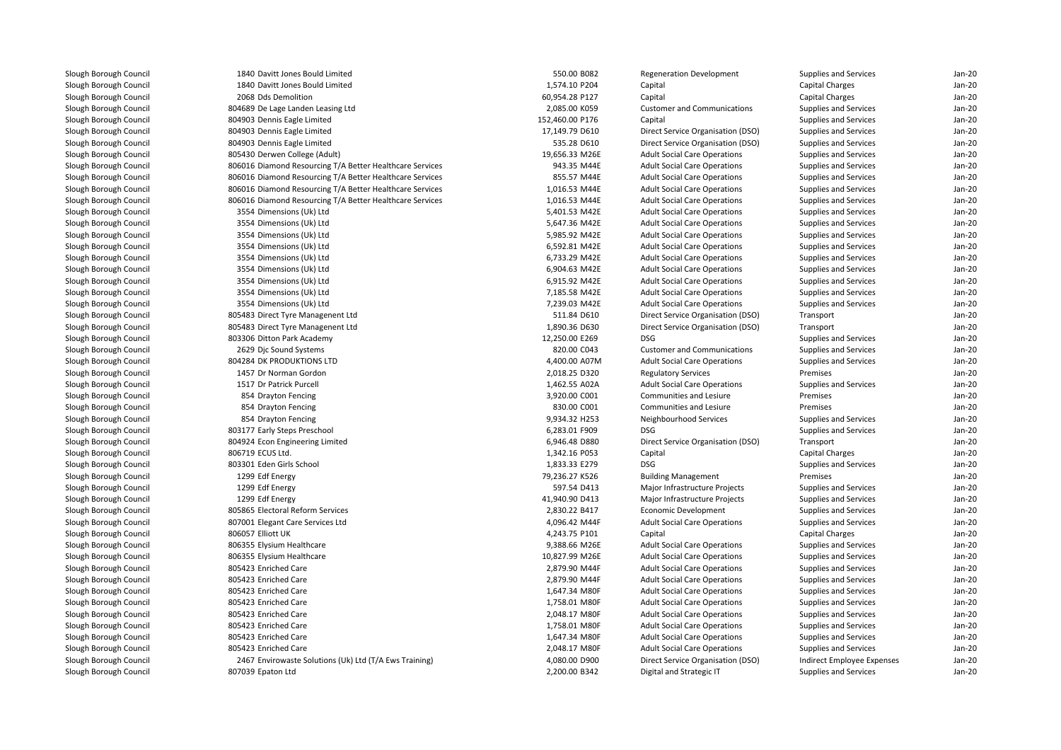| Slough Borough Council |
|------------------------|
| Slough Borough Council |
| Slough Borough Council |
| Slough Borough Council |
| Slough Borough Council |
| Slough Borough Council |
| Slough Borough Council |
| Slough Borough Council |
| Slough Borough Council |
| Slough Borough Council |
| Slough Borough Council |
| Slough Borough Council |
| Slough Borough Council |
| Slough Borough Council |
| Slough Borough Council |
| Slough Borough Council |
| Slough Borough Council |
| Slough Borough Council |
| Slough Borough Council |
| Slough Borough Council |
| Slough Borough Council |
| Slough Borough Council |
| Slough Borough Council |
| Slough Borough Council |
| Slough Borough Council |
| Slough Borough Council |
| Slough Borough Council |
| Slough Borough Council |
| Slough Borough Council |
| Slough Borough Council |
| Slough Borough Council |
| Slough Borough Council |
|                        |
| Slough Borough Council |
| Slough Borough Council |
| Slough Borough Council |
| Slough Borough Council |
| Slough Borough Council |
| Slough Borough Council |
| Slough Borough Council |
| Slough Borough Council |
| Slough Borough Council |
| Slough Borough Council |
| Slough Borough Council |
| Slough Borough Council |
| Slough Borough Council |
| Slough Borough Council |
| Slough Borough Council |
| Slough Borough Council |
| Slough Borough Council |
| Slough Borough Council |
| Slough Borough Council |
| Slough Borough Council |
| Slough Borough Council |

|  | 1840 Davitt Jones Bould Limited                          | 550.00 B082                    |
|--|----------------------------------------------------------|--------------------------------|
|  | 1840 Davitt Jones Bould Limited                          | 1,574.10 P204                  |
|  | 2068 Dds Demolition                                      | 60,954.28 P127                 |
|  | 804689 De Lage Landen Leasing Ltd                        | 2,085.00 K059                  |
|  | 804903 Dennis Eagle Limited                              | 152,460.00 P176                |
|  | 804903 Dennis Eagle Limited                              | 17,149.79 D610                 |
|  | 804903 Dennis Eagle Limited                              | 535.28 D610                    |
|  | 805430 Derwen College (Adult)                            | 19,656.33 M26E                 |
|  | 806016 Diamond Resourcing T/A Better Healthcare Services | 943.35 M44E                    |
|  | 806016 Diamond Resourcing T/A Better Healthcare Services | 855.57 M44E                    |
|  | 806016 Diamond Resourcing T/A Better Healthcare Services | 1,016.53 M44E                  |
|  | 806016 Diamond Resourcing T/A Better Healthcare Services | 1,016.53 M44E                  |
|  | 3554 Dimensions (Uk) Ltd                                 | 5,401.53 M42E                  |
|  | 3554 Dimensions (Uk) Ltd                                 | 5,647.36 M42E                  |
|  | 3554 Dimensions (Uk) Ltd                                 | 5,985.92 M42E                  |
|  | 3554 Dimensions (Uk) Ltd                                 | 6,592.81 M42E                  |
|  | 3554 Dimensions (Uk) Ltd                                 | 6,733.29 M42E                  |
|  | 3554 Dimensions (Uk) Ltd                                 | 6,904.63 M42E                  |
|  | 3554 Dimensions (Uk) Ltd                                 | 6,915.92 M42E                  |
|  | 3554 Dimensions (Uk) Ltd                                 | 7,185.58 M42E                  |
|  | 3554 Dimensions (Uk) Ltd                                 | 7,239.03 M42E                  |
|  | 805483 Direct Tyre Managenent Ltd                        | 511.84 D610                    |
|  | 805483 Direct Tyre Managenent Ltd                        | 1,890.36 D630                  |
|  | 803306 Ditton Park Academy                               | 12,250.00 E269                 |
|  | 2629 Djc Sound Systems                                   | 820.00 C043                    |
|  | 804284 DK PRODUKTIONS LTD                                | 4,400.00 A07N                  |
|  | 1457 Dr Norman Gordon                                    | 2,018.25 D320                  |
|  | 1517 Dr Patrick Purcell                                  | 1,462.55 A02A                  |
|  | 854 Drayton Fencing                                      | 3,920.00 C001                  |
|  | 854 Drayton Fencing                                      | 830.00 C001                    |
|  | 854 Drayton Fencing                                      | 9,934.32 H253                  |
|  | 803177 Early Steps Preschool                             | 6,283.01 F909                  |
|  |                                                          |                                |
|  | 804924 Econ Engineering Limited<br>806719 ECUS Ltd.      | 6,946.48 D880<br>1,342.16 P053 |
|  |                                                          |                                |
|  | 803301 Eden Girls School                                 | 1,833.33 E279                  |
|  | 1299 Edf Energy                                          | 79,236.27 K526                 |
|  | 1299 Edf Energy                                          | 597.54 D413                    |
|  | 1299 Edf Energy                                          | 41,940.90 D413                 |
|  | 805865 Electoral Reform Services                         | 2,830.22 B417                  |
|  | 807001 Elegant Care Services Ltd                         | 4,096.42 M44F                  |
|  | 806057 Elliott UK                                        | 4,243.75 P101                  |
|  | 806355 Elysium Healthcare                                | 9,388.66 M26E                  |
|  | 806355 Elysium Healthcare                                | 10,827.99 M26E                 |
|  | 805423 Enriched Care                                     | 2,879.90 M44F                  |
|  | 805423 Enriched Care                                     | 2,879.90 M44F                  |
|  | 805423 Enriched Care                                     | 1,647.34 M80F                  |
|  | 805423 Enriched Care                                     | 1,758.01 M80F                  |
|  | 805423 Enriched Care                                     | 2,048.17 M80F                  |
|  | 805423 Enriched Care                                     | 1,758.01 M80F                  |
|  | 805423 Enriched Care                                     | 1,647.34 M80F                  |
|  | 805423 Enriched Care                                     | 2,048.17 M80F                  |
|  | 2467 Envirowaste Solutions (Uk) Ltd (T/A Ews Training)   | 4,080.00 D900                  |
|  | 807039 Epaton Ltd                                        | 2,200.00 B342                  |

| 0 Davitt Jones Bould Limited                        | 550.00 B082     | <b>Regeneration Development</b>     | <b>Supplies and Services</b> | Jan-20   |
|-----------------------------------------------------|-----------------|-------------------------------------|------------------------------|----------|
| 0 Davitt Jones Bould Limited                        | 1,574.10 P204   | Capital                             | <b>Capital Charges</b>       | Jan-20   |
| 8 Dds Demolition                                    | 60,954.28 P127  | Capital                             | Capital Charges              | Jan-20   |
| 9 De Lage Landen Leasing Ltd                        | 2,085.00 K059   | <b>Customer and Communications</b>  | Supplies and Services        | Jan-20   |
| 3 Dennis Eagle Limited                              | 152,460.00 P176 | Capital                             | Supplies and Services        | Jan-20   |
| 3 Dennis Eagle Limited                              | 17,149.79 D610  | Direct Service Organisation (DSO)   | <b>Supplies and Services</b> | Jan-20   |
| 3 Dennis Eagle Limited                              | 535.28 D610     | Direct Service Organisation (DSO)   | Supplies and Services        | Jan-20   |
| 0 Derwen College (Adult)                            | 19,656.33 M26E  | <b>Adult Social Care Operations</b> | Supplies and Services        | Jan-20   |
| 6 Diamond Resourcing T/A Better Healthcare Services | 943.35 M44E     | <b>Adult Social Care Operations</b> | Supplies and Services        | Jan-20   |
| 6 Diamond Resourcing T/A Better Healthcare Services | 855.57 M44E     | <b>Adult Social Care Operations</b> | Supplies and Services        | Jan-20   |
| 6 Diamond Resourcing T/A Better Healthcare Services | 1,016.53 M44E   | <b>Adult Social Care Operations</b> | Supplies and Services        | Jan-20   |
| 6 Diamond Resourcing T/A Better Healthcare Services | 1,016.53 M44E   | <b>Adult Social Care Operations</b> | Supplies and Services        | Jan-20   |
| 4 Dimensions (Uk) Ltd                               | 5,401.53 M42E   | <b>Adult Social Care Operations</b> | Supplies and Services        | Jan-20   |
| 4 Dimensions (Uk) Ltd                               | 5,647.36 M42E   | <b>Adult Social Care Operations</b> | Supplies and Services        | Jan-20   |
| 4 Dimensions (Uk) Ltd                               | 5,985.92 M42E   | <b>Adult Social Care Operations</b> | Supplies and Services        | Jan-20   |
| 4 Dimensions (Uk) Ltd                               | 6,592.81 M42E   | <b>Adult Social Care Operations</b> | <b>Supplies and Services</b> | Jan-20   |
| 4 Dimensions (Uk) Ltd                               | 6,733.29 M42E   | <b>Adult Social Care Operations</b> | Supplies and Services        | Jan-20   |
| 4 Dimensions (Uk) Ltd                               | 6,904.63 M42E   | <b>Adult Social Care Operations</b> | <b>Supplies and Services</b> | Jan-20   |
| 4 Dimensions (Uk) Ltd                               | 6,915.92 M42E   | <b>Adult Social Care Operations</b> | Supplies and Services        | Jan-20   |
| 4 Dimensions (Uk) Ltd                               | 7,185.58 M42E   | <b>Adult Social Care Operations</b> | Supplies and Services        | Jan-20   |
| 4 Dimensions (Uk) Ltd                               | 7,239.03 M42E   | <b>Adult Social Care Operations</b> | Supplies and Services        | Jan-20   |
| 3 Direct Tyre Managenent Ltd                        | 511.84 D610     | Direct Service Organisation (DSO)   | Transport                    | Jan-20   |
| 3 Direct Tyre Managenent Ltd                        | 1,890.36 D630   | Direct Service Organisation (DSO)   | Transport                    | $Jan-2C$ |
| 6 Ditton Park Academy                               | 12,250.00 E269  | <b>DSG</b>                          | <b>Supplies and Services</b> | $Jan-2C$ |
| 9 Djc Sound Systems                                 | 820.00 C043     | <b>Customer and Communications</b>  | Supplies and Services        | Jan-20   |
| <b>4 DK PRODUKTIONS LTD</b>                         | 4,400.00 A07M   | <b>Adult Social Care Operations</b> | Supplies and Services        | Jan-20   |
| 7 Dr Norman Gordon                                  | 2,018.25 D320   | <b>Regulatory Services</b>          | Premises                     | Jan-20   |
| 7 Dr Patrick Purcell                                | 1,462.55 A02A   | <b>Adult Social Care Operations</b> | Supplies and Services        | $Jan-2C$ |
| 4 Drayton Fencing                                   | 3,920.00 C001   | Communities and Lesiure             | Premises                     | Jan-20   |
| 4 Drayton Fencing                                   | 830.00 C001     | Communities and Lesiure             | Premises                     | $Jan-2C$ |
| 4 Drayton Fencing                                   | 9,934.32 H253   | Neighbourhood Services              | Supplies and Services        | Jan-20   |
| 7 Early Steps Preschool                             | 6,283.01 F909   | <b>DSG</b>                          | Supplies and Services        | Jan-20   |
| 4 Econ Engineering Limited                          | 6,946.48 D880   | Direct Service Organisation (DSO)   | Transport                    | Jan-20   |
| 9 ECUS Ltd.                                         | 1,342.16 P053   | Capital                             | Capital Charges              | Jan-20   |
| 1 Eden Girls School                                 | 1,833.33 E279   | <b>DSG</b>                          | Supplies and Services        | Jan-20   |
| 9 Edf Energy                                        | 79,236.27 K526  | <b>Building Management</b>          | Premises                     | $Jan-2C$ |
| 9 Edf Energy                                        | 597.54 D413     | Major Infrastructure Projects       | Supplies and Services        | Jan-20   |
| 9 Edf Energy                                        | 41,940.90 D413  | Major Infrastructure Projects       | <b>Supplies and Services</b> | Jan-20   |
| 5 Electoral Reform Services                         | 2,830.22 B417   | Economic Development                | Supplies and Services        | Jan-20   |
| 1 Elegant Care Services Ltd                         | 4,096.42 M44F   | <b>Adult Social Care Operations</b> | Supplies and Services        | Jan-20   |
| 7 Elliott UK                                        | 4,243.75 P101   | Capital                             | Capital Charges              | Jan-20   |
| 5 Elysium Healthcare                                | 9,388.66 M26E   | <b>Adult Social Care Operations</b> | Supplies and Services        | Jan-20   |
| 5 Elysium Healthcare                                | 10,827.99 M26E  | <b>Adult Social Care Operations</b> | <b>Supplies and Services</b> | Jan-20   |
| 3 Enriched Care                                     | 2,879.90 M44F   | <b>Adult Social Care Operations</b> | Supplies and Services        | Jan-20   |
| 3 Enriched Care                                     | 2,879.90 M44F   | <b>Adult Social Care Operations</b> | Supplies and Services        | Jan-20   |
| 3 Enriched Care                                     | 1,647.34 M80F   | <b>Adult Social Care Operations</b> | Supplies and Services        | Jan-20   |
| 3 Enriched Care                                     | 1,758.01 M80F   | <b>Adult Social Care Operations</b> | Supplies and Services        | Jan-20   |
| 3 Enriched Care                                     | 2,048.17 M80F   | <b>Adult Social Care Operations</b> | Supplies and Services        | Jan-20   |
| 3 Enriched Care                                     | 1,758.01 M80F   | <b>Adult Social Care Operations</b> | Supplies and Services        | Jan-20   |
| 3 Enriched Care                                     | 1,647.34 M80F   | <b>Adult Social Care Operations</b> | Supplies and Services        | Jan-20   |
| 3 Enriched Care                                     | 2,048.17 M80F   | <b>Adult Social Care Operations</b> | <b>Supplies and Services</b> | Jan-20   |
| 7 Envirowaste Solutions (Uk) Ltd (T/A Ews Training) | 4,080.00 D900   | Direct Service Organisation (DSO)   | Indirect Employee Expenses   | Jan-20   |
| 9 Epaton Ltd                                        | 2,200.00 B342   | Digital and Strategic IT            | Supplies and Services        | Jan-20   |
|                                                     |                 |                                     |                              |          |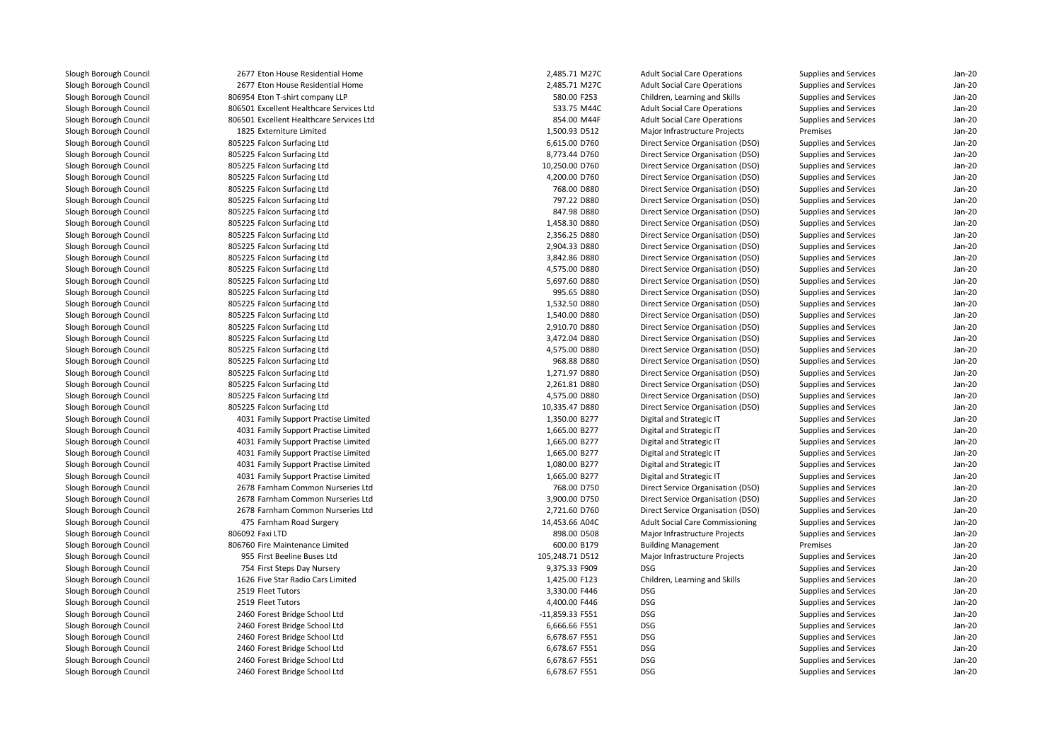2677 Eton House Residential Home 2,485.71 M27C 2677 Eton House Residential Home 2,485.71 M27C 806954 Eton T-shirt company LLP 806501 Excellent Healthcare Services Ltd 806501 Excellent Healthcare Services Ltd 1825 Externiture Limited 805225 Falcon Surfacing Ltd 805225 Falcon Surfacing Ltd 805225 Falcon Surfacing Ltd 805225 Falcon Surfacing Ltd 805225 Falcon Surfacing Ltd 805225 Falcon Surfacing Ltd 805225 Falcon Surfacing Ltd 805225 Falcon Surfacing Ltd 805225 Falcon Surfacing Ltd 805225 Falcon Surfacing Ltd 805225 Falcon Surfacing Ltd 805225 Falcon Surfacing Ltd 805225 Falcon Surfacing Ltd 805225 Falcon Surfacing Ltd 805225 Falcon Surfacing Ltd 805225 Falcon Surfacing Ltd 805225 Falcon Surfacing Ltd 805225 Falcon Surfacing Ltd 805225 Falcon Surfacing Ltd 805225 Falcon Surfacing Ltd 805225 Falcon Surfacing Ltd 805225 Falcon Surfacing Ltd 805225 Falcon Surfacing Ltd 805225 Falcon Surfacing Ltd 4031 Family Support Practise Limited 4031 Family Support Practise Limited 4031 Family Support Practise Limited 4031 Family Support Practise Limited 4031 Family Support Practise Limited 4031 Family Support Practise Limited 2678 Farnham Common Nurseries Ltd 2678 Farnham Common Nurseries Ltd 2678 Farnham Common Nurseries Ltd 475 Farnham Road Surgery 14,453.66 A04C 806092 Faxi LTD 806760 Fire Maintenance Limited 955955 First Beeline Buses Ltd 754 First Steps Day Nursery 9,375.33 F909 DSG 1626 Five Star Radio Cars Limited2519 Fleet Tutors 2519 Fleet Tutors 2460 Forest Bridge School Ltd 2460 Forest Bridge School Ltd 2460 Forest Bridge School Ltd 2460 Forest Bridge School Ltd 2460 Forest Bridge School Ltd2460 Forest Bridge School Ltd

| 7 Eton House Residential Home       | 2,485.71 M27C   | <b>Adult Social Care Operations</b>    | Supplies and Services        | $Jan-2C$ |
|-------------------------------------|-----------------|----------------------------------------|------------------------------|----------|
| 7 Eton House Residential Home       | 2,485.71 M27C   | <b>Adult Social Care Operations</b>    | Supplies and Services        | $Jan-2C$ |
| 4 Eton T-shirt company LLP          | 580.00 F253     | Children, Learning and Skills          | Supplies and Services        | Jan-20   |
| 1 Excellent Healthcare Services Ltd | 533.75 M44C     | <b>Adult Social Care Operations</b>    | Supplies and Services        | Jan-20   |
| 1 Excellent Healthcare Services Ltd | 854.00 M44F     | <b>Adult Social Care Operations</b>    | Supplies and Services        | Jan-20   |
| 5 Externiture Limited               | 1,500.93 D512   | Major Infrastructure Projects          | Premises                     | $Jan-2C$ |
| 5 Falcon Surfacing Ltd              | 6,615.00 D760   | Direct Service Organisation (DSO)      | Supplies and Services        | Jan-20   |
| 5 Falcon Surfacing Ltd              | 8,773.44 D760   | Direct Service Organisation (DSO)      | Supplies and Services        | Jan-20   |
| 5 Falcon Surfacing Ltd              | 10,250.00 D760  | Direct Service Organisation (DSO)      | Supplies and Services        | $Jan-2C$ |
| 5 Falcon Surfacing Ltd              | 4,200.00 D760   | Direct Service Organisation (DSO)      | Supplies and Services        | $Jan-2C$ |
| 5 Falcon Surfacing Ltd              | 768.00 D880     | Direct Service Organisation (DSO)      | <b>Supplies and Services</b> | Jan-20   |
| 5 Falcon Surfacing Ltd              | 797.22 D880     | Direct Service Organisation (DSO)      | Supplies and Services        | Jan-20   |
| 5 Falcon Surfacing Ltd              | 847.98 D880     | Direct Service Organisation (DSO)      | <b>Supplies and Services</b> | Jan-20   |
| 5 Falcon Surfacing Ltd              | 1,458.30 D880   | Direct Service Organisation (DSO)      | Supplies and Services        | Jan-20   |
| 5 Falcon Surfacing Ltd              | 2,356.25 D880   | Direct Service Organisation (DSO)      | Supplies and Services        | Jan-20   |
| 5 Falcon Surfacing Ltd              | 2,904.33 D880   | Direct Service Organisation (DSO)      | Supplies and Services        | Jan-20   |
| 5 Falcon Surfacing Ltd              | 3,842.86 D880   | Direct Service Organisation (DSO)      | Supplies and Services        | Jan-20   |
| 5 Falcon Surfacing Ltd              | 4,575.00 D880   | Direct Service Organisation (DSO)      | Supplies and Services        | $Jan-2C$ |
| 5 Falcon Surfacing Ltd              | 5,697.60 D880   | Direct Service Organisation (DSO)      | Supplies and Services        | Jan-20   |
| 5 Falcon Surfacing Ltd              | 995.65 D880     | Direct Service Organisation (DSO)      | Supplies and Services        | Jan-20   |
| 5 Falcon Surfacing Ltd              | 1,532.50 D880   | Direct Service Organisation (DSO)      | Supplies and Services        | $Jan-2C$ |
| 5 Falcon Surfacing Ltd              | 1,540.00 D880   | Direct Service Organisation (DSO)      | <b>Supplies and Services</b> | Jan-20   |
| 5 Falcon Surfacing Ltd              | 2,910.70 D880   | Direct Service Organisation (DSO)      | <b>Supplies and Services</b> | Jan-20   |
| 5 Falcon Surfacing Ltd              | 3,472.04 D880   | Direct Service Organisation (DSO)      | Supplies and Services        | Jan-20   |
| 5 Falcon Surfacing Ltd              | 4,575.00 D880   | Direct Service Organisation (DSO)      | Supplies and Services        | Jan-20   |
| 5 Falcon Surfacing Ltd              | 968.88 D880     | Direct Service Organisation (DSO)      | Supplies and Services        | $Jan-2C$ |
| 5 Falcon Surfacing Ltd              | 1,271.97 D880   | Direct Service Organisation (DSO)      | Supplies and Services        | Jan-20   |
| 5 Falcon Surfacing Ltd              | 2,261.81 D880   | Direct Service Organisation (DSO)      | Supplies and Services        | Jan-20   |
| 5 Falcon Surfacing Ltd              | 4,575.00 D880   | Direct Service Organisation (DSO)      | Supplies and Services        | Jan-20   |
| 5 Falcon Surfacing Ltd              | 10,335.47 D880  | Direct Service Organisation (DSO)      | <b>Supplies and Services</b> | $Jan-2C$ |
| 1 Family Support Practise Limited   | 1,350.00 B277   | Digital and Strategic IT               | Supplies and Services        | Jan-20   |
| 1 Family Support Practise Limited   | 1,665.00 B277   | Digital and Strategic IT               | Supplies and Services        | Jan-20   |
| 1 Family Support Practise Limited   | 1,665.00 B277   | Digital and Strategic IT               | Supplies and Services        | Jan-20   |
| 1 Family Support Practise Limited   | 1,665.00 B277   | Digital and Strategic IT               | <b>Supplies and Services</b> | Jan-20   |
| 1 Family Support Practise Limited   | 1,080.00 B277   | Digital and Strategic IT               | Supplies and Services        | Jan-20   |
| 1 Family Support Practise Limited   | 1,665.00 B277   | Digital and Strategic IT               | Supplies and Services        | Jan-20   |
|                                     | 768.00 D750     | Direct Service Organisation (DSO)      |                              | $Jan-2C$ |
| 8 Farnham Common Nurseries Ltd      |                 |                                        | Supplies and Services        |          |
| 8 Farnham Common Nurseries Ltd      | 3,900.00 D750   | Direct Service Organisation (DSO)      | Supplies and Services        | $Jan-2C$ |
| 8 Farnham Common Nurseries Ltd      | 2,721.60 D760   | Direct Service Organisation (DSO)      | Supplies and Services        | Jan-20   |
| 5 Farnham Road Surgery              | 14,453.66 A04C  | <b>Adult Social Care Commissioning</b> | Supplies and Services        | Jan-20   |
| 2 Faxi LTD                          | 898.00 D508     | Major Infrastructure Projects          | Supplies and Services        | $Jan-2C$ |
| 0 Fire Maintenance Limited          | 600.00 B179     | <b>Building Management</b>             | Premises                     | $Jan-2C$ |
| 5 First Beeline Buses Ltd           | 105,248.71 D512 | Major Infrastructure Projects          | Supplies and Services        | Jan-20   |
| 4 First Steps Day Nursery           | 9,375.33 F909   | <b>DSG</b>                             | Supplies and Services        | Jan-20   |
| 6 Five Star Radio Cars Limited      | 1,425.00 F123   | Children, Learning and Skills          | Supplies and Services        | Jan-20   |
| 9 Fleet Tutors                      | 3,330.00 F446   | <b>DSG</b>                             | Supplies and Services        | $Jan-2C$ |
| 9 Fleet Tutors                      | 4,400.00 F446   | <b>DSG</b>                             | Supplies and Services        | Jan-20   |
| 0 Forest Bridge School Ltd          | -11,859.33 F551 | <b>DSG</b>                             | <b>Supplies and Services</b> | Jan-20   |
| 0 Forest Bridge School Ltd          | 6,666.66 F551   | <b>DSG</b>                             | Supplies and Services        | $Jan-2C$ |
| 0 Forest Bridge School Ltd          | 6,678.67 F551   | <b>DSG</b>                             | Supplies and Services        | $Jan-2C$ |
| 0 Forest Bridge School Ltd          | 6,678.67 F551   | <b>DSG</b>                             | Supplies and Services        | Jan-20   |
| 0 Forest Bridge School Ltd          | 6,678.67 F551   | <b>DSG</b>                             | Supplies and Services        | Jan-20   |
| 0 Forest Bridge School Ltd          | 6,678.67 F551   | <b>DSG</b>                             | Supplies and Services        | $Jan-2C$ |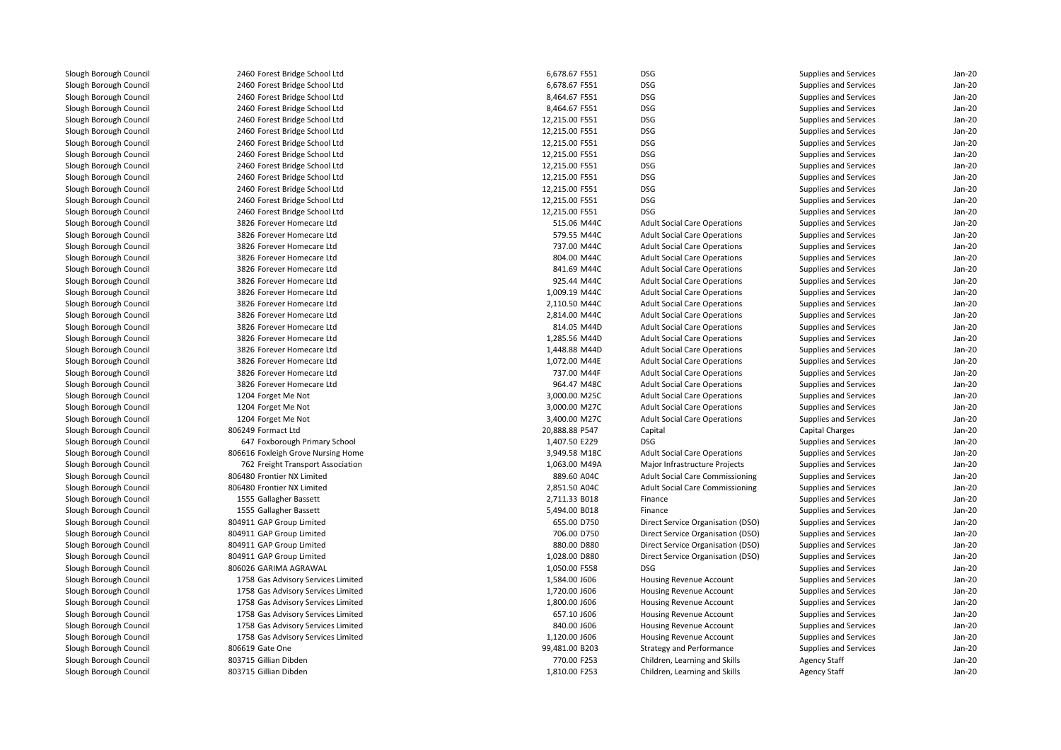2460 Forest Bridge School Ltd 2460 Forest Bridge School Ltd 2460 Forest Bridge School Ltd 2460 Forest Bridge School Ltd 2460 Forest Bridge School Ltd 2460 Forest Bridge School Ltd 2460 Forest Bridge School Ltd 2460 Forest Bridge School Ltd 2460 Forest Bridge School Ltd 2460 Forest Bridge School Ltd 2460 Forest Bridge School Ltd 2460 Forest Bridge School Ltd 2460 Forest Bridge School Ltd 3826 Forever Homecare Ltd 3826 Forever Homecare Ltd 3826 Forever Homecare Ltd 3826 Forever Homecare Ltd 3826 Forever Homecare Ltd 3826 Forever Homecare Ltd 3826 Forever Homecare Ltd 3826 Forever Homecare Ltd 3826 Forever Homecare Ltd 3826 Forever Homecare Ltd 3826 Forever Homecare Ltd 3826 Forever Homecare Ltd 3826 Forever Homecare Ltd 3826 Forever Homecare Ltd 3826 Forever Homecare Ltd1204 Forget Me Not 4 Forget Me Not 3,000.00 M25C 1204 Forget Me Not 3,000.00 M27C 3,000.00 M27C 1204 Forget Me Not 3,400.00 M27C 3,400.00 M27C 806249 Formact Ltd 647 Foxborough Primary School 1,407.50 E229 DSG**1** 3,949.58 M18C 806616 Foxleigh Grove Nursing Home 3,949.58 M18C 3,949.58 M18C 762 Freight Transport Association 806480 Frontier NX Limited 806480 Frontier NX Limited1555 Gallagher Bassett 1555 Gallagher Bassett 804911 GAP Group Limited 804911 GAP Group Limited 804911 GAP Group Limited 804911 GAP Group Limitedl 1,050.00 F558 bSG 806026 GARIMA AGRAWAL 1,050 and 1,050.00 F558 bSG 9568 bSG 958 bSG 958 bSG 958 bSG 958 bSG 1758 Gas Advisory Services Limited 1758 Gas Advisory Services Limited 1758 Gas Advisory Services Limited 1758 Gas Advisory Services Limited 1758 Gas Advisory Services Limited 1758 Gas Advisory Services Limited806619 Gate One 803715 Gillian Dibden803715 Gillian Dibden

| 0 Forest Bridge School Ltd                                         | 6,678.67 F551  | <b>DSG</b>                                                | Supplies and Services                                        | $Jan-2C$ |
|--------------------------------------------------------------------|----------------|-----------------------------------------------------------|--------------------------------------------------------------|----------|
| 0 Forest Bridge School Ltd                                         | 6,678.67 F551  | <b>DSG</b>                                                | <b>Supplies and Services</b>                                 | Jan-20   |
| 0 Forest Bridge School Ltd                                         | 8,464.67 F551  | <b>DSG</b>                                                | Supplies and Services                                        | $Jan-2C$ |
| 0 Forest Bridge School Ltd                                         | 8,464.67 F551  | <b>DSG</b>                                                | Supplies and Services                                        | Jan-20   |
| 0 Forest Bridge School Ltd                                         | 12,215.00 F551 | <b>DSG</b>                                                | <b>Supplies and Services</b>                                 | Jan-20   |
| 0 Forest Bridge School Ltd                                         | 12,215.00 F551 | <b>DSG</b>                                                | Supplies and Services                                        | $Jan-2C$ |
| 0 Forest Bridge School Ltd                                         | 12,215.00 F551 | <b>DSG</b>                                                | Supplies and Services                                        | Jan-20   |
| 0 Forest Bridge School Ltd                                         | 12,215.00 F551 | <b>DSG</b>                                                | <b>Supplies and Services</b>                                 | Jan-20   |
| 0 Forest Bridge School Ltd                                         | 12,215.00 F551 | <b>DSG</b>                                                | Supplies and Services                                        | Jan-20   |
| 0 Forest Bridge School Ltd                                         | 12,215.00 F551 | <b>DSG</b>                                                | Supplies and Services                                        | Jan-20   |
| 0 Forest Bridge School Ltd                                         | 12,215.00 F551 | <b>DSG</b>                                                | Supplies and Services                                        | $Jan-2C$ |
| 0 Forest Bridge School Ltd                                         | 12,215.00 F551 | <b>DSG</b>                                                | <b>Supplies and Services</b>                                 | Jan-20   |
| 0 Forest Bridge School Ltd                                         | 12,215.00 F551 | <b>DSG</b>                                                | Supplies and Services                                        | Jan-20   |
| 6 Forever Homecare Ltd                                             | 515.06 M44C    | <b>Adult Social Care Operations</b>                       | Supplies and Services                                        | Jan-20   |
| 6 Forever Homecare Ltd                                             | 579.55 M44C    | <b>Adult Social Care Operations</b>                       | Supplies and Services                                        | Jan-20   |
| 6 Forever Homecare Ltd                                             | 737.00 M44C    | <b>Adult Social Care Operations</b>                       | <b>Supplies and Services</b>                                 | $Jan-2C$ |
| 6 Forever Homecare Ltd                                             | 804.00 M44C    | <b>Adult Social Care Operations</b>                       | Supplies and Services                                        | Jan-20   |
| 6 Forever Homecare Ltd                                             | 841.69 M44C    | <b>Adult Social Care Operations</b>                       | Supplies and Services                                        | Jan-20   |
| 6 Forever Homecare Ltd                                             | 925.44 M44C    | <b>Adult Social Care Operations</b>                       | Supplies and Services                                        | $Jan-2C$ |
| 6 Forever Homecare Ltd                                             | 1,009.19 M44C  | <b>Adult Social Care Operations</b>                       | Supplies and Services                                        | $Jan-2C$ |
| 6 Forever Homecare Ltd                                             | 2,110.50 M44C  | <b>Adult Social Care Operations</b>                       | Supplies and Services                                        | Jan-20   |
| 6 Forever Homecare Ltd                                             | 2,814.00 M44C  | <b>Adult Social Care Operations</b>                       | Supplies and Services                                        | Jan-20   |
| 6 Forever Homecare Ltd                                             | 814.05 M44D    | <b>Adult Social Care Operations</b>                       | Supplies and Services                                        | Jan-20   |
| 6 Forever Homecare Ltd                                             | 1,285.56 M44D  | <b>Adult Social Care Operations</b>                       | Supplies and Services                                        | Jan-20   |
| 6 Forever Homecare Ltd                                             | 1,448.88 M44D  | <b>Adult Social Care Operations</b>                       | <b>Supplies and Services</b>                                 | Jan-20   |
| 6 Forever Homecare Ltd                                             | 1,072.00 M44E  | <b>Adult Social Care Operations</b>                       | Supplies and Services                                        | Jan-20   |
| 6 Forever Homecare Ltd                                             | 737.00 M44F    | <b>Adult Social Care Operations</b>                       | Supplies and Services                                        | Jan-20   |
| 6 Forever Homecare Ltd                                             | 964.47 M48C    | <b>Adult Social Care Operations</b>                       | Supplies and Services                                        | $Jan-2C$ |
| 4 Forget Me Not                                                    | 3,000.00 M25C  | <b>Adult Social Care Operations</b>                       | Supplies and Services                                        | Jan-20   |
| 4 Forget Me Not                                                    | 3,000.00 M27C  | <b>Adult Social Care Operations</b>                       | <b>Supplies and Services</b>                                 | Jan-20   |
| 4 Forget Me Not                                                    | 3,400.00 M27C  | <b>Adult Social Care Operations</b>                       | Supplies and Services                                        | Jan-20   |
| 9 Formact Ltd                                                      | 20,888.88 P547 | Capital                                                   | Capital Charges                                              | Jan-20   |
| 7 Foxborough Primary School                                        | 1,407.50 E229  | <b>DSG</b>                                                | Supplies and Services                                        | $Jan-2C$ |
| 6 Foxleigh Grove Nursing Home                                      | 3,949.58 M18C  | <b>Adult Social Care Operations</b>                       | Supplies and Services                                        | Jan-20   |
| 2 Freight Transport Association                                    | 1,063.00 M49A  | Major Infrastructure Projects                             | Supplies and Services                                        | Jan-20   |
| 0 Frontier NX Limited                                              | 889.60 A04C    | <b>Adult Social Care Commissioning</b>                    | Supplies and Services                                        | Jan-20   |
| 0 Frontier NX Limited                                              | 2,851.50 A04C  | <b>Adult Social Care Commissioning</b>                    | <b>Supplies and Services</b>                                 | Jan-20   |
| 5 Gallagher Bassett                                                | 2,711.33 B018  | Finance                                                   | <b>Supplies and Services</b>                                 | Jan-20   |
| 5 Gallagher Bassett                                                | 5,494.00 B018  | Finance                                                   | Supplies and Services                                        | Jan-20   |
| 1 GAP Group Limited                                                | 655.00 D750    | Direct Service Organisation (DSO)                         | <b>Supplies and Services</b>                                 | Jan-20   |
| 1 GAP Group Limited                                                | 706.00 D750    | Direct Service Organisation (DSO)                         | Supplies and Services                                        | Jan-20   |
| 1 GAP Group Limited                                                | 880.00 D880    | Direct Service Organisation (DSO)                         | Supplies and Services                                        | $Jan-2C$ |
| 1 GAP Group Limited                                                | 1,028.00 D880  | Direct Service Organisation (DSO)                         | Supplies and Services                                        | Jan-20   |
| 6 GARIMA AGRAWAL                                                   | 1,050.00 F558  | <b>DSG</b>                                                | Supplies and Services                                        | Jan-20   |
| 8 Gas Advisory Services Limited                                    | 1,584.00 J606  | Housing Revenue Account                                   | Supplies and Services                                        | $Jan-2C$ |
|                                                                    | 1,720.00 J606  |                                                           |                                                              | Jan-20   |
| 8 Gas Advisory Services Limited<br>8 Gas Advisory Services Limited | 1,800.00 J606  | Housing Revenue Account<br><b>Housing Revenue Account</b> | <b>Supplies and Services</b><br><b>Supplies and Services</b> | Jan-20   |
|                                                                    |                |                                                           |                                                              |          |
| 8 Gas Advisory Services Limited                                    | 657.10 J606    | Housing Revenue Account                                   | Supplies and Services                                        | Jan-20   |
| 8 Gas Advisory Services Limited                                    | 840.00 J606    | Housing Revenue Account                                   | Supplies and Services                                        | Jan-20   |
| 8 Gas Advisory Services Limited                                    | 1,120.00 J606  | Housing Revenue Account                                   | Supplies and Services                                        | $Jan-2C$ |
| 9 Gate One                                                         | 99,481.00 B203 | <b>Strategy and Performance</b>                           | Supplies and Services                                        | Jan-20   |
| 5 Gillian Dibden                                                   | 770.00 F253    | Children, Learning and Skills                             | <b>Agency Staff</b>                                          | Jan-20   |
| 5 Gillian Dibden                                                   | 1,810.00 F253  | Children, Learning and Skills                             | <b>Agency Staff</b>                                          | $Jan-2C$ |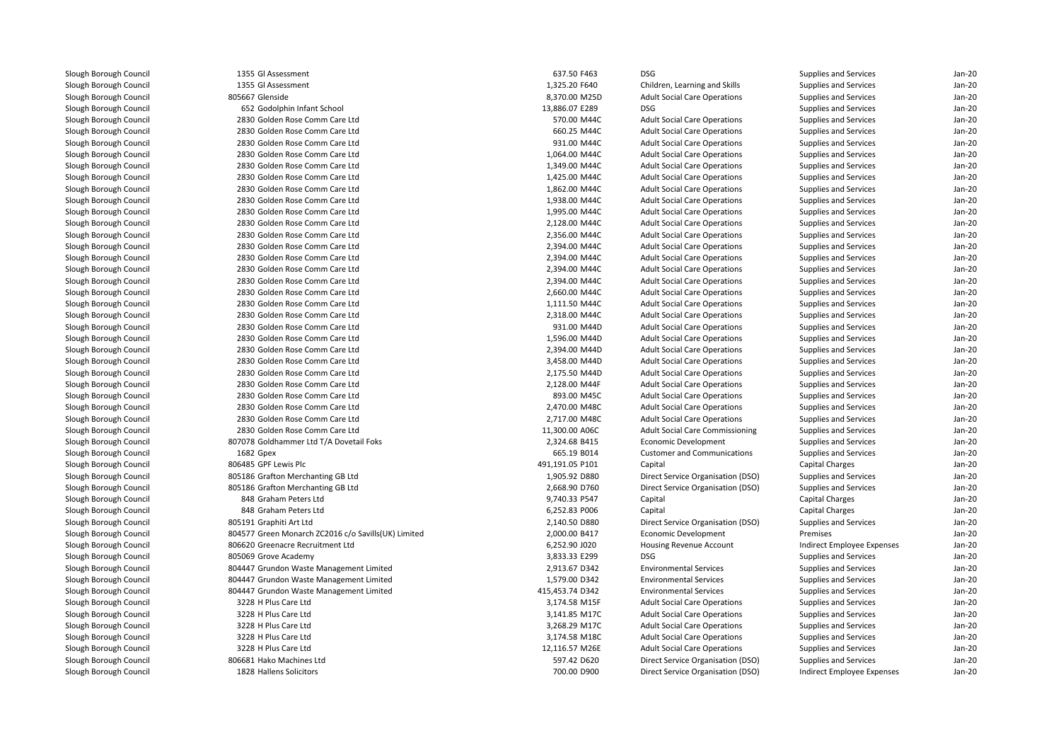| 1355 Gl Assessment                                  | 637.50 F463     | <b>DSG</b>                                   | Supplies and Services      | Jan-20   |
|-----------------------------------------------------|-----------------|----------------------------------------------|----------------------------|----------|
| 1355 Gl Assessment                                  | 1,325.20 F640   | Children, Learning and Skills                | Supplies and Services      | $Jan-2C$ |
| 805667 Glenside                                     | 8,370.00 M25D   | <b>Adult Social Care Operations</b>          | Supplies and Services      | Jan-20   |
| 652 Godolphin Infant School                         | 13,886.07 E289  | <b>DSG</b>                                   | Supplies and Services      | $Jan-20$ |
| 2830 Golden Rose Comm Care Ltd                      | 570.00 M44C     | <b>Adult Social Care Operations</b>          | Supplies and Services      | Jan-20   |
| 2830 Golden Rose Comm Care Ltd                      | 660.25 M44C     | <b>Adult Social Care Operations</b>          | Supplies and Services      | Jan-20   |
| 2830 Golden Rose Comm Care Ltd                      | 931.00 M44C     | <b>Adult Social Care Operations</b>          | Supplies and Services      | $Jan-2C$ |
| 2830 Golden Rose Comm Care Ltd                      | 1,064.00 M44C   | <b>Adult Social Care Operations</b>          | Supplies and Services      | Jan-20   |
| 2830 Golden Rose Comm Care Ltd                      | 1,349.00 M44C   | <b>Adult Social Care Operations</b>          | Supplies and Services      | Jan-20   |
| 2830 Golden Rose Comm Care Ltd                      | 1,425.00 M44C   | <b>Adult Social Care Operations</b>          | Supplies and Services      | Jan-20   |
| 2830 Golden Rose Comm Care Ltd                      | 1,862.00 M44C   | <b>Adult Social Care Operations</b>          | Supplies and Services      | Jan-20   |
| 2830 Golden Rose Comm Care Ltd                      | 1,938.00 M44C   | <b>Adult Social Care Operations</b>          | Supplies and Services      | Jan-20   |
| 2830 Golden Rose Comm Care Ltd                      | 1,995.00 M44C   | <b>Adult Social Care Operations</b>          | Supplies and Services      | Jan-20   |
| 2830 Golden Rose Comm Care Ltd                      | 2,128.00 M44C   | <b>Adult Social Care Operations</b>          | Supplies and Services      | $Jan-2C$ |
| 2830 Golden Rose Comm Care Ltd                      | 2,356.00 M44C   | <b>Adult Social Care Operations</b>          | Supplies and Services      | $Jan-2C$ |
| 2830 Golden Rose Comm Care Ltd                      | 2,394.00 M44C   | <b>Adult Social Care Operations</b>          | Supplies and Services      | Jan-20   |
| 2830 Golden Rose Comm Care Ltd                      | 2,394.00 M44C   | <b>Adult Social Care Operations</b>          | Supplies and Services      | Jan-20   |
| 2830 Golden Rose Comm Care Ltd                      | 2,394.00 M44C   | <b>Adult Social Care Operations</b>          | Supplies and Services      | $Jan-2C$ |
| 2830 Golden Rose Comm Care Ltd                      | 2,394.00 M44C   | <b>Adult Social Care Operations</b>          | Supplies and Services      | Jan-20   |
| 2830 Golden Rose Comm Care Ltd                      | 2,660.00 M44C   | <b>Adult Social Care Operations</b>          | Supplies and Services      | Jan-20   |
| 2830 Golden Rose Comm Care Ltd                      | 1,111.50 M44C   | <b>Adult Social Care Operations</b>          | Supplies and Services      | Jan-20   |
| 2830 Golden Rose Comm Care Ltd                      | 2,318.00 M44C   | <b>Adult Social Care Operations</b>          | Supplies and Services      | $Jan-2C$ |
| 2830 Golden Rose Comm Care Ltd                      | 931.00 M44D     | <b>Adult Social Care Operations</b>          | Supplies and Services      | Jan-20   |
| 2830 Golden Rose Comm Care Ltd                      | 1,596.00 M44D   | <b>Adult Social Care Operations</b>          | Supplies and Services      | Jan-20   |
| 2830 Golden Rose Comm Care Ltd                      | 2,394.00 M44D   | <b>Adult Social Care Operations</b>          | Supplies and Services      | $Jan-2C$ |
| 2830 Golden Rose Comm Care Ltd                      | 3,458.00 M44D   | <b>Adult Social Care Operations</b>          | Supplies and Services      | Jan-20   |
| 2830 Golden Rose Comm Care Ltd                      | 2,175.50 M44D   | <b>Adult Social Care Operations</b>          | Supplies and Services      | Jan-20   |
| 2830 Golden Rose Comm Care Ltd                      | 2,128.00 M44F   | <b>Adult Social Care Operations</b>          | Supplies and Services      | Jan-20   |
| 2830 Golden Rose Comm Care Ltd                      | 893.00 M45C     | <b>Adult Social Care Operations</b>          | Supplies and Services      | Jan-20   |
| 2830 Golden Rose Comm Care Ltd                      | 2,470.00 M48C   | <b>Adult Social Care Operations</b>          | Supplies and Services      | $Jan-2C$ |
| 2830 Golden Rose Comm Care Ltd                      | 2,717.00 M48C   | <b>Adult Social Care Operations</b>          | Supplies and Services      | Jan-20   |
| 2830 Golden Rose Comm Care Ltd                      | 11,300.00 A06C  | <b>Adult Social Care Commissioning</b>       | Supplies and Services      | $Jan-2C$ |
| 807078 Goldhammer Ltd T/A Dovetail Foks             | 2,324.68 B415   | Economic Development                         | Supplies and Services      | Jan-20   |
| 1682 Gpex                                           | 665.19 B014     | <b>Customer and Communications</b>           | Supplies and Services      | Jan-20   |
| 806485 GPF Lewis Plc                                | 491,191.05 P101 |                                              |                            | Jan-20   |
|                                                     | 1,905.92 D880   | Capital<br>Direct Service Organisation (DSO) | Capital Charges            | Jan-20   |
| 805186 Grafton Merchanting GB Ltd                   |                 |                                              | Supplies and Services      | Jan-20   |
| 805186 Grafton Merchanting GB Ltd                   | 2,668.90 D760   | Direct Service Organisation (DSO)            | Supplies and Services      |          |
| 848 Graham Peters Ltd                               | 9,740.33 P547   | Capital                                      | Capital Charges            | Jan-20   |
| 848 Graham Peters Ltd                               | 6,252.83 P006   | Capital                                      | <b>Capital Charges</b>     | Jan-20   |
| 805191 Graphiti Art Ltd                             | 2,140.50 D880   | Direct Service Organisation (DSO)            | Supplies and Services      | Jan-20   |
| 804577 Green Monarch ZC2016 c/o Savills(UK) Limited | 2,000.00 B417   | <b>Economic Development</b>                  | Premises                   | Jan-20   |
| 806620 Greenacre Recruitment Ltd                    | 6,252.90 J020   | Housing Revenue Account                      | Indirect Employee Expenses | $Jan-2C$ |
| 805069 Grove Academy                                | 3,833.33 E299   | <b>DSG</b>                                   | Supplies and Services      | Jan-20   |
| 804447 Grundon Waste Management Limited             | 2,913.67 D342   | <b>Environmental Services</b>                | Supplies and Services      | Jan-20   |
| 804447 Grundon Waste Management Limited             | 1,579.00 D342   | <b>Environmental Services</b>                | Supplies and Services      | $Jan-2C$ |
| 804447 Grundon Waste Management Limited             | 415,453.74 D342 | <b>Environmental Services</b>                | Supplies and Services      | $Jan-2C$ |
| 3228 H Plus Care Ltd                                | 3,174.58 M15F   | <b>Adult Social Care Operations</b>          | Supplies and Services      | Jan-20   |
| 3228 H Plus Care Ltd                                | 3,141.85 M17C   | <b>Adult Social Care Operations</b>          | Supplies and Services      | Jan-20   |
| 3228 H Plus Care Ltd                                | 3,268.29 M17C   | <b>Adult Social Care Operations</b>          | Supplies and Services      | Jan-20   |
| 3228 H Plus Care Ltd                                | 3,174.58 M18C   | <b>Adult Social Care Operations</b>          | Supplies and Services      | $Jan-2C$ |
| 3228 H Plus Care Ltd                                | 12,116.57 M26E  | <b>Adult Social Care Operations</b>          | Supplies and Services      | Jan-20   |
| 806681 Hako Machines Ltd                            | 597.42 D620     | Direct Service Organisation (DSO)            | Supplies and Services      | Jan-20   |
| 1828 Hallens Solicitors                             | 700.00 D900     | Direct Service Organisation (DSO)            | Indirect Employee Expenses | $Jan-2C$ |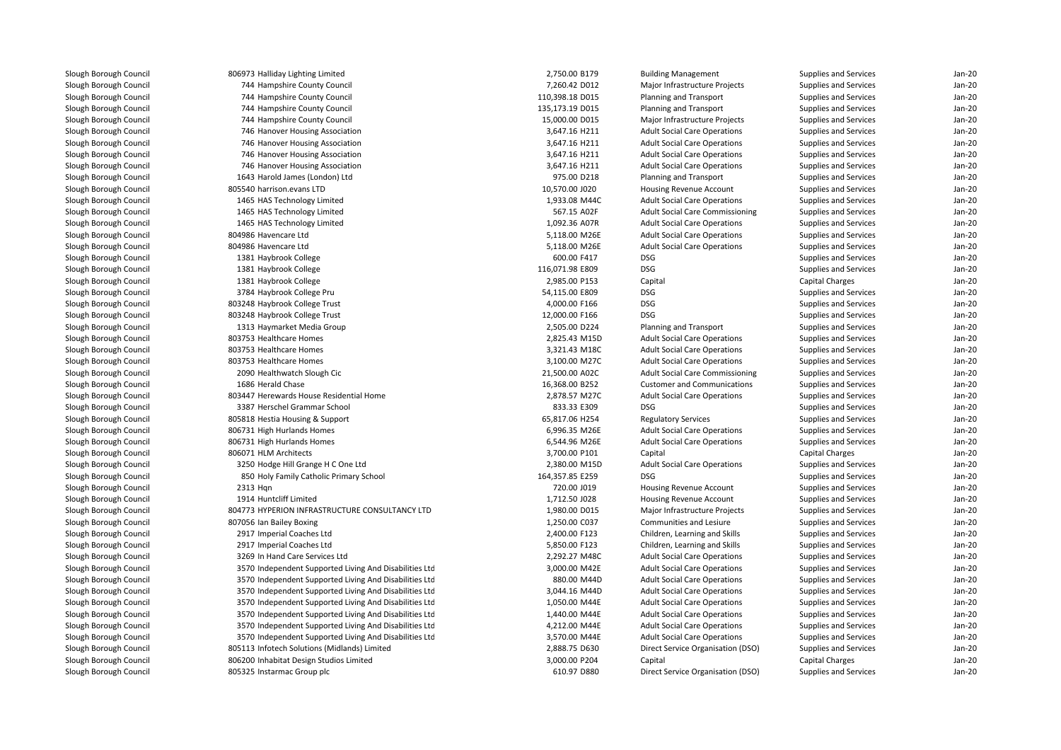| 806973 Halliday Lighting Limited                       | 2,750.00 B179   | <b>Building Management</b>             | Supplies and Services | $Jan-2C$ |
|--------------------------------------------------------|-----------------|----------------------------------------|-----------------------|----------|
| 744 Hampshire County Council                           | 7,260.42 D012   | Major Infrastructure Projects          | Supplies and Services | Jan-20   |
| 744 Hampshire County Council                           | 110,398.18 D015 | Planning and Transport                 | Supplies and Services | $Jan-2C$ |
| 744 Hampshire County Council                           | 135,173.19 D015 | Planning and Transport                 | Supplies and Services | $Jan-2C$ |
| 744 Hampshire County Council                           | 15,000.00 D015  | Major Infrastructure Projects          | Supplies and Services | Jan-20   |
| 746 Hanover Housing Association                        | 3,647.16 H211   | <b>Adult Social Care Operations</b>    | Supplies and Services | $Jan-2C$ |
| 746 Hanover Housing Association                        | 3,647.16 H211   | <b>Adult Social Care Operations</b>    | Supplies and Services | $Jan-2C$ |
| 746 Hanover Housing Association                        | 3,647.16 H211   | <b>Adult Social Care Operations</b>    | Supplies and Services | $Jan-2C$ |
| 746 Hanover Housing Association                        | 3,647.16 H211   | <b>Adult Social Care Operations</b>    | Supplies and Services | Jan-20   |
| 1643 Harold James (London) Ltd                         | 975.00 D218     | Planning and Transport                 | Supplies and Services | Jan-20   |
| 805540 harrison.evans LTD                              | 10,570.00 J020  | Housing Revenue Account                | Supplies and Services | Jan-20   |
| 1465 HAS Technology Limited                            | 1,933.08 M44C   | <b>Adult Social Care Operations</b>    | Supplies and Services | $Jan-2C$ |
| 1465 HAS Technology Limited                            | 567.15 A02F     | <b>Adult Social Care Commissioning</b> | Supplies and Services | $Jan-2C$ |
| 1465 HAS Technology Limited                            | 1,092.36 A07R   | <b>Adult Social Care Operations</b>    | Supplies and Services | Jan-20   |
| 804986 Havencare Ltd                                   | 5,118.00 M26E   | <b>Adult Social Care Operations</b>    | Supplies and Services | Jan-20   |
| 804986 Havencare Ltd                                   | 5,118.00 M26E   | <b>Adult Social Care Operations</b>    | Supplies and Services | $Jan-2C$ |
| 1381 Haybrook College                                  | 600.00 F417     | <b>DSG</b>                             | Supplies and Services | $Jan-2C$ |
| 1381 Haybrook College                                  | 116,071.98 E809 | <b>DSG</b>                             | Supplies and Services | Jan-20   |
| 1381 Haybrook College                                  | 2,985.00 P153   | Capital                                | Capital Charges       | Jan-20   |
| 3784 Haybrook College Pru                              | 54,115.00 E809  | <b>DSG</b>                             | Supplies and Services | Jan-20   |
| 803248 Haybrook College Trust                          | 4,000.00 F166   | <b>DSG</b>                             | Supplies and Services | Jan-20   |
| 803248 Haybrook College Trust                          | 12,000.00 F166  | <b>DSG</b>                             | Supplies and Services | $Jan-2C$ |
| 1313 Haymarket Media Group                             | 2,505.00 D224   | Planning and Transport                 | Supplies and Services | Jan-20   |
| 803753 Healthcare Homes                                | 2,825.43 M15D   | <b>Adult Social Care Operations</b>    | Supplies and Services | Jan-20   |
| 803753 Healthcare Homes                                | 3,321.43 M18C   | <b>Adult Social Care Operations</b>    | Supplies and Services | $Jan-2C$ |
| 803753 Healthcare Homes                                | 3,100.00 M27C   | <b>Adult Social Care Operations</b>    | Supplies and Services | $Jan-2C$ |
| 2090 Healthwatch Slough Cic                            | 21,500.00 A02C  | <b>Adult Social Care Commissioning</b> | Supplies and Services | $Jan-2C$ |
| 1686 Herald Chase                                      | 16,368.00 B252  | <b>Customer and Communications</b>     | Supplies and Services | Jan-20   |
| 803447 Herewards House Residential Home                | 2,878.57 M27C   | <b>Adult Social Care Operations</b>    | Supplies and Services | Jan-20   |
| 3387 Herschel Grammar School                           | 833.33 E309     | <b>DSG</b>                             | Supplies and Services | Jan-20   |
| 805818 Hestia Housing & Support                        | 65,817.06 H254  | <b>Regulatory Services</b>             | Supplies and Services | $Jan-2C$ |
| 806731 High Hurlands Homes                             | 6,996.35 M26E   | <b>Adult Social Care Operations</b>    | Supplies and Services | $Jan-2C$ |
| 806731 High Hurlands Homes                             | 6,544.96 M26E   | <b>Adult Social Care Operations</b>    | Supplies and Services | Jan-20   |
| 806071 HLM Architects                                  | 3,700.00 P101   | Capital                                | Capital Charges       | Jan-20   |
| 3250 Hodge Hill Grange H C One Ltd                     | 2,380.00 M15D   | <b>Adult Social Care Operations</b>    | Supplies and Services | Jan-20   |
| 850 Holy Family Catholic Primary School                | 164,357.85 E259 | DSG                                    | Supplies and Services | $Jan-2C$ |
| 2313 Hgn                                               | 720.00 J019     | Housing Revenue Account                | Supplies and Services | Jan-20   |
| 1914 Huntcliff Limited                                 | 1,712.50 J028   | Housing Revenue Account                | Supplies and Services | Jan-20   |
| 804773 HYPERION INFRASTRUCTURE CONSULTANCY LTD         | 1,980.00 D015   | Major Infrastructure Projects          | Supplies and Services | Jan-20   |
| 807056 Ian Bailey Boxing                               | 1,250.00 C037   | Communities and Lesiure                | Supplies and Services | $Jan-2C$ |
| 2917 Imperial Coaches Ltd                              | 2,400.00 F123   | Children, Learning and Skills          | Supplies and Services | $Jan-2C$ |
| 2917 Imperial Coaches Ltd                              | 5,850.00 F123   | Children, Learning and Skills          | Supplies and Services | Jan-20   |
| 3269 In Hand Care Services Ltd                         | 2,292.27 M48C   | <b>Adult Social Care Operations</b>    | Supplies and Services | Jan-20   |
| 3570 Independent Supported Living And Disabilities Ltd | 3,000.00 M42E   | <b>Adult Social Care Operations</b>    | Supplies and Services | Jan-20   |
| 3570 Independent Supported Living And Disabilities Ltd | 880.00 M44D     | <b>Adult Social Care Operations</b>    | Supplies and Services | $Jan-2C$ |
| 3570 Independent Supported Living And Disabilities Ltd | 3,044.16 M44D   | <b>Adult Social Care Operations</b>    | Supplies and Services | Jan-20   |
| 3570 Independent Supported Living And Disabilities Ltd | 1,050.00 M44E   | <b>Adult Social Care Operations</b>    | Supplies and Services | Jan-20   |
| 3570 Independent Supported Living And Disabilities Ltd | 1,440.00 M44E   | <b>Adult Social Care Operations</b>    | Supplies and Services | $Jan-2C$ |
| 3570 Independent Supported Living And Disabilities Ltd | 4,212.00 M44E   | <b>Adult Social Care Operations</b>    | Supplies and Services | $Jan-2C$ |
| 3570 Independent Supported Living And Disabilities Ltd | 3,570.00 M44E   | <b>Adult Social Care Operations</b>    | Supplies and Services | $Jan-2C$ |
| 805113 Infotech Solutions (Midlands) Limited           | 2,888.75 D630   | Direct Service Organisation (DSO)      | Supplies and Services | Jan-20   |
| 806200 Inhabitat Design Studios Limited                | 3,000.00 P204   | Capital                                | Capital Charges       | Jan-20   |
| 805325 Instarmac Group plc                             | 610.97 D880     | Direct Service Organisation (DSO)      | Supplies and Services | $Jan-2C$ |
|                                                        |                 |                                        |                       |          |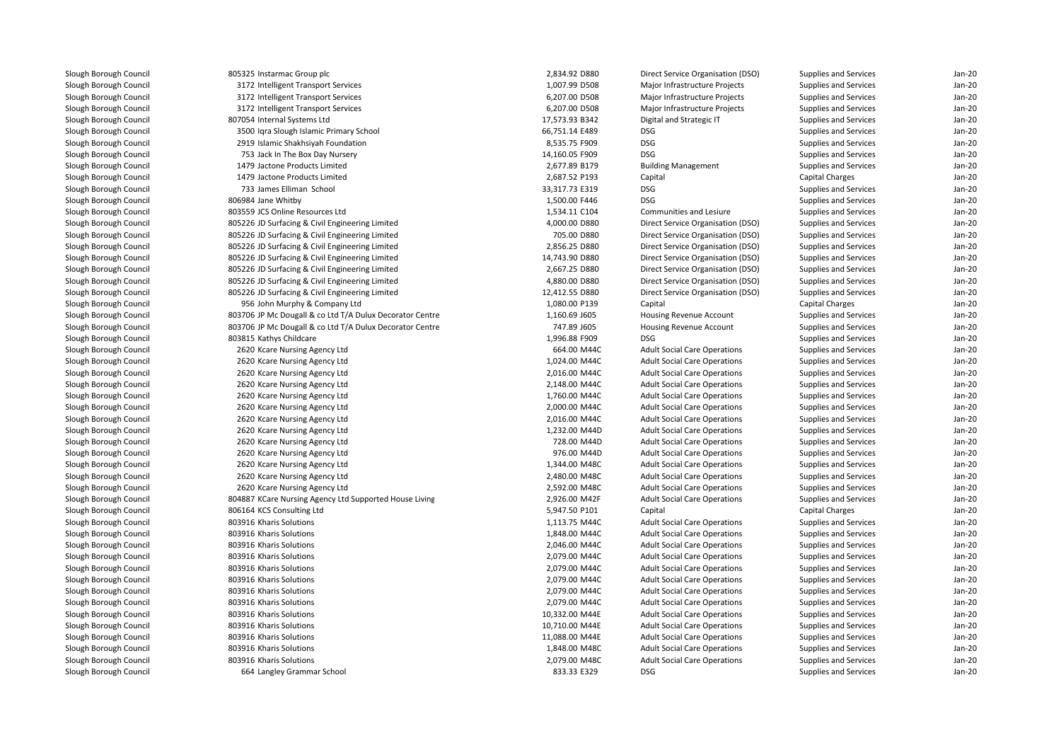| 805325 Instarmac Group plc                               | 2,834.92 D880  | Direct Service Organisation (DSO)   | Supplies and Services | $Jan-2C$ |
|----------------------------------------------------------|----------------|-------------------------------------|-----------------------|----------|
| 3172 Intelligent Transport Services                      | 1,007.99 D508  | Major Infrastructure Projects       | Supplies and Services | $Jan-2C$ |
| 3172 Intelligent Transport Services                      | 6,207.00 D508  | Major Infrastructure Projects       | Supplies and Services | $Jan-2C$ |
| 3172 Intelligent Transport Services                      | 6,207.00 D508  | Major Infrastructure Projects       | Supplies and Services | Jan-20   |
| 807054 Internal Systems Ltd                              | 17,573.93 B342 | Digital and Strategic IT            | Supplies and Services | $Jan-2C$ |
| 3500 Igra Slough Islamic Primary School                  | 66,751.14 E489 | <b>DSG</b>                          | Supplies and Services | Jan-20   |
| 2919 Islamic Shakhsiyah Foundation                       | 8,535.75 F909  | <b>DSG</b>                          | Supplies and Services | Jan-20   |
| 753 Jack In The Box Day Nursery                          | 14,160.05 F909 | <b>DSG</b>                          | Supplies and Services | Jan-20   |
| 1479 Jactone Products Limited                            | 2,677.89 B179  | <b>Building Management</b>          | Supplies and Services | Jan-20   |
| 1479 Jactone Products Limited                            | 2,687.52 P193  | Capital                             | Capital Charges       | Jan-20   |
| 733 James Elliman School                                 | 33,317.73 E319 | <b>DSG</b>                          | Supplies and Services | $Jan-2C$ |
| 806984 Jane Whitby                                       | 1,500.00 F446  | <b>DSG</b>                          | Supplies and Services | $Jan-2C$ |
| 803559 JCS Online Resources Ltd                          | 1,534.11 C104  | Communities and Lesiure             | Supplies and Services | Jan-20   |
| 805226 JD Surfacing & Civil Engineering Limited          | 4,000.00 D880  | Direct Service Organisation (DSO)   | Supplies and Services | Jan-20   |
| 805226 JD Surfacing & Civil Engineering Limited          | 705.00 D880    | Direct Service Organisation (DSO)   | Supplies and Services | Jan-20   |
| 805226 JD Surfacing & Civil Engineering Limited          | 2,856.25 D880  | Direct Service Organisation (DSO)   | Supplies and Services | $Jan-2C$ |
| 805226 JD Surfacing & Civil Engineering Limited          | 14,743.90 D880 | Direct Service Organisation (DSO)   | Supplies and Services | Jan-20   |
| 805226 JD Surfacing & Civil Engineering Limited          | 2,667.25 D880  | Direct Service Organisation (DSO)   | Supplies and Services | $Jan-2C$ |
| 805226 JD Surfacing & Civil Engineering Limited          | 4,880.00 D880  | Direct Service Organisation (DSO)   | Supplies and Services | Jan-20   |
| 805226 JD Surfacing & Civil Engineering Limited          | 12,412.55 D880 | Direct Service Organisation (DSO)   | Supplies and Services | $Jan-20$ |
| 956 John Murphy & Company Ltd                            | 1,080.00 P139  | Capital                             | Capital Charges       | Jan-20   |
| 803706 JP Mc Dougall & co Ltd T/A Dulux Decorator Centre | 1,160.69 J605  | Housing Revenue Account             | Supplies and Services | Jan-20   |
| 803706 JP Mc Dougall & co Ltd T/A Dulux Decorator Centre | 747.89 J605    | Housing Revenue Account             | Supplies and Services | Jan-20   |
| 803815 Kathys Childcare                                  | 1,996.88 F909  | <b>DSG</b>                          | Supplies and Services | $Jan-2C$ |
| 2620 Kcare Nursing Agency Ltd                            | 664.00 M44C    | <b>Adult Social Care Operations</b> | Supplies and Services | $Jan-2C$ |
| 2620 Kcare Nursing Agency Ltd                            | 1,024.00 M44C  | <b>Adult Social Care Operations</b> | Supplies and Services | $Jan-2C$ |
| 2620 Kcare Nursing Agency Ltd                            | 2,016.00 M44C  | <b>Adult Social Care Operations</b> | Supplies and Services | Jan-20   |
| 2620 Kcare Nursing Agency Ltd                            | 2,148.00 M44C  | <b>Adult Social Care Operations</b> | Supplies and Services | Jan-20   |
| 2620 Kcare Nursing Agency Ltd                            | 1,760.00 M44C  | <b>Adult Social Care Operations</b> | Supplies and Services | Jan-20   |
| 2620 Kcare Nursing Agency Ltd                            | 2,000.00 M44C  | <b>Adult Social Care Operations</b> | Supplies and Services | Jan-20   |
| 2620 Kcare Nursing Agency Ltd                            | 2,016.00 M44C  | <b>Adult Social Care Operations</b> | Supplies and Services | $Jan-2C$ |
| 2620 Kcare Nursing Agency Ltd                            | 1,232.00 M44D  | <b>Adult Social Care Operations</b> | Supplies and Services | $Jan-2C$ |
| 2620 Kcare Nursing Agency Ltd                            | 728.00 M44D    | <b>Adult Social Care Operations</b> | Supplies and Services | Jan-20   |
| 2620 Kcare Nursing Agency Ltd                            | 976.00 M44D    | <b>Adult Social Care Operations</b> | Supplies and Services | Jan-20   |
| 2620 Kcare Nursing Agency Ltd                            | 1,344.00 M48C  | <b>Adult Social Care Operations</b> | Supplies and Services | Jan-20   |
| 2620 Kcare Nursing Agency Ltd                            | 2,480.00 M48C  | <b>Adult Social Care Operations</b> | Supplies and Services | Jan-20   |
| 2620 Kcare Nursing Agency Ltd                            | 2,592.00 M48C  | <b>Adult Social Care Operations</b> | Supplies and Services | $Jan-2C$ |
| 804887 KCare Nursing Agency Ltd Supported House Living   | 2,926.00 M42F  | <b>Adult Social Care Operations</b> | Supplies and Services | $Jan-2C$ |
| 806164 KCS Consulting Ltd                                | 5,947.50 P101  | Capital                             | Capital Charges       | $Jan-2C$ |
| 803916 Kharis Solutions                                  | 1,113.75 M44C  | <b>Adult Social Care Operations</b> | Supplies and Services | Jan-20   |
| 803916 Kharis Solutions                                  | 1,848.00 M44C  | <b>Adult Social Care Operations</b> | Supplies and Services | Jan-20   |
| 803916 Kharis Solutions                                  | 2,046.00 M44C  | <b>Adult Social Care Operations</b> | Supplies and Services | Jan-20   |
| 803916 Kharis Solutions                                  | 2,079.00 M44C  | <b>Adult Social Care Operations</b> | Supplies and Services | $Jan-2C$ |
| 803916 Kharis Solutions                                  | 2,079.00 M44C  | <b>Adult Social Care Operations</b> | Supplies and Services | $Jan-2C$ |
| 803916 Kharis Solutions                                  | 2,079.00 M44C  | <b>Adult Social Care Operations</b> | Supplies and Services | $Jan-2C$ |
| 803916 Kharis Solutions                                  | 2,079.00 M44C  | <b>Adult Social Care Operations</b> | Supplies and Services | $Jan-2C$ |
| 803916 Kharis Solutions                                  | 2,079.00 M44C  | <b>Adult Social Care Operations</b> | Supplies and Services | Jan-20   |
| 803916 Kharis Solutions                                  | 10,332.00 M44E | <b>Adult Social Care Operations</b> | Supplies and Services | Jan-20   |
| 803916 Kharis Solutions                                  | 10,710.00 M44E | <b>Adult Social Care Operations</b> | Supplies and Services | $Jan-2C$ |
| 803916 Kharis Solutions                                  | 11,088.00 M44E | <b>Adult Social Care Operations</b> | Supplies and Services | $Jan-2C$ |
| 803916 Kharis Solutions                                  | 1,848.00 M48C  | <b>Adult Social Care Operations</b> | Supplies and Services | Jan-20   |
| 803916 Kharis Solutions                                  | 2,079.00 M48C  | <b>Adult Social Care Operations</b> | Supplies and Services | $Jan-2C$ |
| 664 Langley Grammar School                               | 833.33 E329    | <b>DSG</b>                          | Supplies and Services | $Jan-2C$ |
|                                                          |                |                                     |                       |          |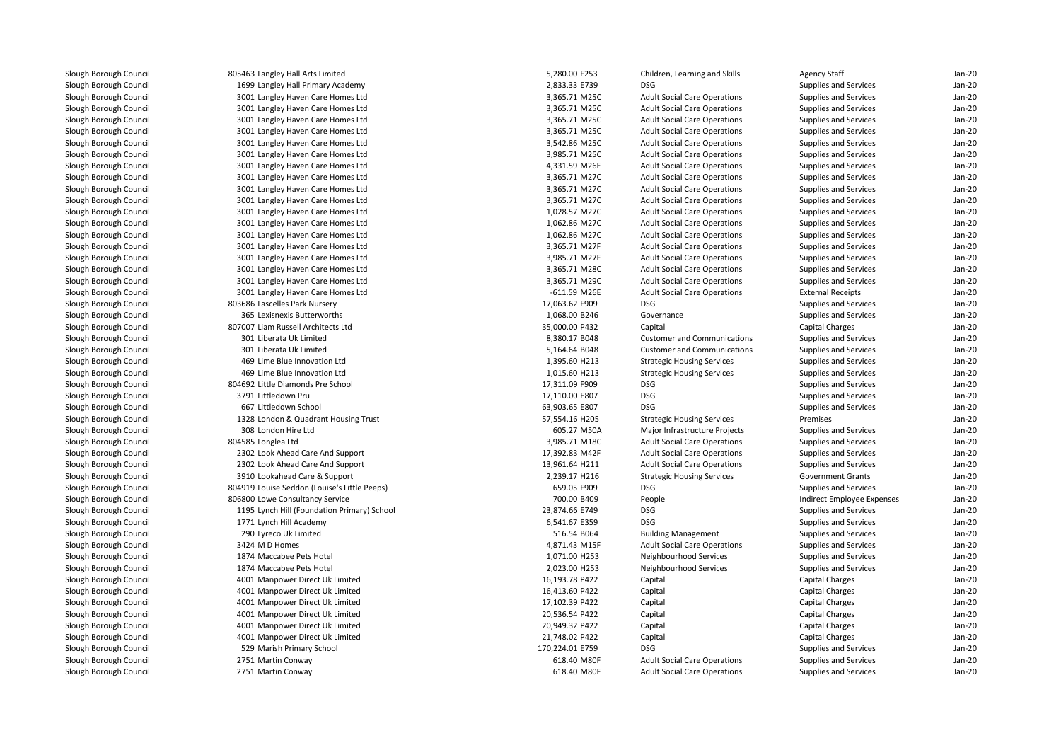| 805463 Langley Hall Arts Limited             | 5,280.00 F253   | Children, Learning and Skills       | <b>Agency Staff</b>        | $Jan-2C$ |
|----------------------------------------------|-----------------|-------------------------------------|----------------------------|----------|
| 1699 Langley Hall Primary Academy            | 2,833.33 E739   | <b>DSG</b>                          | Supplies and Services      | Jan-20   |
| 3001 Langley Haven Care Homes Ltd            | 3,365.71 M25C   | <b>Adult Social Care Operations</b> | Supplies and Services      | $Jan-2C$ |
| 3001 Langley Haven Care Homes Ltd            | 3,365.71 M25C   | <b>Adult Social Care Operations</b> | Supplies and Services      | Jan-20   |
| 3001 Langley Haven Care Homes Ltd            | 3,365.71 M25C   | <b>Adult Social Care Operations</b> | Supplies and Services      | Jan-20   |
| 3001 Langley Haven Care Homes Ltd            | 3,365.71 M25C   | <b>Adult Social Care Operations</b> | Supplies and Services      | $Jan-2C$ |
| 3001 Langley Haven Care Homes Ltd            | 3,542.86 M25C   | <b>Adult Social Care Operations</b> | Supplies and Services      | $Jan-2C$ |
| 3001 Langley Haven Care Homes Ltd            | 3,985.71 M25C   | <b>Adult Social Care Operations</b> | Supplies and Services      | Jan-20   |
| 3001 Langley Haven Care Homes Ltd            | 4,331.59 M26E   | <b>Adult Social Care Operations</b> | Supplies and Services      | Jan-20   |
| 3001 Langley Haven Care Homes Ltd            | 3,365.71 M27C   | <b>Adult Social Care Operations</b> | Supplies and Services      | Jan-20   |
| 3001 Langley Haven Care Homes Ltd            | 3,365.71 M27C   | <b>Adult Social Care Operations</b> | Supplies and Services      | Jan-20   |
| 3001 Langley Haven Care Homes Ltd            | 3,365.71 M27C   | <b>Adult Social Care Operations</b> | Supplies and Services      | $Jan-2C$ |
| 3001 Langley Haven Care Homes Ltd            | 1,028.57 M27C   | <b>Adult Social Care Operations</b> | Supplies and Services      | $Jan-2C$ |
| 3001 Langley Haven Care Homes Ltd            | 1,062.86 M27C   | <b>Adult Social Care Operations</b> | Supplies and Services      | $Jan-2C$ |
| 3001 Langley Haven Care Homes Ltd            | 1,062.86 M27C   | <b>Adult Social Care Operations</b> | Supplies and Services      | Jan-20   |
| 3001 Langley Haven Care Homes Ltd            | 3,365.71 M27F   | <b>Adult Social Care Operations</b> | Supplies and Services      | Jan-20   |
| 3001 Langley Haven Care Homes Ltd            | 3,985.71 M27F   | <b>Adult Social Care Operations</b> | Supplies and Services      | Jan-20   |
| 3001 Langley Haven Care Homes Ltd            | 3,365.71 M28C   | <b>Adult Social Care Operations</b> | Supplies and Services      | Jan-20   |
| 3001 Langley Haven Care Homes Ltd            | 3,365.71 M29C   | <b>Adult Social Care Operations</b> | Supplies and Services      | $Jan-2C$ |
| 3001 Langley Haven Care Homes Ltd            | -611.59 M26E    | <b>Adult Social Care Operations</b> | <b>External Receipts</b>   | Jan-20   |
| 803686 Lascelles Park Nursery                | 17,063.62 F909  | <b>DSG</b>                          | Supplies and Services      | Jan-20   |
| 365 Lexisnexis Butterworths                  | 1,068.00 B246   | Governance                          | Supplies and Services      | Jan-20   |
| 807007 Liam Russell Architects Ltd           | 35,000.00 P432  | Capital                             | Capital Charges            | $Jan-2C$ |
| 301 Liberata Uk Limited                      | 8,380.17 B048   | <b>Customer and Communications</b>  | Supplies and Services      | Jan-20   |
| 301 Liberata Uk Limited                      | 5,164.64 B048   | <b>Customer and Communications</b>  | Supplies and Services      | $Jan-2C$ |
| 469 Lime Blue Innovation Ltd                 | 1,395.60 H213   | <b>Strategic Housing Services</b>   | Supplies and Services      | Jan-20   |
| 469 Lime Blue Innovation Ltd                 | 1,015.60 H213   | <b>Strategic Housing Services</b>   | Supplies and Services      | Jan-20   |
| 804692 Little Diamonds Pre School            | 17,311.09 F909  | <b>DSG</b>                          | Supplies and Services      | $Jan-2C$ |
| 3791 Littledown Pru                          | 17,110.00 E807  | <b>DSG</b>                          | Supplies and Services      | Jan-20   |
| 667 Littledown School                        | 63,903.65 E807  | <b>DSG</b>                          | Supplies and Services      | $Jan-2C$ |
| 1328 London & Quadrant Housing Trust         | 57,554.16 H205  | <b>Strategic Housing Services</b>   | Premises                   | Jan-20   |
| 308 London Hire Ltd                          | 605.27 M50A     | Major Infrastructure Projects       | Supplies and Services      | Jan-20   |
| 804585 Longlea Ltd                           | 3,985.71 M18C   | <b>Adult Social Care Operations</b> | Supplies and Services      | Jan-20   |
| 2302 Look Ahead Care And Support             | 17,392.83 M42F  | <b>Adult Social Care Operations</b> | Supplies and Services      | Jan-20   |
| 2302 Look Ahead Care And Support             | 13,961.64 H211  | <b>Adult Social Care Operations</b> | Supplies and Services      | Jan-20   |
| 3910 Lookahead Care & Support                | 2,239.17 H216   | <b>Strategic Housing Services</b>   | <b>Government Grants</b>   | $Jan-2C$ |
| 804919 Louise Seddon (Louise's Little Peeps) | 659.05 F909     | <b>DSG</b>                          | Supplies and Services      | Jan-20   |
| 806800 Lowe Consultancy Service              | 700.00 B409     | People                              | Indirect Employee Expenses | Jan-20   |
| 1195 Lynch Hill (Foundation Primary) School  | 23,874.66 E749  | <b>DSG</b>                          | Supplies and Services      | $Jan-2C$ |
| 1771 Lynch Hill Academy                      | 6,541.67 E359   | <b>DSG</b>                          | Supplies and Services      | Jan-20   |
| 290 Lyreco Uk Limited                        | 516.54 B064     | <b>Building Management</b>          | Supplies and Services      | $Jan-2C$ |
| 3424 M D Homes                               | 4,871.43 M15F   | <b>Adult Social Care Operations</b> | Supplies and Services      | Jan-20   |
| 1874 Maccabee Pets Hotel                     | 1,071.00 H253   | Neighbourhood Services              | Supplies and Services      | Jan-20   |
| 1874 Maccabee Pets Hotel                     | 2,023.00 H253   | Neighbourhood Services              | Supplies and Services      | Jan-20   |
| 4001 Manpower Direct Uk Limited              | 16,193.78 P422  | Capital                             | Capital Charges            | Jan-20   |
| 4001 Manpower Direct Uk Limited              | 16,413.60 P422  | Capital                             | Capital Charges            | $Jan-2C$ |
| 4001 Manpower Direct Uk Limited              | 17,102.39 P422  | Capital                             | <b>Capital Charges</b>     | $Jan-2C$ |
| 4001 Manpower Direct Uk Limited              | 20,536.54 P422  | Capital                             | Capital Charges            | Jan-20   |
| 4001 Manpower Direct Uk Limited              | 20,949.32 P422  | Capital                             | Capital Charges            | Jan-20   |
| 4001 Manpower Direct Uk Limited              | 21,748.02 P422  | Capital                             | Capital Charges            | Jan-20   |
| 529 Marish Primary School                    | 170,224.01 E759 | <b>DSG</b>                          | Supplies and Services      | $Jan-2C$ |
| 2751 Martin Conway                           | 618.40 M80F     | <b>Adult Social Care Operations</b> | Supplies and Services      | $Jan-2C$ |
| 2751 Martin Conway                           | 618.40 M80F     | <b>Adult Social Care Operations</b> | Supplies and Services      | Jan-20   |
|                                              |                 |                                     |                            |          |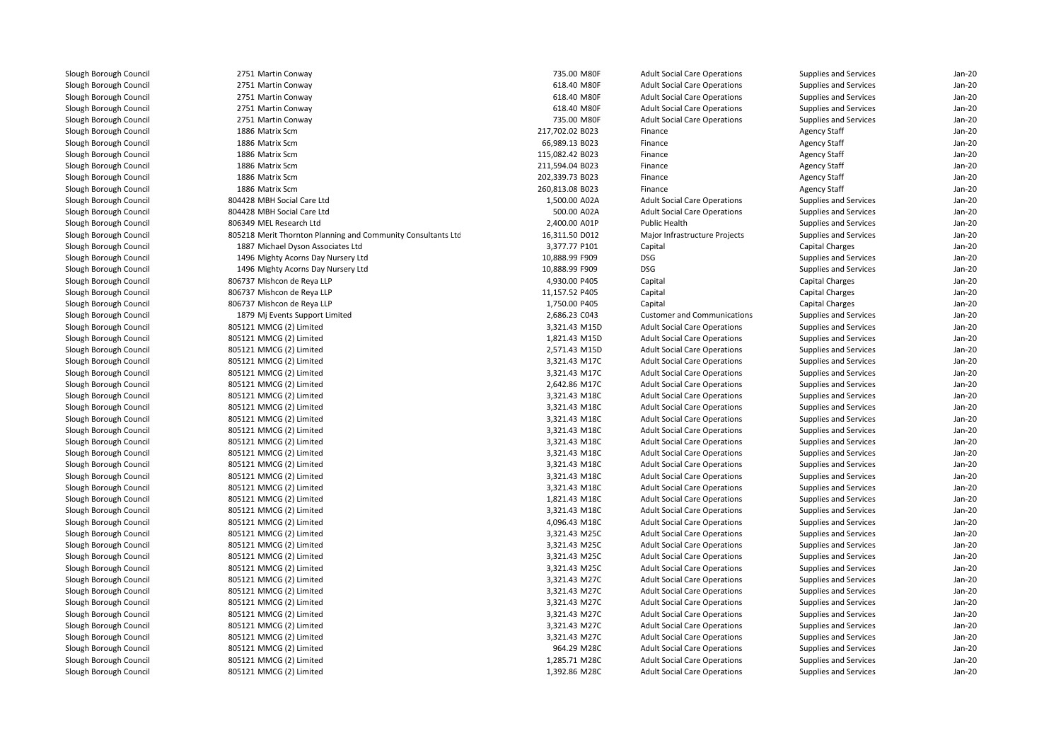2751 Martin Conway 2751 Martin Conway 2751 Martin Conway 2751 Martin Conway 2751 Martin Conway 1886 Matrix Scm 1886 Matrix Scm 1886 Matrix Scm 1886 Matrix Scm 1886 Matrix Scm 1886 Matrix Scm 804428 MBH Social Care Ltdd 1,500.00 A02A 804428 MBH Social Care Ltd 500.00 A02A 806349 MEL Research Ltd 805218 Merit Thornton Planning and Community Consultants Ltd 1887 Michael Dyson Associates Ltd 1496 Mighty Acorns Day Nursery Ltd 1496 Mighty Acorns Day Nursery Ltd 806737 Mishcon de Reya LLP 806737 Mishcon de Reya LLP 806737 Mishcon de Reya LLP 1879 Mj Events Support Limited 805121 MMCG (2) Limited 3,321.43 M15D 805121 MMCG (2) Limited 1,821.43 M15D 805121 MMCG (2) Limited 2,571.43 M15D 805121 MMCG (2) Limited $3,321.43 \text{ } M170$  805121 MMCG (2) Limitedd  $3,321.43 \text{ M}$  805121 MMCG (2) Limitedd  $2,642.86 \text{ M}$  805121 MMCG (2) Limitedd 3,321.43 M18C 805121 MMCG (2) Limitedd 3,321.43 M18C 805121 MMCG (2) Limitedd  $3,321.43 \text{ M18C}$  805121 MMCG (2) Limitedd 3,321.43 M18C 805121 MMCG (2) Limitedd 3,321.43 M18C 805121 MMCG (2) Limitedd  $3,321.43 \text{ M18C}$  805121 MMCG (2) Limitedd 3,321.43 M18C 805121 MMCG (2) Limitedd 3,321.43 M18C 805121 MMCG (2) Limitedd  $3,321.43 \text{ M18C}$  805121 MMCG (2) Limitedd 1,821.43 M18C 805121 MMCG (2) Limitedd 3,321.43 M18C 805121 MMCG (2) Limitedd 4,096.43 M18C 805121 MMCG (2) Limited 3,321.43 M25C 805121 MMCG (2) Limited 3,321.43 M25C 805121 MMCG (2) Limited 3,321.43 M25C 805121 MMCG (2) Limited 3,321.43 M25C 805121 MMCG (2) Limited 3,321.43 M27C 805121 MMCG (2) Limitedd  $3,321.43 \text{ M}$  805121 MMCG (2) Limited 3,321.43 M27C 805121 MMCG (2) Limited 3,321.43 M27C 805121 MMCG (2) Limitedd  $3,321.43 \text{ M}$  805121 MMCG (2) Limited 3,321.43 M27C 805121 MMCG (2) Limitedd 964.29 M28C 805121 MMCG (2) Limited 1,285.71 M28C805121 MMCG (2) Limited

| 1 Martin Conway                                         | 735.00 M80F     | <b>Adult Social Care Operations</b>                                        | Supplies and Services                                 | $Jan-2C$ |
|---------------------------------------------------------|-----------------|----------------------------------------------------------------------------|-------------------------------------------------------|----------|
| 1 Martin Conway                                         | 618.40 M80F     | <b>Adult Social Care Operations</b>                                        | <b>Supplies and Services</b>                          | $Jan-2C$ |
| 1 Martin Conway                                         | 618.40 M80F     | <b>Adult Social Care Operations</b>                                        | <b>Supplies and Services</b>                          | Jan-20   |
| 1 Martin Conway                                         | 618.40 M80F     | <b>Adult Social Care Operations</b>                                        | Supplies and Services                                 | Jan-20   |
| 1 Martin Conway                                         | 735.00 M80F     | <b>Adult Social Care Operations</b>                                        | Supplies and Services                                 | Jan-20   |
| 6 Matrix Scm                                            | 217,702.02 B023 | Finance                                                                    | <b>Agency Staff</b>                                   | Jan-20   |
| 6 Matrix Scm                                            | 66,989.13 B023  | Finance                                                                    | <b>Agency Staff</b>                                   | Jan-20   |
| 6 Matrix Scm                                            | 115,082.42 B023 | Finance                                                                    | <b>Agency Staff</b>                                   | Jan-20   |
| 6 Matrix Scm                                            | 211,594.04 B023 | Finance                                                                    | <b>Agency Staff</b>                                   | $Jan-2C$ |
| 6 Matrix Scm                                            | 202,339.73 B023 | Finance                                                                    | <b>Agency Staff</b>                                   | Jan-20   |
| 6 Matrix Scm                                            | 260,813.08 B023 | Finance                                                                    | <b>Agency Staff</b>                                   | Jan-20   |
| 8 MBH Social Care Ltd                                   | 1,500.00 A02A   | <b>Adult Social Care Operations</b>                                        | Supplies and Services                                 | Jan-20   |
| 8 MBH Social Care Ltd                                   | 500.00 A02A     | <b>Adult Social Care Operations</b>                                        | <b>Supplies and Services</b>                          | Jan-20   |
| 9 MEL Research Ltd                                      | 2,400.00 A01P   | <b>Public Health</b>                                                       | Supplies and Services                                 | Jan-20   |
| 8 Merit Thornton Planning and Community Consultants Ltd | 16,311.50 D012  | Major Infrastructure Projects                                              | Supplies and Services                                 | Jan-20   |
| 7 Michael Dyson Associates Ltd                          | 3,377.77 P101   | Capital                                                                    | Capital Charges                                       | $Jan-2C$ |
| 6 Mighty Acorns Day Nursery Ltd                         | 10,888.99 F909  | <b>DSG</b>                                                                 | <b>Supplies and Services</b>                          | $Jan-2C$ |
| 6 Mighty Acorns Day Nursery Ltd                         | 10,888.99 F909  | <b>DSG</b>                                                                 | Supplies and Services                                 | Jan-20   |
| 7 Mishcon de Reya LLP                                   | 4,930.00 P405   | Capital                                                                    | <b>Capital Charges</b>                                | Jan-20   |
| 7 Mishcon de Reya LLP                                   | 11,157.52 P405  | Capital                                                                    | Capital Charges                                       | Jan-20   |
| 7 Mishcon de Reya LLP                                   | 1,750.00 P405   | Capital                                                                    | <b>Capital Charges</b>                                | Jan-20   |
| 9 Mj Events Support Limited                             | 2,686.23 C043   | <b>Customer and Communications</b>                                         | Supplies and Services                                 | Jan-20   |
| 1 MMCG (2) Limited                                      | 3,321.43 M15D   | <b>Adult Social Care Operations</b>                                        | Supplies and Services                                 | Jan-20   |
| 1 MMCG (2) Limited                                      | 1,821.43 M15D   | <b>Adult Social Care Operations</b>                                        | Supplies and Services                                 | $Jan-2C$ |
| 1 MMCG (2) Limited                                      | 2,571.43 M15D   | <b>Adult Social Care Operations</b>                                        | <b>Supplies and Services</b>                          | $Jan-2C$ |
| 1 MMCG (2) Limited                                      | 3,321.43 M17C   | <b>Adult Social Care Operations</b>                                        | <b>Supplies and Services</b>                          | Jan-20   |
| 1 MMCG (2) Limited                                      | 3,321.43 M17C   | <b>Adult Social Care Operations</b>                                        | Supplies and Services                                 | Jan-20   |
| 1 MMCG (2) Limited                                      | 2,642.86 M17C   | <b>Adult Social Care Operations</b>                                        | Supplies and Services                                 | Jan-20   |
| 1 MMCG (2) Limited                                      | 3,321.43 M18C   | <b>Adult Social Care Operations</b>                                        | Supplies and Services                                 | Jan-20   |
| 1 MMCG (2) Limited                                      | 3,321.43 M18C   | <b>Adult Social Care Operations</b>                                        | Supplies and Services                                 | $Jan-2C$ |
| 1 MMCG (2) Limited                                      | 3,321.43 M18C   | <b>Adult Social Care Operations</b>                                        | <b>Supplies and Services</b>                          | Jan-20   |
| 1 MMCG (2) Limited                                      | 3,321.43 M18C   | <b>Adult Social Care Operations</b>                                        | Supplies and Services                                 | $Jan-2C$ |
| 1 MMCG (2) Limited                                      | 3,321.43 M18C   | <b>Adult Social Care Operations</b>                                        | <b>Supplies and Services</b>                          | $Jan-2C$ |
| 1 MMCG (2) Limited                                      | 3,321.43 M18C   | <b>Adult Social Care Operations</b>                                        | Supplies and Services                                 | Jan-20   |
| 1 MMCG (2) Limited                                      | 3,321.43 M18C   | <b>Adult Social Care Operations</b>                                        | Supplies and Services                                 | Jan-20   |
| 1 MMCG (2) Limited                                      | 3,321.43 M18C   | <b>Adult Social Care Operations</b>                                        | Supplies and Services                                 | Jan-20   |
| 1 MMCG (2) Limited                                      | 3,321.43 M18C   | <b>Adult Social Care Operations</b>                                        | Supplies and Services                                 | Jan-20   |
| 1 MMCG (2) Limited                                      | 1,821.43 M18C   | <b>Adult Social Care Operations</b>                                        | Supplies and Services                                 | Jan-20   |
| 1 MMCG (2) Limited                                      | 3,321.43 M18C   | <b>Adult Social Care Operations</b>                                        | Supplies and Services                                 | Jan-20   |
| 1 MMCG (2) Limited                                      | 4,096.43 M18C   | <b>Adult Social Care Operations</b>                                        | <b>Supplies and Services</b>                          | $Jan-2C$ |
| 1 MMCG (2) Limited                                      | 3,321.43 M25C   | <b>Adult Social Care Operations</b>                                        | <b>Supplies and Services</b>                          | Jan-20   |
| 1 MMCG (2) Limited                                      | 3,321.43 M25C   | <b>Adult Social Care Operations</b>                                        | Supplies and Services                                 | Jan-20   |
| 1 MMCG (2) Limited                                      | 3,321.43 M25C   | <b>Adult Social Care Operations</b>                                        | Supplies and Services                                 | Jan-20   |
| 1 MMCG (2) Limited                                      | 3,321.43 M25C   | <b>Adult Social Care Operations</b>                                        | Supplies and Services                                 | Jan-20   |
| 1 MMCG (2) Limited                                      | 3,321.43 M27C   | <b>Adult Social Care Operations</b>                                        | Supplies and Services                                 | Jan-20   |
| 1 MMCG (2) Limited                                      | 3,321.43 M27C   | <b>Adult Social Care Operations</b>                                        | Supplies and Services                                 | Jan-20   |
| 1 MMCG (2) Limited                                      | 3,321.43 M27C   | <b>Adult Social Care Operations</b>                                        | Supplies and Services                                 | Jan-20   |
| 1 MMCG (2) Limited                                      | 3,321.43 M27C   |                                                                            |                                                       | $Jan-2C$ |
|                                                         | 3,321.43 M27C   | <b>Adult Social Care Operations</b><br><b>Adult Social Care Operations</b> | <b>Supplies and Services</b><br>Supplies and Services | Jan-20   |
| 1 MMCG (2) Limited<br>1 MMCG (2) Limited                | 3,321.43 M27C   | <b>Adult Social Care Operations</b>                                        | <b>Supplies and Services</b>                          | Jan-20   |
| 1 MMCG (2) Limited                                      | 964.29 M28C     | <b>Adult Social Care Operations</b>                                        | Supplies and Services                                 | Jan-20   |
| 1 MMCG (2) Limited                                      | 1,285.71 M28C   | <b>Adult Social Care Operations</b>                                        | <b>Supplies and Services</b>                          | Jan-20   |
|                                                         | 1,392.86 M28C   |                                                                            |                                                       |          |
| 1 MMCG (2) Limited                                      |                 | <b>Adult Social Care Operations</b>                                        | Supplies and Services                                 | $Jan-2C$ |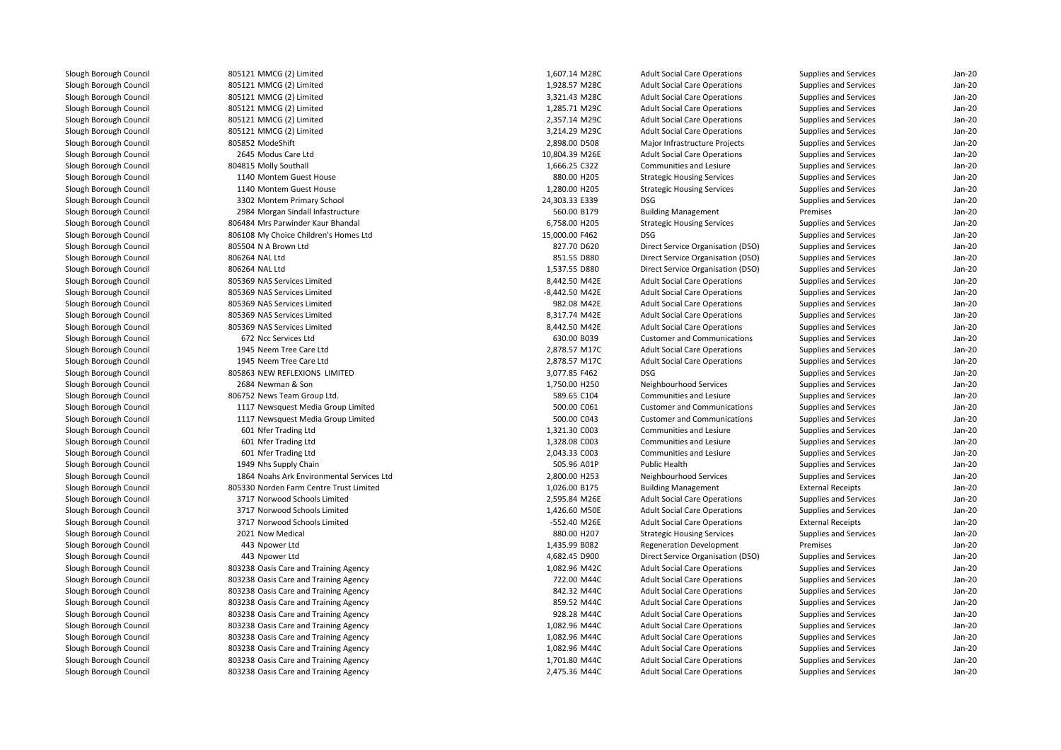805121 MMCG (2) Limited 805121 MMCG (2) Limited 805121 MMCG (2) Limited 805121 MMCG (2) Limited 805121 MMCG (2) Limited 805121 MMCG (2) Limited805852 ModeShift 2645 Modus Care Ltd804815 Molly Southall 1140 Montem Guest House 1140 Montem Guest House 3302 Montem Primary School 24,303.33 E339 DSG2984 Morgan Sindall Infastructure 806484 Mrs Parwinder Kaur Bhandal 806108 My Choice Children's Homes Ltd 805504 N A Brown Ltd 806264 NAL Ltd 806264 NAL Ltd 805369 NAS Services Limited 805369 NAS Services Limited 805369 NAS Services Limited 805369 NAS Services Limited 805369 NAS Services Limited 672 Ncc Services Ltd 1945 Neem Tree Care Ltd 1945 Neem Tree Care Ltd 805863 NEW REFLEXIONS LIMITED 2684 Newman & Son806752 News Team Group Ltd. 1117 Newsquest Media Group Limited 1117 Newsquest Media Group Limited 601 Nfer Trading Ltd 601 Nfer Trading Ltd 601 Nfer Trading Ltd 1949 Nhs Supply Chain 1864 Noahs Ark Environmental Services Ltd 805330 Norden Farm Centre Trust Limited 3717 Norwood Schools Limited 3717 Norwood Schools Limited 3717 Norwood Schools Limited2021 Now Medical 443443 Npower Ltd 443 Npower Ltd803238 Oasis Care and Training Agency 1,082.96 M42C 1,082.96 M42C 803238 Oasis Care and Training Agency 722.00 M44C 803238 Oasis Care and Training Agency 842.32 M44C 803238 Oasis Care and Training Agency 859.52 M44C 803238 Oasis Care and Training Agency 928.28 M44C803238 Oasis Care and Training Agency 1,082.96 M44C 1,082.96 M44C 803238 Oasis Care and Training Agency 1,082.96 M44C 1,082.96 M44C 803238 Oasis Care and Training Agency 1,082.96 M44C 1,082.96 M44C 803238 Oasis Care and Training Agency 1,701.80 M44C 1,701.80 M44C 803238 Oasis Care and Training Agency 2,475.36 M44C

| 1 MMCG (2) Limited                     | 1.607.14 M28C                | <b>Adult Social Care Operations</b> | <b>Supplies and Services</b> | Jan-20   |
|----------------------------------------|------------------------------|-------------------------------------|------------------------------|----------|
| 1 MMCG (2) Limited                     | 1,928.57 M28C                | <b>Adult Social Care Operations</b> | Supplies and Services        | Jan-20   |
| 1 MMCG (2) Limited                     | 3,321.43 M28C                | <b>Adult Social Care Operations</b> | Supplies and Services        | Jan-20   |
| 1 MMCG (2) Limited                     | 1,285.71 M29C                | <b>Adult Social Care Operations</b> | Supplies and Services        | Jan-20   |
| 1 MMCG (2) Limited                     | 2,357.14 M29C                | <b>Adult Social Care Operations</b> | Supplies and Services        | $Jan-2C$ |
| 1 MMCG (2) Limited                     | 3,214.29 M29C                | <b>Adult Social Care Operations</b> | Supplies and Services        | Jan-20   |
| 2 ModeShift                            | 2,898.00 D508                | Major Infrastructure Projects       | <b>Supplies and Services</b> | Jan-20   |
| 5 Modus Care Ltd                       | 10,804.39 M26E               | <b>Adult Social Care Operations</b> | Supplies and Services        | Jan-20   |
| 5 Molly Southall                       | 1,666.25 C322                | Communities and Lesiure             | Supplies and Services        | Jan-20   |
| 0 Montem Guest House                   | 880.00 H205                  | <b>Strategic Housing Services</b>   | Supplies and Services        | Jan-20   |
| 0 Montem Guest House                   | 1,280.00 H205                | <b>Strategic Housing Services</b>   | <b>Supplies and Services</b> | $Jan-2C$ |
| 2 Montem Primary School                | 24,303.33 E339               | <b>DSG</b>                          | <b>Supplies and Services</b> | Jan-20   |
| 4 Morgan Sindall Infastructure         | 560.00 B179                  | <b>Building Management</b>          | Premises                     | Jan-20   |
| 4 Mrs Parwinder Kaur Bhandal           | 6,758.00 H205                | <b>Strategic Housing Services</b>   | Supplies and Services        | Jan-20   |
| 8 My Choice Children's Homes Ltd       | 15,000.00 F462               | <b>DSG</b>                          | Supplies and Services        | $Jan-2C$ |
| 4 N A Brown Ltd                        | 827.70 D620                  | Direct Service Organisation (DSO)   | Supplies and Services        | Jan-20   |
| 4 NAL Ltd                              | 851.55 D880                  | Direct Service Organisation (DSO)   | <b>Supplies and Services</b> | $Jan-2C$ |
| 4 NAL Ltd                              | 1,537.55 D880                | Direct Service Organisation (DSO)   | Supplies and Services        | Jan-20   |
| 9 NAS Services Limited                 | 8,442.50 M42E                | <b>Adult Social Care Operations</b> | Supplies and Services        | Jan-20   |
| 9 NAS Services Limited                 | -8,442.50 M42E               | <b>Adult Social Care Operations</b> | Supplies and Services        | Jan-20   |
| 9 NAS Services Limited                 | 982.08 M42E                  | <b>Adult Social Care Operations</b> | Supplies and Services        | $Jan-2C$ |
| 9 NAS Services Limited                 | 8,317.74 M42E                | <b>Adult Social Care Operations</b> | Supplies and Services        | $Jan-2C$ |
| 9 NAS Services Limited                 | 8,442.50 M42E                | <b>Adult Social Care Operations</b> | <b>Supplies and Services</b> | Jan-20   |
| 2 Ncc Services Ltd                     | 630.00 B039                  | <b>Customer and Communications</b>  | Supplies and Services        | Jan-20   |
| 5 Neem Tree Care Ltd                   | 2,878.57 M17C                | <b>Adult Social Care Operations</b> | Supplies and Services        | Jan-20   |
| 5 Neem Tree Care Ltd                   | 2,878.57 M17C                | <b>Adult Social Care Operations</b> | Supplies and Services        | Jan-20   |
| 3 NEW REFLEXIONS LIMITED               | 3,077.85 F462                | <b>DSG</b>                          | <b>Supplies and Services</b> | Jan-20   |
| 4 Newman & Son                         | 1,750.00 H250                | Neighbourhood Services              | <b>Supplies and Services</b> | Jan-20   |
| 2 News Team Group Ltd.                 | 589.65 C104                  | Communities and Lesiure             | Supplies and Services        | Jan-20   |
| 7 Newsquest Media Group Limited        | 500.00 C061                  | <b>Customer and Communications</b>  | Supplies and Services        | Jan-20   |
| 7 Newsquest Media Group Limited        | 500.00 C043                  | <b>Customer and Communications</b>  | Supplies and Services        | Jan-20   |
| 1 Nfer Trading Ltd                     | 1,321.30 C003                | Communities and Lesiure             | Supplies and Services        | $Jan-2C$ |
| 1 Nfer Trading Ltd                     | 1,328.08 C003                | <b>Communities and Lesiure</b>      | <b>Supplies and Services</b> | $Jan-2C$ |
| 1 Nfer Trading Ltd                     | 2,043.33 C003                | Communities and Lesiure             | Supplies and Services        | Jan-20   |
| 9 Nhs Supply Chain                     | 505.96 A01P                  | Public Health                       | Supplies and Services        | Jan-20   |
| 4 Noahs Ark Environmental Services Ltd | 2,800.00 H253                | Neighbourhood Services              | <b>Supplies and Services</b> | Jan-20   |
| 0 Norden Farm Centre Trust Limited     | 1,026.00 B175                | <b>Building Management</b>          | <b>External Receipts</b>     | Jan-20   |
| 7 Norwood Schools Limited              | 2,595.84 M26E                | <b>Adult Social Care Operations</b> | Supplies and Services        | Jan-20   |
| 7 Norwood Schools Limited              | 1,426.60 M50E                | <b>Adult Social Care Operations</b> | Supplies and Services        | Jan-20   |
| 7 Norwood Schools Limited              | -552.40 M26E                 | <b>Adult Social Care Operations</b> | <b>External Receipts</b>     | Jan-20   |
| 1 Now Medical                          | 880.00 H207                  | <b>Strategic Housing Services</b>   | Supplies and Services        | Jan-20   |
| 3 Npower Ltd                           | 1,435.99 B082                | <b>Regeneration Development</b>     | Premises                     | Jan-20   |
|                                        | 4,682.45 D900                |                                     |                              | Jan-20   |
| 3 Npower Ltd                           |                              | Direct Service Organisation (DSO)   | <b>Supplies and Services</b> | Jan-20   |
| 8 Oasis Care and Training Agency       | 1,082.96 M42C<br>722.00 M44C | <b>Adult Social Care Operations</b> | Supplies and Services        | Jan-20   |
| 8 Oasis Care and Training Agency       |                              | <b>Adult Social Care Operations</b> | Supplies and Services        |          |
| 8 Oasis Care and Training Agency       | 842.32 M44C                  | <b>Adult Social Care Operations</b> | Supplies and Services        | Jan-20   |
| 8 Oasis Care and Training Agency       | 859.52 M44C                  | <b>Adult Social Care Operations</b> | Supplies and Services        | Jan-20   |
| 8 Oasis Care and Training Agency       | 928.28 M44C                  | <b>Adult Social Care Operations</b> | Supplies and Services        | Jan-20   |
| 8 Oasis Care and Training Agency       | 1,082.96 M44C                | <b>Adult Social Care Operations</b> | Supplies and Services        | Jan-20   |
| 8 Oasis Care and Training Agency       | 1,082.96 M44C                | <b>Adult Social Care Operations</b> | Supplies and Services        | $Jan-2C$ |
| 8 Oasis Care and Training Agency       | 1,082.96 M44C                | <b>Adult Social Care Operations</b> | Supplies and Services        | Jan-20   |
| 8 Oasis Care and Training Agency       | 1,701.80 M44C                | <b>Adult Social Care Operations</b> | <b>Supplies and Services</b> | Jan-20   |
| 8 Oasis Care and Training Agency       | 2,475.36 M44C                | <b>Adult Social Care Operations</b> | Supplies and Services        | Jan-20   |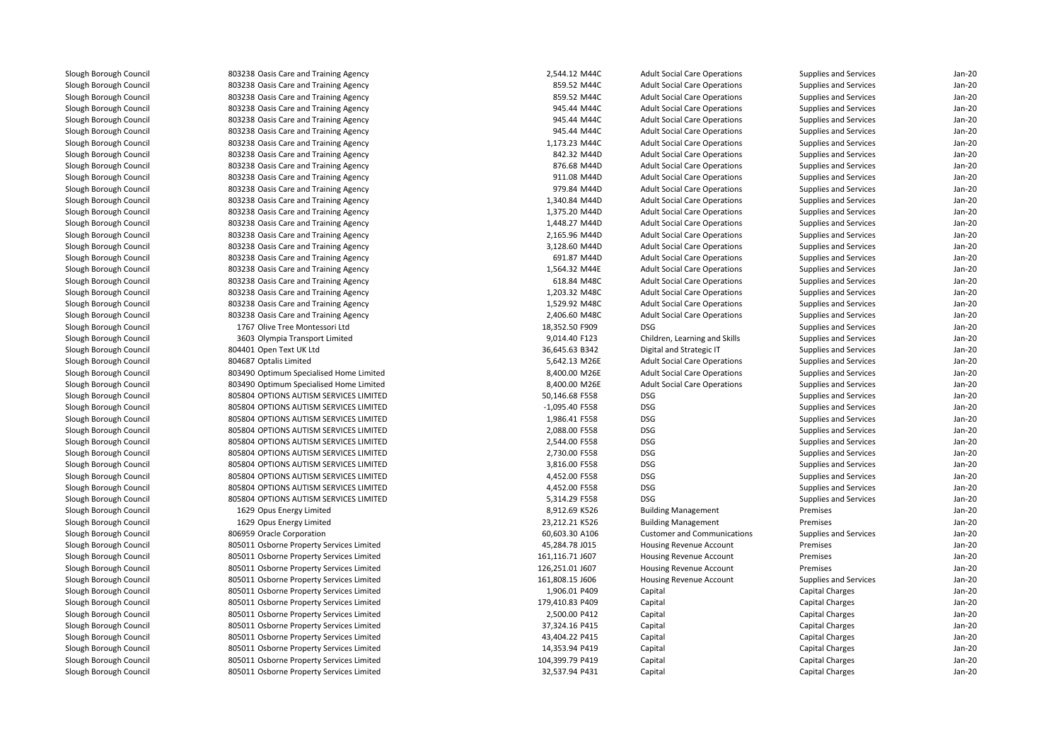| 803238 Oasis Care and Training Agency    | 2,544.12 M44C   | <b>Adult Social Care Operations</b> | Supplies and Services  | $Jan-2C$ |
|------------------------------------------|-----------------|-------------------------------------|------------------------|----------|
| 803238 Oasis Care and Training Agency    | 859.52 M44C     | <b>Adult Social Care Operations</b> | Supplies and Services  | Jan-20   |
| 803238 Oasis Care and Training Agency    | 859.52 M44C     | <b>Adult Social Care Operations</b> | Supplies and Services  | Jan-20   |
| 803238 Oasis Care and Training Agency    | 945.44 M44C     | <b>Adult Social Care Operations</b> | Supplies and Services  | Jan-20   |
| 803238 Oasis Care and Training Agency    | 945.44 M44C     | <b>Adult Social Care Operations</b> | Supplies and Services  | Jan-20   |
| 803238 Oasis Care and Training Agency    | 945.44 M44C     | <b>Adult Social Care Operations</b> | Supplies and Services  | $Jan-2C$ |
| 803238 Oasis Care and Training Agency    | 1,173.23 M44C   | <b>Adult Social Care Operations</b> | Supplies and Services  | Jan-20   |
| 803238 Oasis Care and Training Agency    | 842.32 M44D     | <b>Adult Social Care Operations</b> | Supplies and Services  | $Jan-2C$ |
| 803238 Oasis Care and Training Agency    | 876.68 M44D     | <b>Adult Social Care Operations</b> | Supplies and Services  | Jan-20   |
| 803238 Oasis Care and Training Agency    | 911.08 M44D     | <b>Adult Social Care Operations</b> | Supplies and Services  | Jan-20   |
| 803238 Oasis Care and Training Agency    | 979.84 M44D     | <b>Adult Social Care Operations</b> | Supplies and Services  | $Jan-2C$ |
| 803238 Oasis Care and Training Agency    | 1,340.84 M44D   | <b>Adult Social Care Operations</b> | Supplies and Services  | $Jan-2C$ |
| 803238 Oasis Care and Training Agency    | 1,375.20 M44D   | <b>Adult Social Care Operations</b> | Supplies and Services  | Jan-20   |
| 803238 Oasis Care and Training Agency    | 1,448.27 M44D   | <b>Adult Social Care Operations</b> | Supplies and Services  | Jan-20   |
| 803238 Oasis Care and Training Agency    | 2,165.96 M44D   | <b>Adult Social Care Operations</b> | Supplies and Services  | Jan-20   |
| 803238 Oasis Care and Training Agency    | 3,128.60 M44D   | <b>Adult Social Care Operations</b> | Supplies and Services  | $Jan-2C$ |
| 803238 Oasis Care and Training Agency    | 691.87 M44D     | <b>Adult Social Care Operations</b> | Supplies and Services  | Jan-20   |
| 803238 Oasis Care and Training Agency    | 1,564.32 M44E   | <b>Adult Social Care Operations</b> | Supplies and Services  | Jan-20   |
| 803238 Oasis Care and Training Agency    | 618.84 M48C     | <b>Adult Social Care Operations</b> | Supplies and Services  | Jan-20   |
| 803238 Oasis Care and Training Agency    | 1,203.32 M48C   | <b>Adult Social Care Operations</b> | Supplies and Services  | $Jan-2C$ |
| 803238 Oasis Care and Training Agency    | 1,529.92 M48C   | <b>Adult Social Care Operations</b> | Supplies and Services  | $Jan-2C$ |
| 803238 Oasis Care and Training Agency    | 2,406.60 M48C   | <b>Adult Social Care Operations</b> | Supplies and Services  | $Jan-2C$ |
|                                          |                 | <b>DSG</b>                          |                        | $Jan-2C$ |
| 1767 Olive Tree Montessori Ltd           | 18,352.50 F909  |                                     | Supplies and Services  |          |
| 3603 Olympia Transport Limited           | 9,014.40 F123   | Children, Learning and Skills       | Supplies and Services  | Jan-20   |
| 804401 Open Text UK Ltd                  | 36,645.63 B342  | Digital and Strategic IT            | Supplies and Services  | Jan-20   |
| 804687 Optalis Limited                   | 5,642.13 M26E   | <b>Adult Social Care Operations</b> | Supplies and Services  | Jan-20   |
| 803490 Optimum Specialised Home Limited  | 8,400.00 M26E   | <b>Adult Social Care Operations</b> | Supplies and Services  | Jan-20   |
| 803490 Optimum Specialised Home Limited  | 8,400.00 M26E   | <b>Adult Social Care Operations</b> | Supplies and Services  | Jan-20   |
| 805804 OPTIONS AUTISM SERVICES LIMITED   | 50,146.68 F558  | <b>DSG</b>                          | Supplies and Services  | Jan-20   |
| 805804 OPTIONS AUTISM SERVICES LIMITED   | -1,095.40 F558  | <b>DSG</b>                          | Supplies and Services  | $Jan-2C$ |
| 805804 OPTIONS AUTISM SERVICES LIMITED   | 1,986.41 F558   | <b>DSG</b>                          | Supplies and Services  | $Jan-2C$ |
| 805804 OPTIONS AUTISM SERVICES LIMITED   | 2,088.00 F558   | <b>DSG</b>                          | Supplies and Services  | Jan-20   |
| 805804 OPTIONS AUTISM SERVICES LIMITED   | 2,544.00 F558   | <b>DSG</b>                          | Supplies and Services  | $Jan-2C$ |
| 805804 OPTIONS AUTISM SERVICES LIMITED   | 2,730.00 F558   | <b>DSG</b>                          | Supplies and Services  | Jan-20   |
| 805804 OPTIONS AUTISM SERVICES LIMITED   | 3,816.00 F558   | <b>DSG</b>                          | Supplies and Services  | Jan-20   |
| 805804 OPTIONS AUTISM SERVICES LIMITED   | 4,452.00 F558   | <b>DSG</b>                          | Supplies and Services  | Jan-20   |
| 805804 OPTIONS AUTISM SERVICES LIMITED   | 4,452.00 F558   | <b>DSG</b>                          | Supplies and Services  | Jan-20   |
| 805804 OPTIONS AUTISM SERVICES LIMITED   | 5,314.29 F558   | <b>DSG</b>                          | Supplies and Services  | Jan-20   |
| 1629 Opus Energy Limited                 | 8,912.69 K526   | <b>Building Management</b>          | Premises               | $Jan-2C$ |
| 1629 Opus Energy Limited                 | 23,212.21 K526  | <b>Building Management</b>          | Premises               | Jan-20   |
| 806959 Oracle Corporation                | 60,603.30 A106  | <b>Customer and Communications</b>  | Supplies and Services  | $Jan-2C$ |
| 805011 Osborne Property Services Limited | 45,284.78 J015  | Housing Revenue Account             | Premises               | Jan-20   |
| 805011 Osborne Property Services Limited | 161,116.71 J607 | <b>Housing Revenue Account</b>      | Premises               | $Jan-2C$ |
| 805011 Osborne Property Services Limited | 126,251.01 J607 | Housing Revenue Account             | Premises               | $Jan-2C$ |
| 805011 Osborne Property Services Limited | 161,808.15 J606 | <b>Housing Revenue Account</b>      | Supplies and Services  | Jan-20   |
| 805011 Osborne Property Services Limited | 1,906.01 P409   | Capital                             | Capital Charges        | Jan-20   |
| 805011 Osborne Property Services Limited | 179,410.83 P409 | Capital                             | Capital Charges        | Jan-20   |
| 805011 Osborne Property Services Limited | 2,500.00 P412   | Capital                             | Capital Charges        | Jan-20   |
| 805011 Osborne Property Services Limited | 37,324.16 P415  | Capital                             | Capital Charges        | $Jan-2C$ |
| 805011 Osborne Property Services Limited | 43,404.22 P415  | Capital                             | Capital Charges        | Jan-20   |
| 805011 Osborne Property Services Limited | 14,353.94 P419  | Capital                             | Capital Charges        | $Jan-2C$ |
| 805011 Osborne Property Services Limited | 104,399.79 P419 | Capital                             | Capital Charges        | $Jan-2C$ |
| 805011 Osborne Property Services Limited | 32,537.94 P431  | Capital                             | <b>Capital Charges</b> | $Jan-2C$ |
|                                          |                 |                                     |                        |          |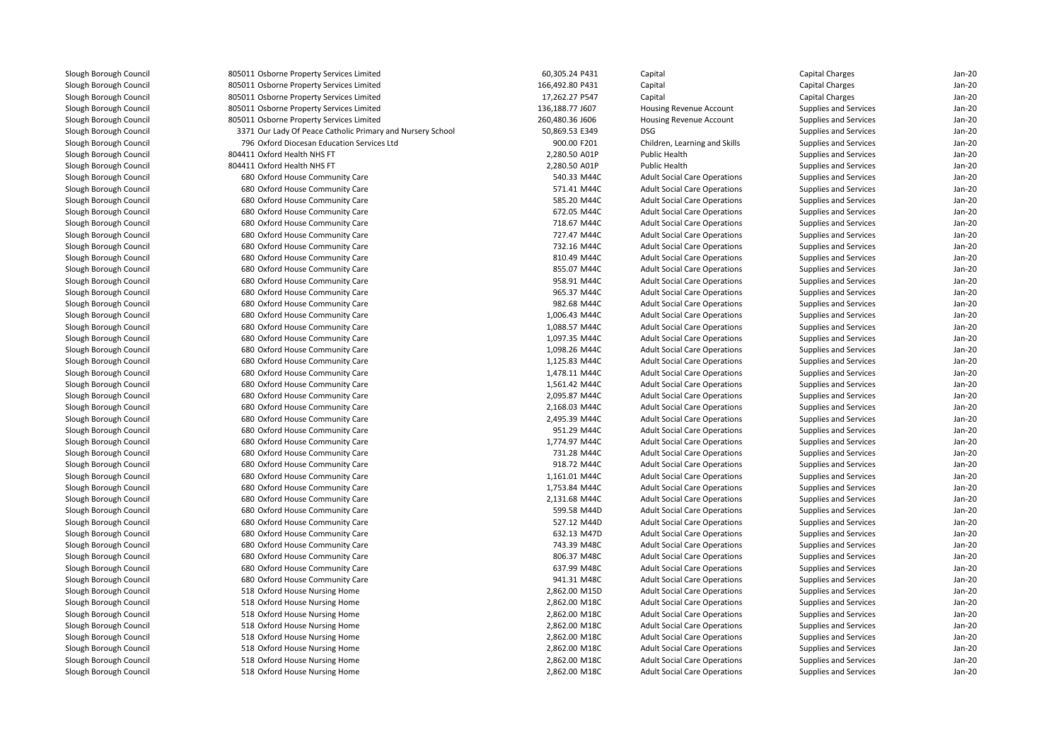| Slough Borough Council | 805011 Osborne Property Services Limited                   | 60,305.24 P431  | Capital                             | <b>Capital Charges</b>       | $Jan-20$ |
|------------------------|------------------------------------------------------------|-----------------|-------------------------------------|------------------------------|----------|
| Slough Borough Council | 805011 Osborne Property Services Limited                   | 166,492.80 P431 | Capital                             | <b>Capital Charges</b>       | Jan-20   |
| Slough Borough Council | 805011 Osborne Property Services Limited                   | 17,262.27 P547  | Capital                             | <b>Capital Charges</b>       | $Jan-20$ |
| Slough Borough Council | 805011 Osborne Property Services Limited                   | 136,188.77 J607 | Housing Revenue Account             | Supplies and Services        | $Jan-20$ |
| Slough Borough Council | 805011 Osborne Property Services Limited                   | 260,480.36 J606 | Housing Revenue Account             | Supplies and Services        | $Jan-20$ |
| Slough Borough Council | 3371 Our Lady Of Peace Catholic Primary and Nursery School | 50,869.53 E349  | <b>DSG</b>                          | Supplies and Services        | $Jan-20$ |
| Slough Borough Council | 796 Oxford Diocesan Education Services Ltd                 | 900.00 F201     | Children, Learning and Skills       | Supplies and Services        | Jan-20   |
|                        | 804411 Oxford Health NHS FT                                |                 |                                     |                              | Jan-20   |
| Slough Borough Council |                                                            | 2,280.50 A01P   | Public Health                       | Supplies and Services        |          |
| Slough Borough Council | 804411 Oxford Health NHS FT                                | 2,280.50 A01P   | <b>Public Health</b>                | Supplies and Services        | $Jan-20$ |
| Slough Borough Council | 680 Oxford House Community Care                            | 540.33 M44C     | <b>Adult Social Care Operations</b> | Supplies and Services        | $Jan-20$ |
| Slough Borough Council | 680 Oxford House Community Care                            | 571.41 M44C     | <b>Adult Social Care Operations</b> | Supplies and Services        | $Jan-20$ |
| Slough Borough Council | 680 Oxford House Community Care                            | 585.20 M44C     | <b>Adult Social Care Operations</b> | Supplies and Services        | $Jan-20$ |
| Slough Borough Council | 680 Oxford House Community Care                            | 672.05 M44C     | <b>Adult Social Care Operations</b> | Supplies and Services        | Jan-20   |
| Slough Borough Council | 680 Oxford House Community Care                            | 718.67 M44C     | <b>Adult Social Care Operations</b> | Supplies and Services        | $Jan-20$ |
| Slough Borough Council | 680 Oxford House Community Care                            | 727.47 M44C     | <b>Adult Social Care Operations</b> | Supplies and Services        | $Jan-20$ |
| Slough Borough Council | 680 Oxford House Community Care                            | 732.16 M44C     | <b>Adult Social Care Operations</b> | Supplies and Services        | $Jan-20$ |
| Slough Borough Council | 680 Oxford House Community Care                            | 810.49 M44C     | <b>Adult Social Care Operations</b> | Supplies and Services        | $Jan-20$ |
| Slough Borough Council | 680 Oxford House Community Care                            | 855.07 M44C     | <b>Adult Social Care Operations</b> | Supplies and Services        | Jan-20   |
| Slough Borough Council | 680 Oxford House Community Care                            | 958.91 M44C     | <b>Adult Social Care Operations</b> | Supplies and Services        | $Jan-20$ |
| Slough Borough Council | 680 Oxford House Community Care                            | 965.37 M44C     | <b>Adult Social Care Operations</b> | Supplies and Services        | $Jan-20$ |
| Slough Borough Council | 680 Oxford House Community Care                            | 982.68 M44C     | <b>Adult Social Care Operations</b> | Supplies and Services        | $Jan-20$ |
| Slough Borough Council | 680 Oxford House Community Care                            | 1,006.43 M44C   | <b>Adult Social Care Operations</b> | Supplies and Services        | Jan-20   |
| Slough Borough Council | 680 Oxford House Community Care                            | 1,088.57 M44C   | <b>Adult Social Care Operations</b> | Supplies and Services        | Jan-20   |
| Slough Borough Council | 680 Oxford House Community Care                            | 1,097.35 M44C   | <b>Adult Social Care Operations</b> | Supplies and Services        | $Jan-20$ |
| Slough Borough Council | 680 Oxford House Community Care                            | 1,098.26 M44C   | <b>Adult Social Care Operations</b> | Supplies and Services        | $Jan-20$ |
| Slough Borough Council | 680 Oxford House Community Care                            | 1,125.83 M44C   | <b>Adult Social Care Operations</b> | Supplies and Services        | $Jan-20$ |
| Slough Borough Council | 680 Oxford House Community Care                            | 1,478.11 M44C   | <b>Adult Social Care Operations</b> | Supplies and Services        | $Jan-20$ |
| Slough Borough Council | 680 Oxford House Community Care                            | 1,561.42 M44C   | <b>Adult Social Care Operations</b> | Supplies and Services        | $Jan-20$ |
| Slough Borough Council | 680 Oxford House Community Care                            | 2,095.87 M44C   | <b>Adult Social Care Operations</b> | Supplies and Services        | Jan-20   |
| Slough Borough Council | 680 Oxford House Community Care                            | 2,168.03 M44C   | <b>Adult Social Care Operations</b> | Supplies and Services        | $Jan-20$ |
| Slough Borough Council | 680 Oxford House Community Care                            | 2,495.39 M44C   | <b>Adult Social Care Operations</b> | Supplies and Services        | $Jan-20$ |
| Slough Borough Council | 680 Oxford House Community Care                            | 951.29 M44C     | <b>Adult Social Care Operations</b> | Supplies and Services        | $Jan-20$ |
|                        |                                                            |                 |                                     |                              | $Jan-20$ |
| Slough Borough Council | 680 Oxford House Community Care                            | 1,774.97 M44C   | <b>Adult Social Care Operations</b> | Supplies and Services        |          |
| Slough Borough Council | 680 Oxford House Community Care                            | 731.28 M44C     | <b>Adult Social Care Operations</b> | Supplies and Services        | Jan-20   |
| Slough Borough Council | 680 Oxford House Community Care                            | 918.72 M44C     | <b>Adult Social Care Operations</b> | Supplies and Services        | $Jan-20$ |
| Slough Borough Council | 680 Oxford House Community Care                            | 1,161.01 M44C   | <b>Adult Social Care Operations</b> | Supplies and Services        | Jan-20   |
| Slough Borough Council | 680 Oxford House Community Care                            | 1,753.84 M44C   | <b>Adult Social Care Operations</b> | Supplies and Services        | $Jan-20$ |
| Slough Borough Council | 680 Oxford House Community Care                            | 2,131.68 M44C   | <b>Adult Social Care Operations</b> | Supplies and Services        | Jan-20   |
| Slough Borough Council | 680 Oxford House Community Care                            | 599.58 M44D     | <b>Adult Social Care Operations</b> | <b>Supplies and Services</b> | $Jan-20$ |
| Slough Borough Council | 680 Oxford House Community Care                            | 527.12 M44D     | <b>Adult Social Care Operations</b> | Supplies and Services        | Jan-20   |
| Slough Borough Council | 680 Oxford House Community Care                            | 632.13 M47D     | <b>Adult Social Care Operations</b> | Supplies and Services        | $Jan-20$ |
| Slough Borough Council | 680 Oxford House Community Care                            | 743.39 M48C     | <b>Adult Social Care Operations</b> | Supplies and Services        | Jan-20   |
| Slough Borough Council | 680 Oxford House Community Care                            | 806.37 M48C     | <b>Adult Social Care Operations</b> | Supplies and Services        | Jan-20   |
| Slough Borough Council | 680 Oxford House Community Care                            | 637.99 M48C     | <b>Adult Social Care Operations</b> | Supplies and Services        | $Jan-20$ |
| Slough Borough Council | 680 Oxford House Community Care                            | 941.31 M48C     | <b>Adult Social Care Operations</b> | Supplies and Services        | Jan-20   |
| Slough Borough Council | 518 Oxford House Nursing Home                              | 2,862.00 M15D   | <b>Adult Social Care Operations</b> | Supplies and Services        | $Jan-20$ |
| Slough Borough Council | 518 Oxford House Nursing Home                              | 2,862.00 M18C   | <b>Adult Social Care Operations</b> | Supplies and Services        | Jan-20   |
| Slough Borough Council | 518 Oxford House Nursing Home                              | 2,862.00 M18C   | <b>Adult Social Care Operations</b> | Supplies and Services        | Jan-20   |
| Slough Borough Council | 518 Oxford House Nursing Home                              | 2,862.00 M18C   | <b>Adult Social Care Operations</b> | Supplies and Services        | Jan-20   |
| Slough Borough Council | 518 Oxford House Nursing Home                              | 2,862.00 M18C   | <b>Adult Social Care Operations</b> | Supplies and Services        | Jan-20   |
| Slough Borough Council | 518 Oxford House Nursing Home                              | 2,862.00 M18C   | <b>Adult Social Care Operations</b> | Supplies and Services        | $Jan-20$ |
| Slough Borough Council | 518 Oxford House Nursing Home                              | 2,862.00 M18C   | <b>Adult Social Care Operations</b> | <b>Supplies and Services</b> | Jan-20   |
| Slough Borough Council | 518 Oxford House Nursing Home                              | 2,862.00 M18C   | <b>Adult Social Care Operations</b> | Supplies and Services        | Jan-20   |
|                        |                                                            |                 |                                     |                              |          |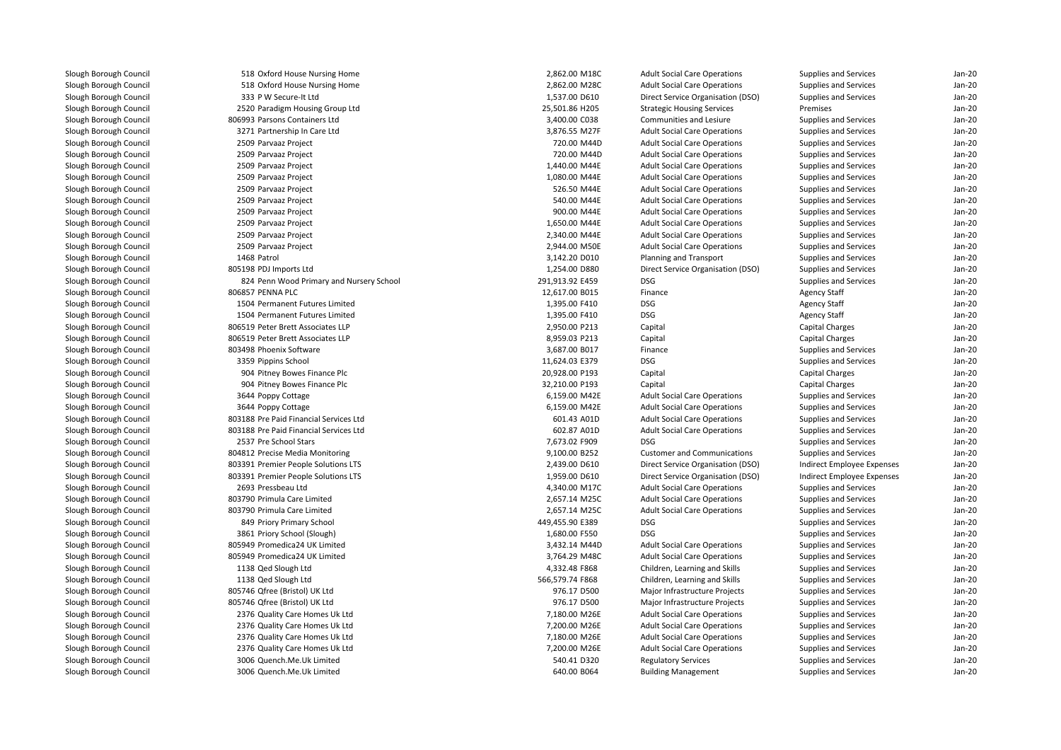| 518 Oxford House Nursing Home            | 2,862.00 M18C   | <b>Adult Social Care Operations</b> | Supplies and Services                          | $Jan-2C$ |
|------------------------------------------|-----------------|-------------------------------------|------------------------------------------------|----------|
| 518 Oxford House Nursing Home            | 2,862.00 M28C   | <b>Adult Social Care Operations</b> | Supplies and Services                          | $Jan-2C$ |
| 333 P W Secure-It Ltd                    | 1,537.00 D610   | Direct Service Organisation (DSO)   | Supplies and Services                          | $Jan-2C$ |
| 2520 Paradigm Housing Group Ltd          | 25,501.86 H205  | <b>Strategic Housing Services</b>   | Premises                                       | Jan-20   |
| 806993 Parsons Containers Ltd            | 3,400.00 C038   | Communities and Lesiure             | Supplies and Services                          | Jan-20   |
| 3271 Partnership In Care Ltd             | 3,876.55 M27F   | <b>Adult Social Care Operations</b> | Supplies and Services                          | $Jan-2C$ |
| 2509 Parvaaz Project                     | 720.00 M44D     | <b>Adult Social Care Operations</b> | Supplies and Services                          | Jan-20   |
| 2509 Parvaaz Project                     | 720.00 M44D     | <b>Adult Social Care Operations</b> | Supplies and Services                          | Jan-20   |
| 2509 Parvaaz Project                     | 1,440.00 M44E   | <b>Adult Social Care Operations</b> | Supplies and Services                          | $Jan-2C$ |
| 2509 Parvaaz Project                     | 1,080.00 M44E   | <b>Adult Social Care Operations</b> | Supplies and Services                          | Jan-20   |
| 2509 Parvaaz Project                     | 526.50 M44E     | <b>Adult Social Care Operations</b> | Supplies and Services                          | $Jan-2C$ |
| 2509 Parvaaz Project                     | 540.00 M44E     | <b>Adult Social Care Operations</b> | Supplies and Services                          | Jan-20   |
| 2509 Parvaaz Project                     | 900.00 M44E     | <b>Adult Social Care Operations</b> | Supplies and Services                          | Jan-20   |
| 2509 Parvaaz Project                     | 1,650.00 M44E   | <b>Adult Social Care Operations</b> | Supplies and Services                          | Jan-20   |
| 2509 Parvaaz Project                     | 2,340.00 M44E   | <b>Adult Social Care Operations</b> | Supplies and Services                          | Jan-20   |
| 2509 Parvaaz Project                     | 2,944.00 M50E   | <b>Adult Social Care Operations</b> | Supplies and Services                          | $Jan-2C$ |
| 1468 Patrol                              | 3,142.20 D010   | Planning and Transport              | Supplies and Services                          | Jan-20   |
| 805198 PDJ Imports Ltd                   | 1,254.00 D880   | Direct Service Organisation (DSO)   | Supplies and Services                          | Jan-20   |
| 824 Penn Wood Primary and Nursery School | 291,913.92 E459 | <b>DSG</b>                          | Supplies and Services                          | $Jan-2C$ |
| 806857 PENNA PLC                         | 12,617.00 B015  | Finance                             | <b>Agency Staff</b>                            | $Jan-2C$ |
| 1504 Permanent Futures Limited           | 1,395.00 F410   | <b>DSG</b>                          | <b>Agency Staff</b>                            | Jan-20   |
| 1504 Permanent Futures Limited           | 1,395.00 F410   | <b>DSG</b>                          | <b>Agency Staff</b>                            | Jan-20   |
| 806519 Peter Brett Associates LLP        | 2,950.00 P213   | Capital                             | Capital Charges                                | $Jan-2C$ |
| 806519 Peter Brett Associates LLP        | 8,959.03 P213   | Capital                             | Capital Charges                                | Jan-20   |
| 803498 Phoenix Software                  | 3,687.00 B017   | Finance                             | Supplies and Services                          | Jan-20   |
| 3359 Pippins School                      | 11,624.03 E379  | <b>DSG</b>                          | Supplies and Services                          | Jan-20   |
| 904 Pitney Bowes Finance Plc             | 20,928.00 P193  | Capital                             | Capital Charges                                | Jan-20   |
| 904 Pitney Bowes Finance Plc             | 32,210.00 P193  | Capital                             | Capital Charges                                | $Jan-2C$ |
| 3644 Poppy Cottage                       | 6.159.00 M42E   | <b>Adult Social Care Operations</b> | Supplies and Services                          | $Jan-2C$ |
| 3644 Poppy Cottage                       | 6,159.00 M42E   | <b>Adult Social Care Operations</b> | Supplies and Services                          | Jan-20   |
| 803188 Pre Paid Financial Services Ltd   | 601.43 A01D     | <b>Adult Social Care Operations</b> | Supplies and Services                          | $Jan-2C$ |
| 803188 Pre Paid Financial Services Ltd   | 602.87 A01D     | <b>Adult Social Care Operations</b> | Supplies and Services                          | Jan-20   |
| 2537 Pre School Stars                    | 7,673.02 F909   | <b>DSG</b>                          | Supplies and Services                          | $Jan-2C$ |
| 804812 Precise Media Monitoring          | 9,100.00 B252   | <b>Customer and Communications</b>  | Supplies and Services                          | Jan-20   |
| 803391 Premier People Solutions LTS      | 2,439.00 D610   | Direct Service Organisation (DSO)   | Indirect Employee Expenses                     | Jan-20   |
| 803391 Premier People Solutions LTS      | 1,959.00 D610   | Direct Service Organisation (DSO)   | Indirect Employee Expenses                     | Jan-20   |
| 2693 Pressbeau Ltd                       | 4,340.00 M17C   | <b>Adult Social Care Operations</b> | Supplies and Services                          | Jan-20   |
| 803790 Primula Care Limited              | 2,657.14 M25C   | <b>Adult Social Care Operations</b> | Supplies and Services                          | Jan-20   |
| 803790 Primula Care Limited              | 2,657.14 M25C   | <b>Adult Social Care Operations</b> | Supplies and Services                          | Jan-20   |
| 849 Priory Primary School                | 449,455.90 E389 | <b>DSG</b>                          | Supplies and Services                          | Jan-20   |
| 3861 Priory School (Slough)              | 1,680.00 F550   | <b>DSG</b>                          | Supplies and Services                          | Jan-20   |
| 805949 Promedica24 UK Limited            | 3,432.14 M44D   | <b>Adult Social Care Operations</b> | Supplies and Services                          | $Jan-2C$ |
| 805949 Promedica24 UK Limited            | 3,764.29 M48C   | <b>Adult Social Care Operations</b> | Supplies and Services                          | Jan-20   |
| 1138 Qed Slough Ltd                      | 4,332.48 F868   | Children, Learning and Skills       | Supplies and Services                          | Jan-20   |
| 1138 Qed Slough Ltd                      | 566,579.74 F868 | Children, Learning and Skills       | Supplies and Services                          | $Jan-2C$ |
| 805746 Qfree (Bristol) UK Ltd            | 976.17 D500     | Major Infrastructure Projects       | Supplies and Services                          | $Jan-2C$ |
| 805746 Qfree (Bristol) UK Ltd            | 976.17 D500     | Major Infrastructure Projects       | Supplies and Services                          | Jan-20   |
| 2376 Quality Care Homes Uk Ltd           | 7,180.00 M26E   | <b>Adult Social Care Operations</b> | Supplies and Services                          | $Jan-2C$ |
| 2376 Quality Care Homes Uk Ltd           | 7,200.00 M26E   | <b>Adult Social Care Operations</b> | Supplies and Services                          | Jan-20   |
| 2376 Quality Care Homes Uk Ltd           | 7,180.00 M26E   | <b>Adult Social Care Operations</b> |                                                | $Jan-2C$ |
| 2376 Quality Care Homes Uk Ltd           | 7,200.00 M26E   | <b>Adult Social Care Operations</b> | Supplies and Services<br>Supplies and Services | Jan-20   |
| 3006 Quench.Me.Uk Limited                | 540.41 D320     | <b>Regulatory Services</b>          | Supplies and Services                          | Jan-20   |
| 3006 Quench.Me.Uk Limited                | 640.00 B064     |                                     |                                                | $Jan-2C$ |
|                                          |                 | <b>Building Management</b>          | Supplies and Services                          |          |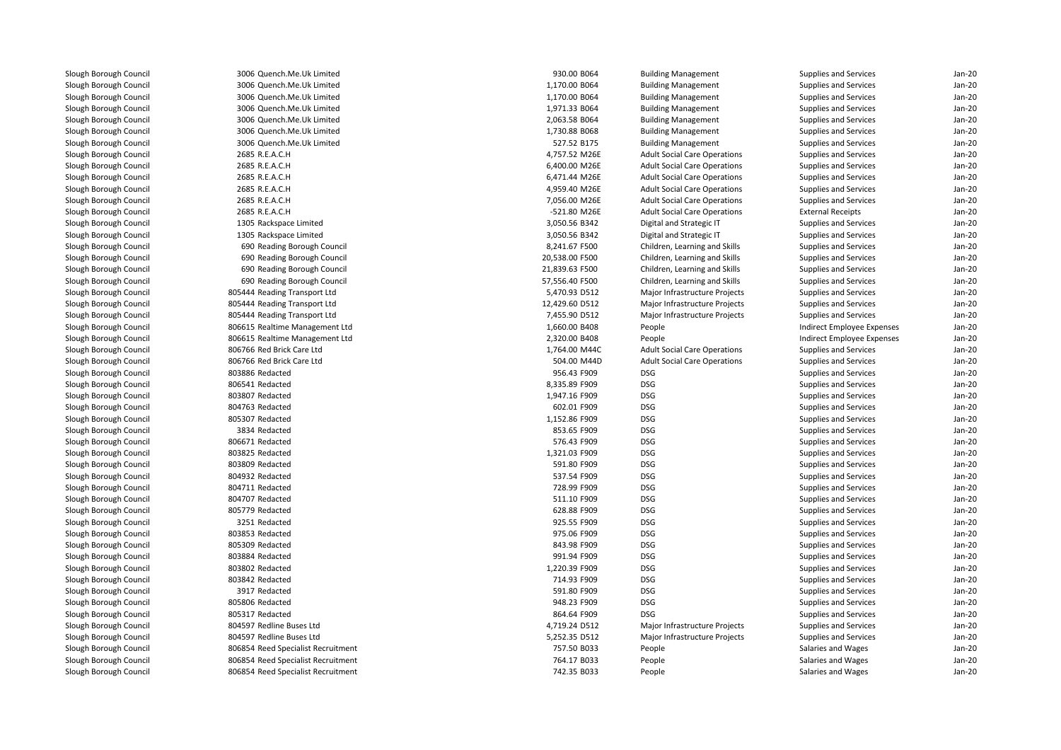| 3006 Quench.Me.Uk Limited          | 930.00 B064    | <b>Building Management</b>          | Supplies and Services      | Jan-20   |
|------------------------------------|----------------|-------------------------------------|----------------------------|----------|
| 3006 Quench.Me.Uk Limited          | 1,170.00 B064  | <b>Building Management</b>          | Supplies and Services      | $Jan-2C$ |
| 3006 Quench.Me.Uk Limited          | 1,170.00 B064  | <b>Building Management</b>          | Supplies and Services      | Jan-20   |
| 3006 Quench.Me.Uk Limited          | 1,971.33 B064  | <b>Building Management</b>          | Supplies and Services      | Jan-20   |
| 3006 Quench.Me.Uk Limited          | 2,063.58 B064  | <b>Building Management</b>          | Supplies and Services      | Jan-20   |
| 3006 Quench.Me.Uk Limited          | 1,730.88 B068  | <b>Building Management</b>          | Supplies and Services      | $Jan-2C$ |
| 3006 Quench.Me.Uk Limited          | 527.52 B175    | <b>Building Management</b>          | Supplies and Services      | $Jan-2C$ |
| 2685 R.E.A.C.H                     | 4,757.52 M26E  | <b>Adult Social Care Operations</b> | Supplies and Services      | Jan-20   |
| 2685 R.E.A.C.H                     | 6,400.00 M26E  | <b>Adult Social Care Operations</b> | Supplies and Services      | Jan-20   |
| 2685 R.E.A.C.H                     | 6,471.44 M26E  | <b>Adult Social Care Operations</b> | Supplies and Services      | Jan-20   |
| 2685 R.E.A.C.H                     | 4,959.40 M26E  | <b>Adult Social Care Operations</b> | Supplies and Services      | Jan-20   |
| 2685 R.E.A.C.H                     | 7,056.00 M26E  | <b>Adult Social Care Operations</b> | Supplies and Services      | Jan-20   |
| 2685 R.E.A.C.H                     | -521.80 M26E   | <b>Adult Social Care Operations</b> |                            | $Jan-2C$ |
|                                    |                |                                     | <b>External Receipts</b>   |          |
| 1305 Rackspace Limited             | 3,050.56 B342  | Digital and Strategic IT            | Supplies and Services      | $Jan-2C$ |
| 1305 Rackspace Limited             | 3,050.56 B342  | Digital and Strategic IT            | Supplies and Services      | Jan-20   |
| 690 Reading Borough Council        | 8,241.67 F500  | Children, Learning and Skills       | Supplies and Services      | Jan-20   |
| 690 Reading Borough Council        | 20,538.00 F500 | Children, Learning and Skills       | Supplies and Services      | Jan-20   |
| 690 Reading Borough Council        | 21,839.63 F500 | Children, Learning and Skills       | Supplies and Services      | $Jan-2C$ |
| 690 Reading Borough Council        | 57,556.40 F500 | Children, Learning and Skills       | Supplies and Services      | Jan-20   |
| 805444 Reading Transport Ltd       | 5,470.93 D512  | Major Infrastructure Projects       | Supplies and Services      | Jan-20   |
| 805444 Reading Transport Ltd       | 12,429.60 D512 | Major Infrastructure Projects       | Supplies and Services      | Jan-20   |
| 805444 Reading Transport Ltd       | 7,455.90 D512  | Major Infrastructure Projects       | Supplies and Services      | $Jan-2C$ |
| 806615 Realtime Management Ltd     | 1,660.00 B408  | People                              | Indirect Employee Expenses | Jan-20   |
| 806615 Realtime Management Ltd     | 2,320.00 B408  | People                              | Indirect Employee Expenses | Jan-20   |
| 806766 Red Brick Care Ltd          | 1,764.00 M44C  | <b>Adult Social Care Operations</b> | Supplies and Services      | $Jan-2C$ |
| 806766 Red Brick Care Ltd          | 504.00 M44D    | <b>Adult Social Care Operations</b> | Supplies and Services      | Jan-20   |
| 803886 Redacted                    | 956.43 F909    | <b>DSG</b>                          | Supplies and Services      | Jan-20   |
| 806541 Redacted                    | 8,335.89 F909  | <b>DSG</b>                          | Supplies and Services      | Jan-20   |
| 803807 Redacted                    | 1,947.16 F909  | <b>DSG</b>                          | Supplies and Services      | Jan-20   |
| 804763 Redacted                    | 602.01 F909    | <b>DSG</b>                          | Supplies and Services      | $Jan-2C$ |
| 805307 Redacted                    | 1,152.86 F909  | <b>DSG</b>                          | Supplies and Services      | Jan-20   |
| 3834 Redacted                      | 853.65 F909    | <b>DSG</b>                          | Supplies and Services      | Jan-20   |
| 806671 Redacted                    | 576.43 F909    | <b>DSG</b>                          | Supplies and Services      | $Jan-2C$ |
| 803825 Redacted                    | 1,321.03 F909  | <b>DSG</b>                          | Supplies and Services      | Jan-20   |
| 803809 Redacted                    | 591.80 F909    | <b>DSG</b>                          | Supplies and Services      | Jan-20   |
| 804932 Redacted                    | 537.54 F909    | <b>DSG</b>                          | Supplies and Services      | Jan-20   |
| 804711 Redacted                    | 728.99 F909    | <b>DSG</b>                          | Supplies and Services      | Jan-20   |
| 804707 Redacted                    | 511.10 F909    | <b>DSG</b>                          | Supplies and Services      | Jan-20   |
| 805779 Redacted                    | 628.88 F909    | <b>DSG</b>                          | Supplies and Services      | Jan-20   |
| 3251 Redacted                      | 925.55 F909    | <b>DSG</b>                          | Supplies and Services      | Jan-20   |
| 803853 Redacted                    | 975.06 F909    | <b>DSG</b>                          | Supplies and Services      | Jan-20   |
| 805309 Redacted                    | 843.98 F909    | <b>DSG</b>                          | Supplies and Services      | $Jan-2C$ |
| 803884 Redacted                    | 991.94 F909    | <b>DSG</b>                          | Supplies and Services      | Jan-20   |
| 803802 Redacted                    | 1,220.39 F909  | <b>DSG</b>                          | Supplies and Services      | Jan-20   |
| 803842 Redacted                    | 714.93 F909    | <b>DSG</b>                          | Supplies and Services      | $Jan-2C$ |
| 3917 Redacted                      | 591.80 F909    | <b>DSG</b>                          | Supplies and Services      | $Jan-2C$ |
| 805806 Redacted                    | 948.23 F909    | <b>DSG</b>                          | Supplies and Services      | Jan-20   |
| 805317 Redacted                    | 864.64 F909    | <b>DSG</b>                          | Supplies and Services      | $Jan-2C$ |
| 804597 Redline Buses Ltd           | 4,719.24 D512  | Major Infrastructure Projects       | Supplies and Services      | Jan-20   |
| 804597 Redline Buses Ltd           | 5,252.35 D512  | Major Infrastructure Projects       | Supplies and Services      | $Jan-2C$ |
| 806854 Reed Specialist Recruitment | 757.50 B033    | People                              | Salaries and Wages         | Jan-20   |
| 806854 Reed Specialist Recruitment | 764.17 B033    | People                              | Salaries and Wages         | Jan-20   |
| 806854 Reed Specialist Recruitment | 742.35 B033    | People                              | Salaries and Wages         | $Jan-2C$ |
|                                    |                |                                     |                            |          |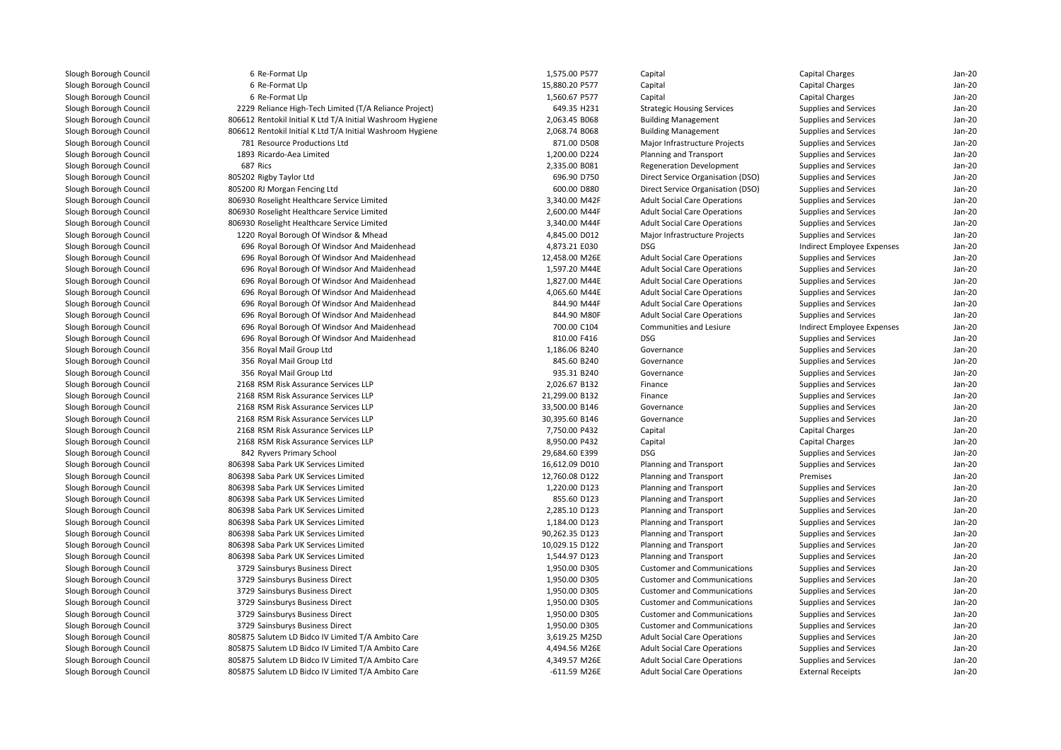| 6 Re-Format Llp                                            | 1,575.00 P577  | Capital                                          | <b>Capital Charges</b>     | $Jan-2C$           |
|------------------------------------------------------------|----------------|--------------------------------------------------|----------------------------|--------------------|
| 6 Re-Format Llp                                            | 15,880.20 P577 | Capital                                          | <b>Capital Charges</b>     | Jan-20             |
| 6 Re-Format Llp                                            | 1,560.67 P577  | Capital                                          | Capital Charges            | Jan-20             |
| 2229 Reliance High-Tech Limited (T/A Reliance Project)     | 649.35 H231    | <b>Strategic Housing Services</b>                | Supplies and Services      | Jan-20             |
| 806612 Rentokil Initial K Ltd T/A Initial Washroom Hygiene | 2,063.45 B068  | <b>Building Management</b>                       | Supplies and Services      | Jan-20             |
| 806612 Rentokil Initial K Ltd T/A Initial Washroom Hygiene | 2,068.74 B068  | <b>Building Management</b>                       | Supplies and Services      | Jan-20             |
| 781 Resource Productions Ltd                               | 871.00 D508    | Major Infrastructure Projects                    | Supplies and Services      | Jan-20             |
| 1893 Ricardo-Aea Limited                                   | 1,200.00 D224  | Planning and Transport                           | Supplies and Services      | Jan-20             |
| 687 Rics                                                   | 2,335.00 B081  | <b>Regeneration Development</b>                  | Supplies and Services      | Jan-20             |
| 805202 Rigby Taylor Ltd                                    | 696.90 D750    | Direct Service Organisation (DSO)                | Supplies and Services      | Jan-20             |
| 805200 RJ Morgan Fencing Ltd                               | 600.00 D880    | Direct Service Organisation (DSO)                | Supplies and Services      | Jan-20             |
| 806930 Roselight Healthcare Service Limited                | 3,340.00 M42F  | <b>Adult Social Care Operations</b>              | Supplies and Services      | Jan-20             |
| 806930 Roselight Healthcare Service Limited                | 2,600.00 M44F  | <b>Adult Social Care Operations</b>              | Supplies and Services      | Jan-20             |
| 806930 Roselight Healthcare Service Limited                | 3,340.00 M44F  | <b>Adult Social Care Operations</b>              | Supplies and Services      | Jan-20             |
| 1220 Royal Borough Of Windsor & Mhead                      | 4,845.00 D012  | Major Infrastructure Projects                    | Supplies and Services      | Jan-20             |
| 696 Royal Borough Of Windsor And Maidenhead                | 4,873.21 E030  | <b>DSG</b>                                       | Indirect Employee Expenses | $Jan-2C$           |
| 696 Royal Borough Of Windsor And Maidenhead                | 12,458.00 M26E | <b>Adult Social Care Operations</b>              | Supplies and Services      | $Jan-2C$           |
| 696 Royal Borough Of Windsor And Maidenhead                | 1,597.20 M44E  | <b>Adult Social Care Operations</b>              | Supplies and Services      | Jan-20             |
| 696 Royal Borough Of Windsor And Maidenhead                | 1,827.00 M44E  | <b>Adult Social Care Operations</b>              | Supplies and Services      | Jan-20             |
| 696 Royal Borough Of Windsor And Maidenhead                | 4,065.60 M44E  | <b>Adult Social Care Operations</b>              | Supplies and Services      | $Jan-2C$           |
| 696 Royal Borough Of Windsor And Maidenhead                | 844.90 M44F    | <b>Adult Social Care Operations</b>              | Supplies and Services      | Jan-20             |
| 696 Royal Borough Of Windsor And Maidenhead                | 844.90 M80F    | <b>Adult Social Care Operations</b>              | Supplies and Services      | Jan-20             |
| 696 Royal Borough Of Windsor And Maidenhead                | 700.00 C104    | Communities and Lesiure                          | Indirect Employee Expenses | $Jan-2C$           |
| 696 Royal Borough Of Windsor And Maidenhead                | 810.00 F416    | <b>DSG</b>                                       | Supplies and Services      | Jan-20             |
| 356 Royal Mail Group Ltd                                   | 1,186.06 B240  | Governance                                       | Supplies and Services      | Jan-20             |
| 356 Royal Mail Group Ltd                                   | 845.60 B240    | Governance                                       | Supplies and Services      | $Jan-2C$           |
| 356 Royal Mail Group Ltd                                   | 935.31 B240    | Governance                                       | Supplies and Services      | Jan-20             |
| 2168 RSM Risk Assurance Services LLP                       | 2,026.67 B132  | Finance                                          | Supplies and Services      | Jan-20             |
| 2168 RSM Risk Assurance Services LLP                       | 21,299.00 B132 | Finance                                          | Supplies and Services      | $Jan-2C$           |
| 2168 RSM Risk Assurance Services LLP                       | 33,500.00 B146 | Governance                                       | Supplies and Services      | Jan-20             |
| 2168 RSM Risk Assurance Services LLP                       | 30,395.60 B146 | Governance                                       | Supplies and Services      | Jan-20             |
| 2168 RSM Risk Assurance Services LLP                       | 7,750.00 P432  | Capital                                          | Capital Charges            | Jan-20             |
| 2168 RSM Risk Assurance Services LLP                       | 8,950.00 P432  | Capital                                          | <b>Capital Charges</b>     | Jan-20             |
| 842 Ryvers Primary School                                  | 29,684.60 E399 | <b>DSG</b>                                       | Supplies and Services      | Jan-20             |
| 806398 Saba Park UK Services Limited                       | 16,612.09 D010 | Planning and Transport                           | Supplies and Services      | $Jan-2C$           |
| 806398 Saba Park UK Services Limited                       | 12,760.08 D122 | Planning and Transport                           | Premises                   | Jan-20             |
| 806398 Saba Park UK Services Limited                       | 1,220.00 D123  | Planning and Transport                           | Supplies and Services      | Jan-20             |
| 806398 Saba Park UK Services Limited                       | 855.60 D123    |                                                  |                            | Jan-20             |
| 806398 Saba Park UK Services Limited                       | 2,285.10 D123  | Planning and Transport<br>Planning and Transport | Supplies and Services      | Jan-20             |
| 806398 Saba Park UK Services Limited                       | 1,184.00 D123  |                                                  | Supplies and Services      | Jan-20             |
|                                                            |                | Planning and Transport                           | Supplies and Services      |                    |
| 806398 Saba Park UK Services Limited                       | 90,262.35 D123 | Planning and Transport                           | Supplies and Services      | Jan-20<br>$Jan-2C$ |
| 806398 Saba Park UK Services Limited                       | 10,029.15 D122 | Planning and Transport                           | Supplies and Services      |                    |
| 806398 Saba Park UK Services Limited                       | 1,544.97 D123  | Planning and Transport                           | Supplies and Services      | Jan-20             |
| 3729 Sainsburys Business Direct                            | 1,950.00 D305  | <b>Customer and Communications</b>               | Supplies and Services      | Jan-20             |
| 3729 Sainsburys Business Direct                            | 1,950.00 D305  | <b>Customer and Communications</b>               | Supplies and Services      | $Jan-2C$           |
| 3729 Sainsburys Business Direct                            | 1,950.00 D305  | <b>Customer and Communications</b>               | Supplies and Services      | Jan-20             |
| 3729 Sainsburys Business Direct                            | 1,950.00 D305  | <b>Customer and Communications</b>               | Supplies and Services      | Jan-20             |
| 3729 Sainsburys Business Direct                            | 1,950.00 D305  | <b>Customer and Communications</b>               | Supplies and Services      | $Jan-2C$           |
| 3729 Sainsburys Business Direct                            | 1,950.00 D305  | <b>Customer and Communications</b>               | Supplies and Services      | Jan-20             |
| 805875 Salutem LD Bidco IV Limited T/A Ambito Care         | 3,619.25 M25D  | <b>Adult Social Care Operations</b>              | Supplies and Services      | Jan-20             |
| 805875 Salutem LD Bidco IV Limited T/A Ambito Care         | 4,494.56 M26E  | <b>Adult Social Care Operations</b>              | Supplies and Services      | Jan-20             |
| 805875 Salutem LD Bidco IV Limited T/A Ambito Care         | 4,349.57 M26E  | <b>Adult Social Care Operations</b>              | Supplies and Services      | Jan-20             |
| 805875 Salutem LD Bidco IV Limited T/A Ambito Care         | -611.59 M26E   | <b>Adult Social Care Operations</b>              | <b>External Receipts</b>   | $Jan-2C$           |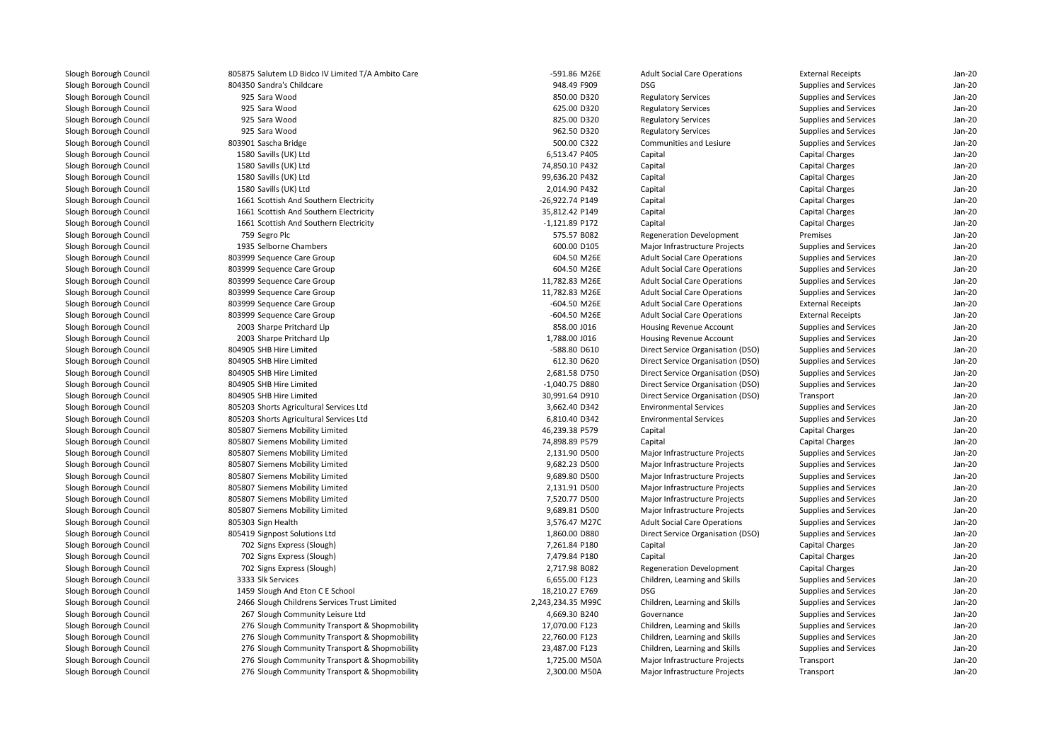| 805875 Salutem LD Bidco IV Limited T/A Ambito Care | -591.86 M26E      | <b>Adult Social Care Operations</b> | <b>External Receipts</b> | Jan-20   |
|----------------------------------------------------|-------------------|-------------------------------------|--------------------------|----------|
| 804350 Sandra's Childcare                          | 948.49 F909       | <b>DSG</b>                          | Supplies and Services    | Jan-20   |
| 925 Sara Wood                                      | 850.00 D320       | <b>Regulatory Services</b>          | Supplies and Services    | Jan-20   |
| 925 Sara Wood                                      | 625.00 D320       | <b>Regulatory Services</b>          | Supplies and Services    | Jan-20   |
| 925 Sara Wood                                      | 825.00 D320       | <b>Regulatory Services</b>          | Supplies and Services    | Jan-20   |
| 925 Sara Wood                                      | 962.50 D320       | <b>Regulatory Services</b>          | Supplies and Services    | Jan-20   |
| 803901 Sascha Bridge                               | 500.00 C322       | Communities and Lesiure             | Supplies and Services    | Jan-20   |
| 1580 Savills (UK) Ltd                              | 6,513.47 P405     | Capital                             | Capital Charges          | Jan-20   |
| 1580 Savills (UK) Ltd                              | 74,850.10 P432    | Capital                             | Capital Charges          | $Jan-2C$ |
| 1580 Savills (UK) Ltd                              | 99,636.20 P432    | Capital                             | Capital Charges          | Jan-20   |
| 1580 Savills (UK) Ltd                              | 2,014.90 P432     | Capital                             | Capital Charges          | $Jan-2C$ |
| 1661 Scottish And Southern Electricity             | -26,922.74 P149   | Capital                             | Capital Charges          | Jan-20   |
| 1661 Scottish And Southern Electricity             | 35,812.42 P149    | Capital                             | Capital Charges          | $Jan-2C$ |
| 1661 Scottish And Southern Electricity             | -1,121.89 P172    | Capital                             | Capital Charges          | $Jan-2C$ |
| 759 Segro Plc                                      | 575.57 B082       | Regeneration Development            | Premises                 | Jan-20   |
| 1935 Selborne Chambers                             | 600.00 D105       | Major Infrastructure Projects       | Supplies and Services    | $Jan-2C$ |
| 803999 Sequence Care Group                         | 604.50 M26E       | <b>Adult Social Care Operations</b> | Supplies and Services    | Jan-20   |
| 803999 Sequence Care Group                         | 604.50 M26E       | <b>Adult Social Care Operations</b> | Supplies and Services    | $Jan-2C$ |
| 803999 Sequence Care Group                         | 11,782.83 M26E    | <b>Adult Social Care Operations</b> | Supplies and Services    | $Jan-2C$ |
| 803999 Sequence Care Group                         | 11,782.83 M26E    | <b>Adult Social Care Operations</b> | Supplies and Services    | Jan-20   |
| 803999 Sequence Care Group                         | -604.50 M26E      | <b>Adult Social Care Operations</b> | <b>External Receipts</b> | $Jan-2C$ |
| 803999 Sequence Care Group                         | -604.50 M26E      | <b>Adult Social Care Operations</b> | <b>External Receipts</b> | Jan-20   |
| 2003 Sharpe Pritchard Llp                          | 858.00 J016       | <b>Housing Revenue Account</b>      | Supplies and Services    | Jan-20   |
| 2003 Sharpe Pritchard Llp                          | 1,788.00 J016     | Housing Revenue Account             | Supplies and Services    | Jan-20   |
| 804905 SHB Hire Limited                            | -588.80 D610      | Direct Service Organisation (DSO)   | Supplies and Services    | Jan-20   |
| 804905 SHB Hire Limited                            | 612.30 D620       | Direct Service Organisation (DSO)   | Supplies and Services    | Jan-20   |
| 804905 SHB Hire Limited                            | 2,681.58 D750     | Direct Service Organisation (DSO)   | Supplies and Services    | Jan-20   |
| 804905 SHB Hire Limited                            | -1,040.75 D880    | Direct Service Organisation (DSO)   | Supplies and Services    | Jan-20   |
| 804905 SHB Hire Limited                            | 30,991.64 D910    | Direct Service Organisation (DSO)   | Transport                | Jan-20   |
| 805203 Shorts Agricultural Services Ltd            | 3,662.40 D342     | <b>Environmental Services</b>       | Supplies and Services    | Jan-20   |
| 805203 Shorts Agricultural Services Ltd            | 6,810.40 D342     | <b>Environmental Services</b>       | Supplies and Services    | Jan-20   |
| 805807 Siemens Mobility Limited                    | 46,239.38 P579    | Capital                             | Capital Charges          | Jan-20   |
| 805807 Siemens Mobility Limited                    | 74,898.89 P579    | Capital                             | Capital Charges          | Jan-20   |
| 805807 Siemens Mobility Limited                    | 2,131.90 D500     | Major Infrastructure Projects       | Supplies and Services    | Jan-20   |
| 805807 Siemens Mobility Limited                    | 9,682.23 D500     | Major Infrastructure Projects       | Supplies and Services    | Jan-20   |
| 805807 Siemens Mobility Limited                    | 9,689.80 D500     | Major Infrastructure Projects       | Supplies and Services    | $Jan-2C$ |
| 805807 Siemens Mobility Limited                    | 2,131.91 D500     | Major Infrastructure Projects       | Supplies and Services    | $Jan-2C$ |
| 805807 Siemens Mobility Limited                    | 7,520.77 D500     | Major Infrastructure Projects       | Supplies and Services    | $Jan-2C$ |
| 805807 Siemens Mobility Limited                    | 9,689.81 D500     | Major Infrastructure Projects       | Supplies and Services    | Jan-20   |
| 805303 Sign Health                                 | 3,576.47 M27C     | <b>Adult Social Care Operations</b> | Supplies and Services    | $Jan-2C$ |
| 805419 Signpost Solutions Ltd                      | 1,860.00 D880     | Direct Service Organisation (DSO)   | Supplies and Services    | $Jan-2C$ |
| 702 Signs Express (Slough)                         | 7,261.84 P180     | Capital                             | Capital Charges          | $Jan-2C$ |
| 702 Signs Express (Slough)                         | 7,479.84 P180     | Capital                             | <b>Capital Charges</b>   | $Jan-2C$ |
| 702 Signs Express (Slough)                         | 2,717.98 B082     | <b>Regeneration Development</b>     | <b>Capital Charges</b>   | Jan-20   |
| 3333 Slk Services                                  | 6,655.00 F123     | Children, Learning and Skills       | Supplies and Services    | $Jan-2C$ |
| 1459 Slough And Eton C E School                    | 18,210.27 E769    | <b>DSG</b>                          | Supplies and Services    | Jan-20   |
| 2466 Slough Childrens Services Trust Limited       | 2,243,234.35 M99C | Children, Learning and Skills       | Supplies and Services    | Jan-20   |
| 267 Slough Community Leisure Ltd                   | 4,669.30 B240     | Governance                          | Supplies and Services    | Jan-20   |
| 276 Slough Community Transport & Shopmobility      | 17,070.00 F123    | Children, Learning and Skills       | Supplies and Services    | Jan-20   |
| 276 Slough Community Transport & Shopmobility      | 22,760.00 F123    | Children, Learning and Skills       | Supplies and Services    | Jan-20   |
| 276 Slough Community Transport & Shopmobility      | 23,487.00 F123    | Children, Learning and Skills       | Supplies and Services    | Jan-20   |
| 276 Slough Community Transport & Shopmobility      | 1,725.00 M50A     | Major Infrastructure Projects       | Transport                | Jan-20   |
| 276 Slough Community Transport & Shopmobility      | 2,300.00 M50A     | Major Infrastructure Projects       | Transport                | $Jan-2C$ |
|                                                    |                   |                                     |                          |          |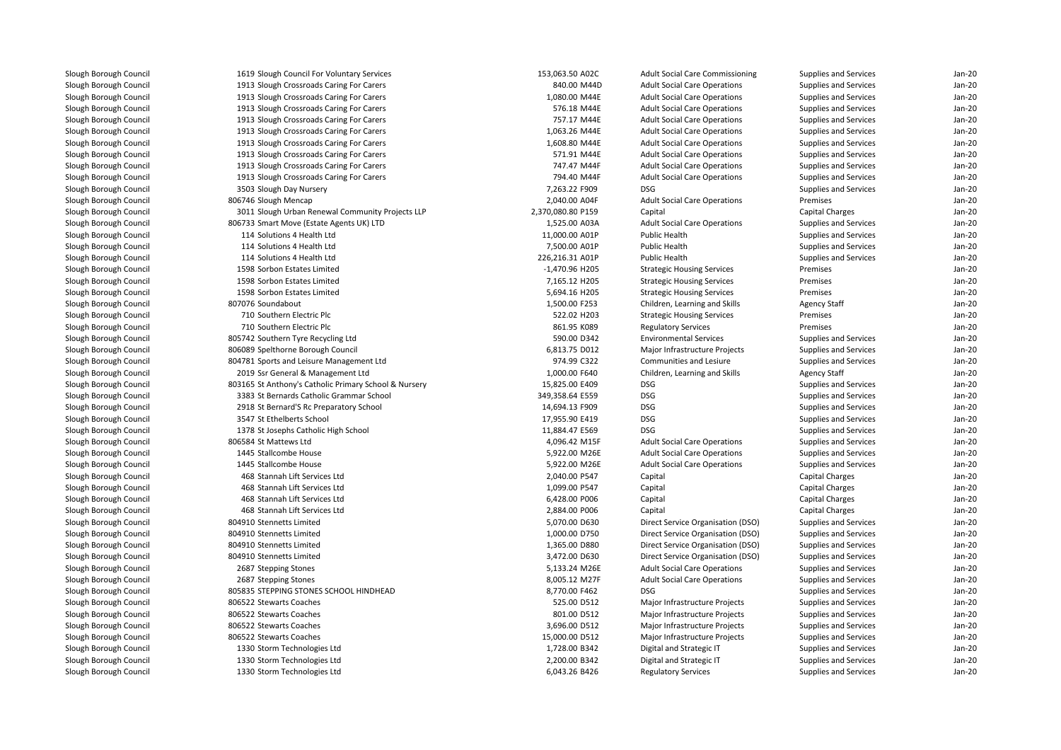| 1619 Slough Council For Voluntary Services            | 153,063.50 A02C   | <b>Adult Social Care Commissioning</b> | Supplies and Services  | $Jan-2C$ |
|-------------------------------------------------------|-------------------|----------------------------------------|------------------------|----------|
| 1913 Slough Crossroads Caring For Carers              | 840.00 M44D       | <b>Adult Social Care Operations</b>    | Supplies and Services  | Jan-20   |
| 1913 Slough Crossroads Caring For Carers              | 1,080.00 M44E     | <b>Adult Social Care Operations</b>    | Supplies and Services  | $Jan-2C$ |
| 1913 Slough Crossroads Caring For Carers              | 576.18 M44E       | <b>Adult Social Care Operations</b>    | Supplies and Services  | Jan-20   |
| 1913 Slough Crossroads Caring For Carers              | 757.17 M44E       | <b>Adult Social Care Operations</b>    | Supplies and Services  | Jan-20   |
| 1913 Slough Crossroads Caring For Carers              | 1,063.26 M44E     | <b>Adult Social Care Operations</b>    | Supplies and Services  | $Jan-2C$ |
| 1913 Slough Crossroads Caring For Carers              | 1,608.80 M44E     | <b>Adult Social Care Operations</b>    | Supplies and Services  | Jan-20   |
| 1913 Slough Crossroads Caring For Carers              | 571.91 M44E       | <b>Adult Social Care Operations</b>    | Supplies and Services  | $Jan-2C$ |
| 1913 Slough Crossroads Caring For Carers              | 747.47 M44F       | <b>Adult Social Care Operations</b>    | Supplies and Services  | Jan-20   |
| 1913 Slough Crossroads Caring For Carers              | 794.40 M44F       | <b>Adult Social Care Operations</b>    | Supplies and Services  | Jan-20   |
| 3503 Slough Day Nursery                               | 7,263.22 F909     | <b>DSG</b>                             | Supplies and Services  | $Jan-2C$ |
| 806746 Slough Mencap                                  | 2,040.00 A04F     | <b>Adult Social Care Operations</b>    | Premises               | Jan-20   |
| 3011 Slough Urban Renewal Community Projects LLP      | 2,370,080.80 P159 | Capital                                | Capital Charges        | Jan-20   |
| 806733 Smart Move (Estate Agents UK) LTD              | 1,525.00 A03A     | <b>Adult Social Care Operations</b>    | Supplies and Services  | Jan-20   |
| 114 Solutions 4 Health Ltd                            | 11,000.00 A01P    | Public Health                          | Supplies and Services  | Jan-20   |
| 114 Solutions 4 Health Ltd                            | 7,500.00 A01P     | Public Health                          | Supplies and Services  | $Jan-2C$ |
| 114 Solutions 4 Health Ltd                            | 226,216.31 A01P   | Public Health                          | Supplies and Services  | Jan-20   |
| 1598 Sorbon Estates Limited                           | -1,470.96 H205    | <b>Strategic Housing Services</b>      | Premises               | $Jan-2C$ |
| 1598 Sorbon Estates Limited                           | 7,165.12 H205     | <b>Strategic Housing Services</b>      | Premises               | Jan-20   |
| 1598 Sorbon Estates Limited                           | 5,694.16 H205     | <b>Strategic Housing Services</b>      | Premises               | Jan-20   |
| 807076 Soundabout                                     | 1,500.00 F253     | Children, Learning and Skills          | <b>Agency Staff</b>    | $Jan-2C$ |
| 710 Southern Electric Plc                             | 522.02 H203       | <b>Strategic Housing Services</b>      | Premises               | $Jan-2C$ |
| 710 Southern Electric Plc                             | 861.95 K089       | <b>Regulatory Services</b>             | Premises               | $Jan-2C$ |
| 805742 Southern Tyre Recycling Ltd                    | 590.00 D342       | <b>Environmental Services</b>          | Supplies and Services  | $Jan-2C$ |
| 806089 Spelthorne Borough Council                     | 6,813.75 D012     | Major Infrastructure Projects          | Supplies and Services  | Jan-20   |
| 804781 Sports and Leisure Management Ltd              | 974.99 C322       | Communities and Lesiure                | Supplies and Services  | Jan-20   |
| 2019 Ssr General & Management Ltd                     | 1,000.00 F640     | Children, Learning and Skills          | <b>Agency Staff</b>    | Jan-20   |
| 803165 St Anthony's Catholic Primary School & Nursery | 15,825.00 E409    | <b>DSG</b>                             | Supplies and Services  | Jan-20   |
| 3383 St Bernards Catholic Grammar School              | 349,358.64 E559   | <b>DSG</b>                             | Supplies and Services  | Jan-20   |
| 2918 St Bernard'S Rc Preparatory School               | 14,694.13 F909    | <b>DSG</b>                             | Supplies and Services  | Jan-20   |
| 3547 St Ethelberts School                             | 17,955.90 E419    | <b>DSG</b>                             | Supplies and Services  | $Jan-2C$ |
| 1378 St Josephs Catholic High School                  | 11,884.47 E569    | <b>DSG</b>                             | Supplies and Services  | Jan-20   |
| 806584 St Mattews Ltd                                 | 4,096.42 M15F     | <b>Adult Social Care Operations</b>    | Supplies and Services  | $Jan-2C$ |
| 1445 Stallcombe House                                 | 5,922.00 M26E     | <b>Adult Social Care Operations</b>    | Supplies and Services  | Jan-20   |
| 1445 Stallcombe House                                 | 5,922.00 M26E     | <b>Adult Social Care Operations</b>    | Supplies and Services  | Jan-20   |
| 468 Stannah Lift Services Ltd                         | 2,040.00 P547     | Capital                                | Capital Charges        | $Jan-2C$ |
| 468 Stannah Lift Services Ltd                         | 1,099.00 P547     | Capital                                | <b>Capital Charges</b> | Jan-20   |
| 468 Stannah Lift Services Ltd                         | 6,428.00 P006     | Capital                                | Capital Charges        | Jan-20   |
| 468 Stannah Lift Services Ltd                         | 2,884.00 P006     | Capital                                | Capital Charges        | Jan-20   |
| 804910 Stennetts Limited                              | 5,070.00 D630     | Direct Service Organisation (DSO)      | Supplies and Services  | Jan-20   |
| 804910 Stennetts Limited                              | 1,000.00 D750     | Direct Service Organisation (DSO)      | Supplies and Services  | Jan-20   |
| 804910 Stennetts Limited                              | 1,365.00 D880     | Direct Service Organisation (DSO)      | Supplies and Services  | Jan-20   |
| 804910 Stennetts Limited                              | 3,472.00 D630     | Direct Service Organisation (DSO)      | Supplies and Services  | $Jan-2C$ |
| 2687 Stepping Stones                                  | 5,133.24 M26E     | <b>Adult Social Care Operations</b>    | Supplies and Services  | $Jan-2C$ |
| 2687 Stepping Stones                                  | 8,005.12 M27F     | <b>Adult Social Care Operations</b>    | Supplies and Services  | Jan-20   |
| 805835 STEPPING STONES SCHOOL HINDHEAD                | 8,770.00 F462     | <b>DSG</b>                             | Supplies and Services  | $Jan-2C$ |
| 806522 Stewarts Coaches                               | 525.00 D512       | Major Infrastructure Projects          | Supplies and Services  | $Jan-2C$ |
| 806522 Stewarts Coaches                               | 801.00 D512       | Major Infrastructure Projects          | Supplies and Services  | $Jan-2C$ |
| 806522 Stewarts Coaches                               | 3,696.00 D512     | Major Infrastructure Projects          | Supplies and Services  | $Jan-2C$ |
| 806522 Stewarts Coaches                               | 15,000.00 D512    | Major Infrastructure Projects          | Supplies and Services  | $Jan-2C$ |
| 1330 Storm Technologies Ltd                           | 1,728.00 B342     | Digital and Strategic IT               | Supplies and Services  | Jan-20   |
| 1330 Storm Technologies Ltd                           | 2,200.00 B342     | Digital and Strategic IT               | Supplies and Services  | Jan-20   |
| 1330 Storm Technologies Ltd                           | 6,043.26 B426     | <b>Regulatory Services</b>             | Supplies and Services  | Jan-20   |
|                                                       |                   |                                        |                        |          |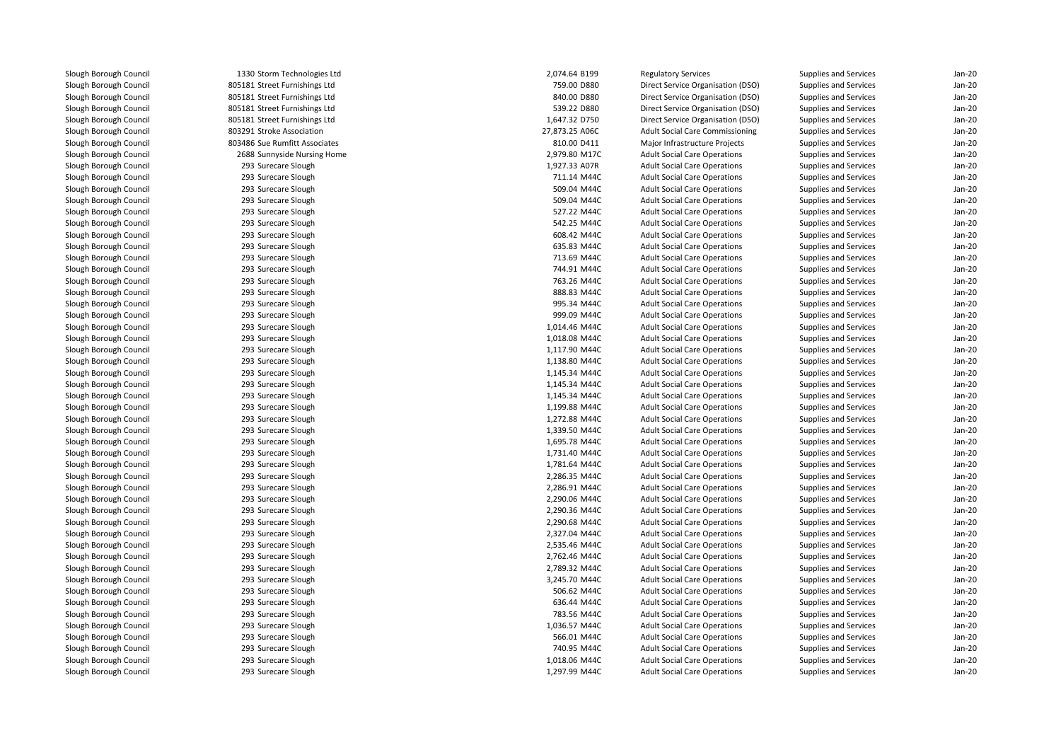1330 Storm Technologies Ltd 805181 Street Furnishings Ltd 805181 Street Furnishings Ltd 805181 Street Furnishings Ltd 805181 Street Furnishings Ltd 803291 Stroke Association803486 Sue Rumfitt Associates 2688 Sunnyside Nursing Home 2,979.80 M17C 293 Surecare Slough 293 Surecare Slough 293 Surecare Slough 293 Surecare Slough 293 Surecare Slough 293 Surecare Slough 293 Surecare Slough 293 Surecare Slough 293 Surecare Slough 293 Surecare Slough 293 Surecare Slough 293 Surecare Slough 293 Surecare Slough 293 Surecare Slough 293 Surecare Slough 293 Surecare Slough 293 Surecare Slough 293 Surecare Slough 293 Surecare Slough 293 Surecare Slough 293 Surecare Slough 293 Surecare Slough 293 Surecare Slough 293 Surecare Slough 293 Surecare Slough 293 Surecare Slough 293 Surecare Slough 293 Surecare Slough 293 Surecare Slough 293 Surecare Slough 293 Surecare Slough 293 Surecare Slough 293 Surecare Slough 293293 Surecare Slough 293 Surecare Slough 293 Surecare Slough 293 Surecare Slough 293 Surecare Slough 293 Surecare Slough 293 Surecare Slough 293 Surecare Slough 293 Surecare Slough 293 Surecare Slough 293 Surecare Slough293 Surecare Slough

| 0 Storm Technologies Ltd | 2,074.64 B199  | <b>Regulatory Services</b>             | <b>Supplies and Services</b> | $Jan-2C$ |
|--------------------------|----------------|----------------------------------------|------------------------------|----------|
| 1 Street Furnishings Ltd | 759.00 D880    | Direct Service Organisation (DSO)      | Supplies and Services        | Jan-20   |
| 1 Street Furnishings Ltd | 840.00 D880    | Direct Service Organisation (DSO)      | Supplies and Services        | $Jan-2C$ |
| 1 Street Furnishings Ltd | 539.22 D880    | Direct Service Organisation (DSO)      | Supplies and Services        | $Jan-2C$ |
| 1 Street Furnishings Ltd | 1,647.32 D750  | Direct Service Organisation (DSO)      | Supplies and Services        | Jan-20   |
| 1 Stroke Association     | 27,873.25 A06C | <b>Adult Social Care Commissioning</b> | Supplies and Services        | Jan-20   |
| 6 Sue Rumfitt Associates | 810.00 D411    | Major Infrastructure Projects          | Supplies and Services        | Jan-20   |
| 8 Sunnyside Nursing Home | 2,979.80 M17C  | <b>Adult Social Care Operations</b>    | Supplies and Services        | Jan-20   |
| 3 Surecare Slough        | 1,927.33 A07R  | <b>Adult Social Care Operations</b>    | Supplies and Services        | Jan-20   |
| 3 Surecare Slough        | 711.14 M44C    | <b>Adult Social Care Operations</b>    | Supplies and Services        | Jan-20   |
| 3 Surecare Slough        | 509.04 M44C    | <b>Adult Social Care Operations</b>    | <b>Supplies and Services</b> | Jan-20   |
| 3 Surecare Slough        | 509.04 M44C    | <b>Adult Social Care Operations</b>    | Supplies and Services        | $Jan-2C$ |
| 3 Surecare Slough        | 527.22 M44C    | <b>Adult Social Care Operations</b>    | <b>Supplies and Services</b> | Jan-20   |
| 3 Surecare Slough        | 542.25 M44C    | <b>Adult Social Care Operations</b>    | <b>Supplies and Services</b> | Jan-20   |
| 3 Surecare Slough        | 608.42 M44C    | <b>Adult Social Care Operations</b>    | Supplies and Services        | Jan-20   |
| 3 Surecare Slough        | 635.83 M44C    | <b>Adult Social Care Operations</b>    | <b>Supplies and Services</b> | Jan-20   |
| 3 Surecare Slough        | 713.69 M44C    | <b>Adult Social Care Operations</b>    | Supplies and Services        | $Jan-2C$ |
| 3 Surecare Slough        | 744.91 M44C    | <b>Adult Social Care Operations</b>    | <b>Supplies and Services</b> | Jan-20   |
| 3 Surecare Slough        | 763.26 M44C    | <b>Adult Social Care Operations</b>    | Supplies and Services        | Jan-20   |
| 3 Surecare Slough        | 888.83 M44C    | <b>Adult Social Care Operations</b>    | Supplies and Services        | Jan-20   |
| 3 Surecare Slough        | 995.34 M44C    | <b>Adult Social Care Operations</b>    | Supplies and Services        | Jan-20   |
| 3 Surecare Slough        | 999.09 M44C    | <b>Adult Social Care Operations</b>    | Supplies and Services        | $Jan-2C$ |
| 3 Surecare Slough        | 1,014.46 M44C  | <b>Adult Social Care Operations</b>    | Supplies and Services        | Jan-20   |
| 3 Surecare Slough        | 1,018.08 M44C  | <b>Adult Social Care Operations</b>    | Supplies and Services        | Jan-20   |
| 3 Surecare Slough        | 1,117.90 M44C  | <b>Adult Social Care Operations</b>    | Supplies and Services        | $Jan-2C$ |
| 3 Surecare Slough        | 1,138.80 M44C  | <b>Adult Social Care Operations</b>    | Supplies and Services        | $Jan-2C$ |
| 3 Surecare Slough        | 1,145.34 M44C  | <b>Adult Social Care Operations</b>    | Supplies and Services        | $Jan-2C$ |
| 3 Surecare Slough        | 1,145.34 M44C  | <b>Adult Social Care Operations</b>    | Supplies and Services        | Jan-20   |
| 3 Surecare Slough        | 1,145.34 M44C  | <b>Adult Social Care Operations</b>    | Supplies and Services        | Jan-20   |
| 3 Surecare Slough        | 1,199.88 M44C  | <b>Adult Social Care Operations</b>    | Supplies and Services        | Jan-20   |
| 3 Surecare Slough        | 1,272.88 M44C  | <b>Adult Social Care Operations</b>    | <b>Supplies and Services</b> | $Jan-2C$ |
| 3 Surecare Slough        | 1,339.50 M44C  | <b>Adult Social Care Operations</b>    | <b>Supplies and Services</b> | $Jan-2C$ |
| 3 Surecare Slough        | 1,695.78 M44C  | <b>Adult Social Care Operations</b>    | <b>Supplies and Services</b> | Jan-20   |
| 3 Surecare Slough        | 1,731.40 M44C  | <b>Adult Social Care Operations</b>    | Supplies and Services        | Jan-20   |
| 3 Surecare Slough        | 1,781.64 M44C  | <b>Adult Social Care Operations</b>    | Supplies and Services        | Jan-20   |
| 3 Surecare Slough        | 2,286.35 M44C  | <b>Adult Social Care Operations</b>    | Supplies and Services        | $Jan-2C$ |
| 3 Surecare Slough        | 2,286.91 M44C  | <b>Adult Social Care Operations</b>    | Supplies and Services        | Jan-20   |
| 3 Surecare Slough        | 2,290.06 M44C  | <b>Adult Social Care Operations</b>    | Supplies and Services        | Jan-20   |
| 3 Surecare Slough        | 2,290.36 M44C  | <b>Adult Social Care Operations</b>    | Supplies and Services        | Jan-20   |
| 3 Surecare Slough        | 2,290.68 M44C  | <b>Adult Social Care Operations</b>    | <b>Supplies and Services</b> | $Jan-2C$ |
| 3 Surecare Slough        | 2,327.04 M44C  | <b>Adult Social Care Operations</b>    | Supplies and Services        | $Jan-2C$ |
| 3 Surecare Slough        | 2,535.46 M44C  | <b>Adult Social Care Operations</b>    | Supplies and Services        | Jan-20   |
| 3 Surecare Slough        | 2,762.46 M44C  | <b>Adult Social Care Operations</b>    | Supplies and Services        | Jan-20   |
| 3 Surecare Slough        | 2,789.32 M44C  | <b>Adult Social Care Operations</b>    | Supplies and Services        | Jan-20   |
| 3 Surecare Slough        | 3,245.70 M44C  | <b>Adult Social Care Operations</b>    | Supplies and Services        | $Jan-2C$ |
| 3 Surecare Slough        | 506.62 M44C    | <b>Adult Social Care Operations</b>    |                              | Jan-20   |
|                          |                |                                        | <b>Supplies and Services</b> |          |
| 3 Surecare Slough        | 636.44 M44C    | <b>Adult Social Care Operations</b>    | Supplies and Services        | Jan-20   |
| 3 Surecare Slough        | 783.56 M44C    | <b>Adult Social Care Operations</b>    | Supplies and Services        | Jan-20   |
| 3 Surecare Slough        | 1,036.57 M44C  | <b>Adult Social Care Operations</b>    | Supplies and Services        | Jan-20   |
| 3 Surecare Slough        | 566.01 M44C    | <b>Adult Social Care Operations</b>    | Supplies and Services        | $Jan-2C$ |
| 3 Surecare Slough        | 740.95 M44C    | <b>Adult Social Care Operations</b>    | Supplies and Services        | Jan-20   |
| 3 Surecare Slough        | 1,018.06 M44C  | <b>Adult Social Care Operations</b>    | <b>Supplies and Services</b> | Jan-20   |
| 3 Surecare Slough        | 1,297.99 M44C  | <b>Adult Social Care Operations</b>    | Supplies and Services        | $Jan-2C$ |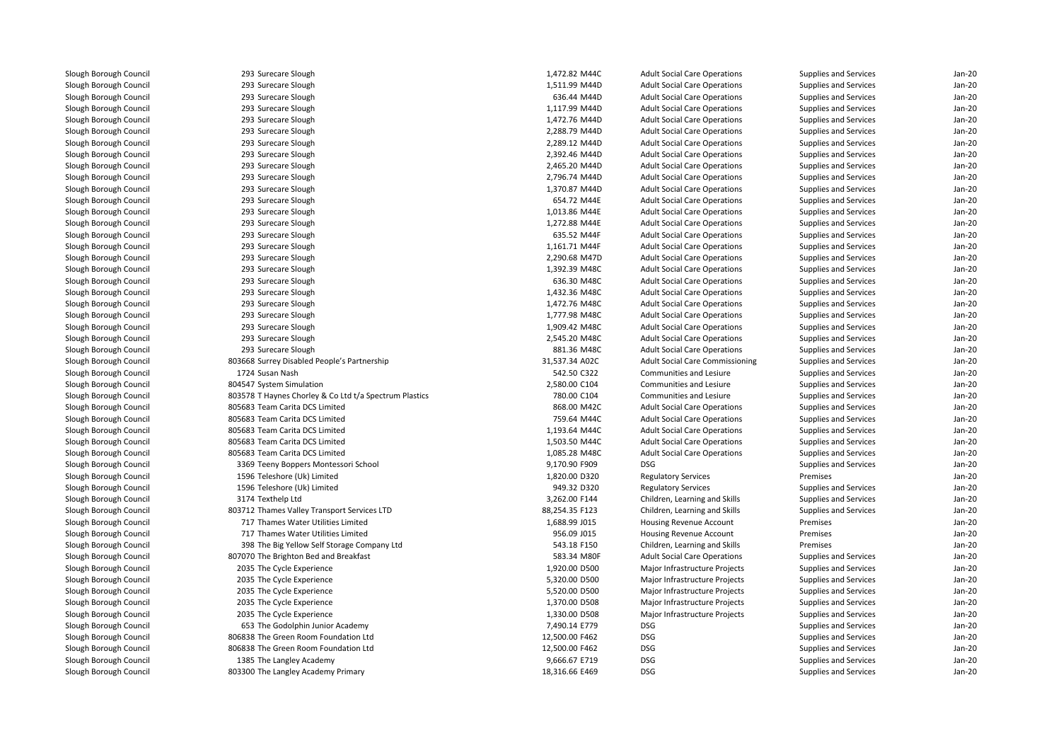| 293 Surecare Slough                                    | 1.472.82 M44C  | <b>Adult Social Care Operations</b>    | Supplies and Services | $Jan-2C$ |
|--------------------------------------------------------|----------------|----------------------------------------|-----------------------|----------|
| 293 Surecare Slough                                    | 1,511.99 M44D  | <b>Adult Social Care Operations</b>    | Supplies and Services | Jan-20   |
| 293 Surecare Slough                                    | 636.44 M44D    | <b>Adult Social Care Operations</b>    | Supplies and Services | Jan-20   |
| 293 Surecare Slough                                    | 1,117.99 M44D  | <b>Adult Social Care Operations</b>    | Supplies and Services | Jan-20   |
| 293 Surecare Slough                                    | 1,472.76 M44D  | <b>Adult Social Care Operations</b>    | Supplies and Services | Jan-20   |
| 293 Surecare Slough                                    | 2,288.79 M44D  | <b>Adult Social Care Operations</b>    | Supplies and Services | Jan-20   |
| 293 Surecare Slough                                    | 2,289.12 M44D  | <b>Adult Social Care Operations</b>    | Supplies and Services | Jan-20   |
| 293 Surecare Slough                                    | 2,392.46 M44D  | <b>Adult Social Care Operations</b>    | Supplies and Services | Jan-20   |
| 293 Surecare Slough                                    | 2,465.20 M44D  | <b>Adult Social Care Operations</b>    | Supplies and Services | Jan-20   |
| 293 Surecare Slough                                    | 2,796.74 M44D  | <b>Adult Social Care Operations</b>    | Supplies and Services | Jan-20   |
| 293 Surecare Slough                                    | 1,370.87 M44D  | <b>Adult Social Care Operations</b>    | Supplies and Services | Jan-20   |
| 293 Surecare Slough                                    | 654.72 M44E    | <b>Adult Social Care Operations</b>    | Supplies and Services | Jan-20   |
| 293 Surecare Slough                                    | 1,013.86 M44E  | <b>Adult Social Care Operations</b>    | Supplies and Services | Jan-20   |
| 293 Surecare Slough                                    | 1,272.88 M44E  | <b>Adult Social Care Operations</b>    | Supplies and Services | Jan-20   |
| 293 Surecare Slough                                    | 635.52 M44F    | <b>Adult Social Care Operations</b>    | Supplies and Services | Jan-20   |
| 293 Surecare Slough                                    | 1,161.71 M44F  | <b>Adult Social Care Operations</b>    | Supplies and Services | Jan-20   |
| 293 Surecare Slough                                    | 2,290.68 M47D  | <b>Adult Social Care Operations</b>    | Supplies and Services | Jan-20   |
| 293 Surecare Slough                                    | 1,392.39 M48C  | <b>Adult Social Care Operations</b>    | Supplies and Services | $Jan-2C$ |
| 293 Surecare Slough                                    | 636.30 M48C    | <b>Adult Social Care Operations</b>    | Supplies and Services | $Jan-2C$ |
| 293 Surecare Slough                                    | 1,432.36 M48C  | <b>Adult Social Care Operations</b>    | Supplies and Services | Jan-20   |
| 293 Surecare Slough                                    | 1,472.76 M48C  | <b>Adult Social Care Operations</b>    | Supplies and Services | $Jan-2C$ |
| 293 Surecare Slough                                    | 1,777.98 M48C  | <b>Adult Social Care Operations</b>    | Supplies and Services | Jan-20   |
| 293 Surecare Slough                                    | 1,909.42 M48C  | <b>Adult Social Care Operations</b>    | Supplies and Services | Jan-20   |
| 293 Surecare Slough                                    | 2,545.20 M48C  | <b>Adult Social Care Operations</b>    | Supplies and Services | $Jan-2C$ |
| 293 Surecare Slough                                    | 881.36 M48C    | <b>Adult Social Care Operations</b>    | Supplies and Services | Jan-20   |
| 803668 Surrey Disabled People's Partnership            | 31,537.34 A02C | <b>Adult Social Care Commissioning</b> | Supplies and Services | Jan-20   |
| 1724 Susan Nash                                        | 542.50 C322    | Communities and Lesiure                | Supplies and Services | Jan-20   |
| 804547 System Simulation                               | 2,580.00 C104  | Communities and Lesiure                | Supplies and Services | $Jan-2C$ |
| 803578 T Haynes Chorley & Co Ltd t/a Spectrum Plastics | 780.00 C104    | Communities and Lesiure                | Supplies and Services | $Jan-2C$ |
| 805683 Team Carita DCS Limited                         | 868.00 M42C    | <b>Adult Social Care Operations</b>    | Supplies and Services | Jan-20   |
| 805683 Team Carita DCS Limited                         | 759.64 M44C    | <b>Adult Social Care Operations</b>    | Supplies and Services | $Jan-2C$ |
| 805683 Team Carita DCS Limited                         | 1,193.64 M44C  | <b>Adult Social Care Operations</b>    | Supplies and Services | Jan-20   |
| 805683 Team Carita DCS Limited                         | 1,503.50 M44C  | <b>Adult Social Care Operations</b>    | Supplies and Services | $Jan-2C$ |
| 805683 Team Carita DCS Limited                         | 1,085.28 M48C  | <b>Adult Social Care Operations</b>    | Supplies and Services | $Jan-2C$ |
| 3369 Teeny Boppers Montessori School                   | 9,170.90 F909  | <b>DSG</b>                             | Supplies and Services | Jan-20   |
| 1596 Teleshore (Uk) Limited                            | 1,820.00 D320  | <b>Regulatory Services</b>             | Premises              | $Jan-2C$ |
| 1596 Teleshore (Uk) Limited                            | 949.32 D320    | <b>Regulatory Services</b>             | Supplies and Services | $Jan-2C$ |
| 3174 Texthelp Ltd                                      | 3,262.00 F144  | Children, Learning and Skills          | Supplies and Services | $Jan-2C$ |
| 803712 Thames Valley Transport Services LTD            | 88,254.35 F123 | Children, Learning and Skills          | Supplies and Services | $Jan-2C$ |
| 717 Thames Water Utilities Limited                     | 1,688.99 J015  | Housing Revenue Account                | Premises              | Jan-20   |
| 717 Thames Water Utilities Limited                     | 956.09 J015    | Housing Revenue Account                | Premises              | $Jan-2C$ |
| 398 The Big Yellow Self Storage Company Ltd            | 543.18 F150    | Children, Learning and Skills          | Premises              | Jan-20   |
| 807070 The Brighton Bed and Breakfast                  | 583.34 M80F    | <b>Adult Social Care Operations</b>    | Supplies and Services | Jan-20   |
| 2035 The Cycle Experience                              | 1,920.00 D500  | Major Infrastructure Projects          | Supplies and Services | Jan-20   |
| 2035 The Cycle Experience                              | 5,320.00 D500  | Major Infrastructure Projects          | Supplies and Services | Jan-20   |
| 2035 The Cycle Experience                              | 5,520.00 D500  | Major Infrastructure Projects          | Supplies and Services | Jan-20   |
| 2035 The Cycle Experience                              | 1,370.00 D508  | Major Infrastructure Projects          | Supplies and Services | Jan-20   |
| 2035 The Cycle Experience                              | 1,330.00 D508  | Major Infrastructure Projects          | Supplies and Services | Jan-20   |
| 653 The Godolphin Junior Academy                       | 7,490.14 E779  | <b>DSG</b>                             | Supplies and Services | Jan-20   |
| 806838 The Green Room Foundation Ltd                   | 12,500.00 F462 | <b>DSG</b>                             | Supplies and Services | Jan-20   |
| 806838 The Green Room Foundation Ltd                   | 12,500.00 F462 | <b>DSG</b>                             | Supplies and Services | Jan-20   |
| 1385 The Langley Academy                               | 9,666.67 E719  | <b>DSG</b>                             | Supplies and Services | $Jan-2C$ |
| 803300 The Langley Academy Primary                     | 18,316.66 E469 | <b>DSG</b>                             | Supplies and Services | $Jan-2C$ |
|                                                        |                |                                        |                       |          |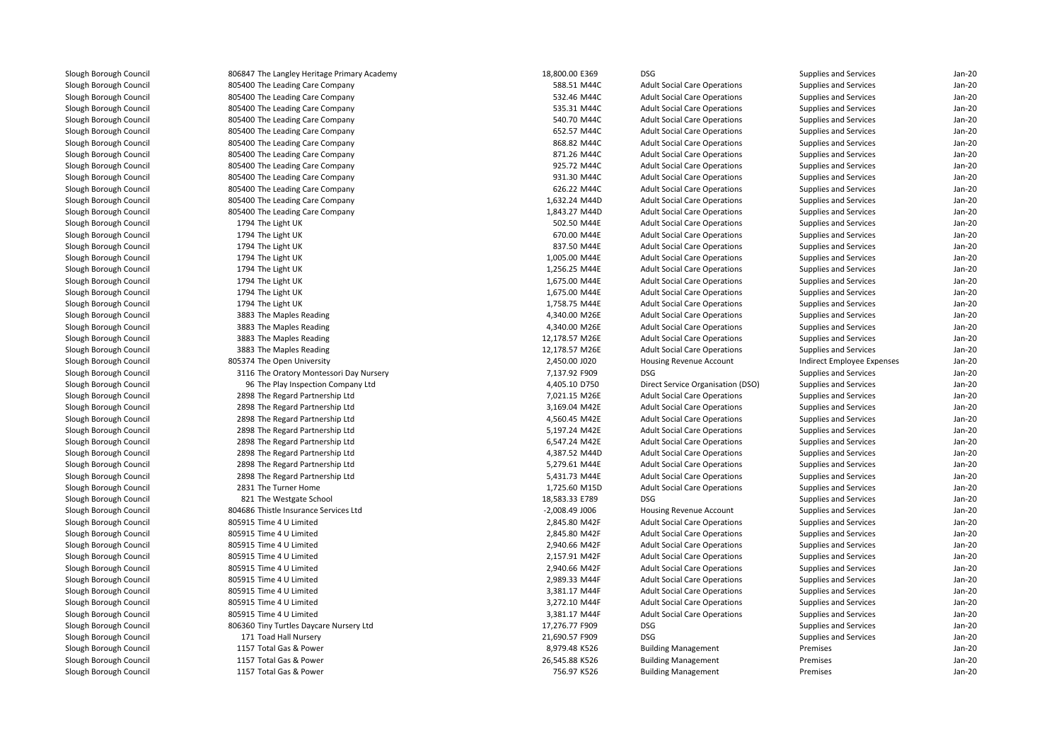| 806847 The Langley Heritage Primary Academy | 18,800.00 E369   | DSG                                 | Supplies and Services      | $Jan-2C$ |
|---------------------------------------------|------------------|-------------------------------------|----------------------------|----------|
| 805400 The Leading Care Company             | 588.51 M44C      | <b>Adult Social Care Operations</b> | Supplies and Services      | $Jan-2C$ |
| 805400 The Leading Care Company             | 532.46 M44C      | <b>Adult Social Care Operations</b> | Supplies and Services      | $Jan-2C$ |
| 805400 The Leading Care Company             | 535.31 M44C      | <b>Adult Social Care Operations</b> | Supplies and Services      | Jan-20   |
| 805400 The Leading Care Company             | 540.70 M44C      | <b>Adult Social Care Operations</b> | Supplies and Services      | Jan-20   |
| 805400 The Leading Care Company             | 652.57 M44C      | <b>Adult Social Care Operations</b> | Supplies and Services      | Jan-20   |
| 805400 The Leading Care Company             | 868.82 M44C      | <b>Adult Social Care Operations</b> | Supplies and Services      | Jan-20   |
| 805400 The Leading Care Company             | 871.26 M44C      | <b>Adult Social Care Operations</b> | Supplies and Services      | $Jan-2C$ |
| 805400 The Leading Care Company             | 925.72 M44C      | <b>Adult Social Care Operations</b> | Supplies and Services      | $Jan-2C$ |
| 805400 The Leading Care Company             | 931.30 M44C      | <b>Adult Social Care Operations</b> | Supplies and Services      | $Jan-2C$ |
| 805400 The Leading Care Company             | 626.22 M44C      | <b>Adult Social Care Operations</b> | Supplies and Services      | $Jan-2C$ |
| 805400 The Leading Care Company             | 1,632.24 M44D    | <b>Adult Social Care Operations</b> | Supplies and Services      | $Jan-2C$ |
| 805400 The Leading Care Company             | 1,843.27 M44D    | <b>Adult Social Care Operations</b> | Supplies and Services      | Jan-20   |
| 1794 The Light UK                           | 502.50 M44E      | <b>Adult Social Care Operations</b> | Supplies and Services      | Jan-20   |
| 1794 The Light UK                           | 670.00 M44E      | <b>Adult Social Care Operations</b> | Supplies and Services      | Jan-20   |
| 1794 The Light UK                           | 837.50 M44E      | <b>Adult Social Care Operations</b> | Supplies and Services      | Jan-20   |
| 1794 The Light UK                           | 1,005.00 M44E    | <b>Adult Social Care Operations</b> | Supplies and Services      | $Jan-2C$ |
| 1794 The Light UK                           | 1,256.25 M44E    | <b>Adult Social Care Operations</b> | Supplies and Services      | $Jan-2C$ |
| 1794 The Light UK                           | 1,675.00 M44E    | <b>Adult Social Care Operations</b> | Supplies and Services      | $Jan-2C$ |
| 1794 The Light UK                           | 1,675.00 M44E    | <b>Adult Social Care Operations</b> | Supplies and Services      | $Jan-2C$ |
| 1794 The Light UK                           | 1,758.75 M44E    | <b>Adult Social Care Operations</b> | Supplies and Services      | $Jan-2C$ |
| 3883 The Maples Reading                     | 4,340.00 M26E    | <b>Adult Social Care Operations</b> | Supplies and Services      | Jan-20   |
| 3883 The Maples Reading                     | 4,340.00 M26E    | <b>Adult Social Care Operations</b> | Supplies and Services      | Jan-20   |
| 3883 The Maples Reading                     | 12,178.57 M26E   | <b>Adult Social Care Operations</b> | Supplies and Services      | Jan-20   |
| 3883 The Maples Reading                     | 12,178.57 M26E   | <b>Adult Social Care Operations</b> | Supplies and Services      | Jan-20   |
| 805374 The Open University                  | 2,450.00 J020    | Housing Revenue Account             | Indirect Employee Expenses | $Jan-2C$ |
| 3116 The Oratory Montessori Day Nursery     | 7,137.92 F909    | <b>DSG</b>                          | Supplies and Services      | $Jan-2C$ |
| 96 The Play Inspection Company Ltd          | 4,405.10 D750    | Direct Service Organisation (DSO)   | Supplies and Services      | $Jan-2C$ |
| 2898 The Regard Partnership Ltd             | 7,021.15 M26E    | <b>Adult Social Care Operations</b> | Supplies and Services      | $Jan-2C$ |
| 2898 The Regard Partnership Ltd             | 3,169.04 M42E    | <b>Adult Social Care Operations</b> | Supplies and Services      | $Jan-2C$ |
| 2898 The Regard Partnership Ltd             | 4,560.45 M42E    | <b>Adult Social Care Operations</b> | Supplies and Services      | Jan-20   |
| 2898 The Regard Partnership Ltd             | 5,197.24 M42E    | <b>Adult Social Care Operations</b> | Supplies and Services      | Jan-20   |
| 2898 The Regard Partnership Ltd             | 6,547.24 M42E    | <b>Adult Social Care Operations</b> | Supplies and Services      | Jan-20   |
| 2898 The Regard Partnership Ltd             | 4,387.52 M44D    | <b>Adult Social Care Operations</b> | Supplies and Services      | Jan-20   |
| 2898 The Regard Partnership Ltd             | 5,279.61 M44E    | <b>Adult Social Care Operations</b> | Supplies and Services      | Jan-20   |
| 2898 The Regard Partnership Ltd             | 5,431.73 M44E    | <b>Adult Social Care Operations</b> | Supplies and Services      | $Jan-2C$ |
| 2831 The Turner Home                        | 1,725.60 M15D    | <b>Adult Social Care Operations</b> | Supplies and Services      | $Jan-2C$ |
| 821 The Westgate School                     | 18,583.33 E789   | <b>DSG</b>                          | Supplies and Services      | $Jan-2C$ |
| 804686 Thistle Insurance Services Ltd       | $-2,008.49$ J006 | Housing Revenue Account             | Supplies and Services      | $Jan-2C$ |
| 805915 Time 4 U Limited                     | 2,845.80 M42F    | <b>Adult Social Care Operations</b> | Supplies and Services      | Jan-20   |
| 805915 Time 4 U Limited                     | 2,845.80 M42F    | <b>Adult Social Care Operations</b> | Supplies and Services      | Jan-20   |
| 805915 Time 4 U Limited                     | 2,940.66 M42F    | <b>Adult Social Care Operations</b> | Supplies and Services      | Jan-20   |
| 805915 Time 4 U Limited                     | 2,157.91 M42F    | <b>Adult Social Care Operations</b> | Supplies and Services      | Jan-20   |
| 805915 Time 4 U Limited                     | 2,940.66 M42F    | <b>Adult Social Care Operations</b> | Supplies and Services      | $Jan-2C$ |
| 805915 Time 4 U Limited                     | 2,989.33 M44F    | <b>Adult Social Care Operations</b> | Supplies and Services      | $Jan-2C$ |
| 805915 Time 4 U Limited                     | 3,381.17 M44F    | <b>Adult Social Care Operations</b> | Supplies and Services      | $Jan-2C$ |
| 805915 Time 4 U Limited                     | 3,272.10 M44F    | <b>Adult Social Care Operations</b> | Supplies and Services      | $Jan-2C$ |
| 805915 Time 4 U Limited                     | 3,381.17 M44F    | <b>Adult Social Care Operations</b> | Supplies and Services      | $Jan-2C$ |
| 806360 Tiny Turtles Daycare Nursery Ltd     | 17,276.77 F909   | <b>DSG</b>                          | Supplies and Services      | Jan-20   |
| 171 Toad Hall Nursery                       | 21,690.57 F909   | <b>DSG</b>                          | Supplies and Services      | Jan-20   |
| 1157 Total Gas & Power                      | 8,979.48 K526    | <b>Building Management</b>          | Premises                   | $Jan-2C$ |
| 1157 Total Gas & Power                      | 26,545.88 K526   | <b>Building Management</b>          | Premises                   | Jan-20   |
| 1157 Total Gas & Power                      | 756.97 K526      | <b>Building Management</b>          | Premises                   | $Jan-2C$ |
|                                             |                  |                                     |                            |          |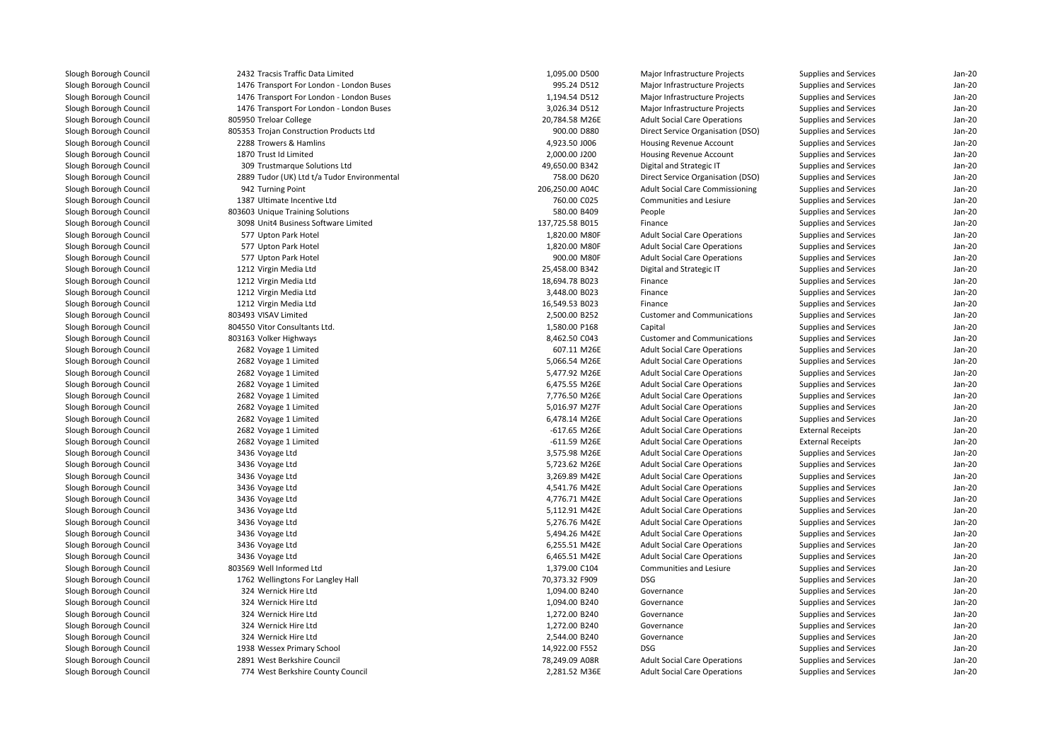| 2432 Tracsis Traffic Data Limited           | 1,095.00 D500   | Major Infrastructure Projects          | Supplies and Services    | $Jan-2C$ |
|---------------------------------------------|-----------------|----------------------------------------|--------------------------|----------|
| 1476 Transport For London - London Buses    | 995.24 D512     | Major Infrastructure Projects          | Supplies and Services    | Jan-20   |
| 1476 Transport For London - London Buses    | 1,194.54 D512   | Major Infrastructure Projects          | Supplies and Services    | $Jan-2C$ |
| 1476 Transport For London - London Buses    | 3,026.34 D512   | Major Infrastructure Projects          | Supplies and Services    | $Jan-2C$ |
| 805950 Treloar College                      | 20,784.58 M26E  | <b>Adult Social Care Operations</b>    | Supplies and Services    | $Jan-2C$ |
| 805353 Trojan Construction Products Ltd     | 900.00 D880     | Direct Service Organisation (DSO)      | Supplies and Services    | Jan-20   |
| 2288 Trowers & Hamlins                      | 4,923.50 J006   | Housing Revenue Account                | Supplies and Services    | Jan-20   |
| 1870 Trust Id Limited                       | 2,000.00 J200   | Housing Revenue Account                | Supplies and Services    | Jan-20   |
| 309 Trustmarque Solutions Ltd               | 49,650.00 B342  | Digital and Strategic IT               | Supplies and Services    | $Jan-2C$ |
| 2889 Tudor (UK) Ltd t/a Tudor Environmental | 758.00 D620     | Direct Service Organisation (DSO)      | Supplies and Services    | Jan-20   |
| 942 Turning Point                           | 206,250.00 A04C | <b>Adult Social Care Commissioning</b> | Supplies and Services    | $Jan-2C$ |
| 1387 Ultimate Incentive Ltd                 | 760.00 C025     | <b>Communities and Lesiure</b>         | Supplies and Services    | Jan-20   |
| 803603 Unique Training Solutions            | 580.00 B409     | People                                 | Supplies and Services    | Jan-20   |
| 3098 Unit4 Business Software Limited        | 137,725.58 B015 | Finance                                | Supplies and Services    | Jan-20   |
| 577 Upton Park Hotel                        | 1,820.00 M80F   | <b>Adult Social Care Operations</b>    | Supplies and Services    | Jan-20   |
| 577 Upton Park Hotel                        | 1,820.00 M80F   | <b>Adult Social Care Operations</b>    | Supplies and Services    | $Jan-2C$ |
| 577 Upton Park Hotel                        | 900.00 M80F     | <b>Adult Social Care Operations</b>    | Supplies and Services    | $Jan-2C$ |
| 1212 Virgin Media Ltd                       | 25,458.00 B342  | Digital and Strategic IT               | Supplies and Services    | Jan-20   |
| 1212 Virgin Media Ltd                       | 18,694.78 B023  | Finance                                | Supplies and Services    | Jan-20   |
| 1212 Virgin Media Ltd                       | 3,448.00 B023   | Finance                                | Supplies and Services    | Jan-20   |
| 1212 Virgin Media Ltd                       | 16,549.53 B023  | Finance                                | Supplies and Services    | Jan-20   |
| 803493 VISAV Limited                        | 2,500.00 B252   | <b>Customer and Communications</b>     | Supplies and Services    | $Jan-2C$ |
| 804550 Vitor Consultants Ltd.               | 1,580.00 P168   | Capital                                | Supplies and Services    | $Jan-2C$ |
| 803163 Volker Highways                      | 8,462.50 C043   | <b>Customer and Communications</b>     | Supplies and Services    | Jan-20   |
| 2682 Voyage 1 Limited                       | 607.11 M26E     | <b>Adult Social Care Operations</b>    | Supplies and Services    | Jan-20   |
| 2682 Voyage 1 Limited                       | 5,066.54 M26E   | <b>Adult Social Care Operations</b>    | Supplies and Services    | Jan-20   |
| 2682 Voyage 1 Limited                       | 5,477.92 M26E   | <b>Adult Social Care Operations</b>    | Supplies and Services    | Jan-20   |
| 2682 Voyage 1 Limited                       | 6,475.55 M26E   | <b>Adult Social Care Operations</b>    | Supplies and Services    | $Jan-2C$ |
| 2682 Voyage 1 Limited                       | 7,776.50 M26E   | <b>Adult Social Care Operations</b>    | Supplies and Services    | $Jan-2C$ |
| 2682 Voyage 1 Limited                       | 5,016.97 M27F   | <b>Adult Social Care Operations</b>    | Supplies and Services    | Jan-20   |
| 2682 Voyage 1 Limited                       | 6,478.14 M26E   | <b>Adult Social Care Operations</b>    | Supplies and Services    | Jan-20   |
| 2682 Voyage 1 Limited                       | -617.65 M26E    | <b>Adult Social Care Operations</b>    | <b>External Receipts</b> | Jan-20   |
| 2682 Voyage 1 Limited                       | $-611.59$ M26E  | <b>Adult Social Care Operations</b>    | <b>External Receipts</b> | $Jan-2C$ |
| 3436 Voyage Ltd                             | 3,575.98 M26E   | <b>Adult Social Care Operations</b>    | Supplies and Services    | $Jan-2C$ |
| 3436 Voyage Ltd                             | 5,723.62 M26E   | <b>Adult Social Care Operations</b>    | Supplies and Services    | $Jan-2C$ |
| 3436 Voyage Ltd                             | 3,269.89 M42E   | <b>Adult Social Care Operations</b>    | Supplies and Services    | Jan-20   |
| 3436 Voyage Ltd                             | 4,541.76 M42E   | <b>Adult Social Care Operations</b>    | Supplies and Services    | Jan-20   |
| 3436 Voyage Ltd                             | 4,776.71 M42E   | <b>Adult Social Care Operations</b>    | Supplies and Services    | Jan-20   |
| 3436 Voyage Ltd                             | 5,112.91 M42E   | <b>Adult Social Care Operations</b>    | Supplies and Services    | Jan-20   |
| 3436 Voyage Ltd                             | 5,276.76 M42E   | <b>Adult Social Care Operations</b>    | Supplies and Services    | $Jan-2C$ |
| 3436 Voyage Ltd                             | 5,494.26 M42E   | <b>Adult Social Care Operations</b>    | Supplies and Services    | $Jan-2C$ |
| 3436 Voyage Ltd                             | 6,255.51 M42E   | <b>Adult Social Care Operations</b>    | Supplies and Services    | $Jan-2C$ |
| 3436 Voyage Ltd                             | 6,465.51 M42E   | <b>Adult Social Care Operations</b>    | Supplies and Services    | Jan-20   |
| 803569 Well Informed Ltd                    | 1,379.00 C104   | Communities and Lesiure                | Supplies and Services    | Jan-20   |
| 1762 Wellingtons For Langley Hall           | 70,373.32 F909  | <b>DSG</b>                             | Supplies and Services    | $Jan-2C$ |
| 324 Wernick Hire Ltd                        | 1,094.00 B240   | Governance                             | Supplies and Services    | $Jan-2C$ |
| 324 Wernick Hire Ltd                        | 1,094.00 B240   | Governance                             | Supplies and Services    | Jan-20   |
| 324 Wernick Hire Ltd                        | 1,272.00 B240   | Governance                             | Supplies and Services    | $Jan-2C$ |
| 324 Wernick Hire Ltd                        | 1,272.00 B240   | Governance                             | Supplies and Services    | Jan-20   |
| 324 Wernick Hire Ltd                        | 2,544.00 B240   | Governance                             | Supplies and Services    | Jan-20   |
| 1938 Wessex Primary School                  | 14,922.00 F552  | <b>DSG</b>                             | Supplies and Services    | $Jan-2C$ |
| 2891 West Berkshire Council                 | 78,249.09 A08R  | <b>Adult Social Care Operations</b>    | Supplies and Services    | Jan-20   |
| 774 West Berkshire County Council           | 2,281.52 M36E   | <b>Adult Social Care Operations</b>    | Supplies and Services    | $Jan-2C$ |
|                                             |                 |                                        |                          |          |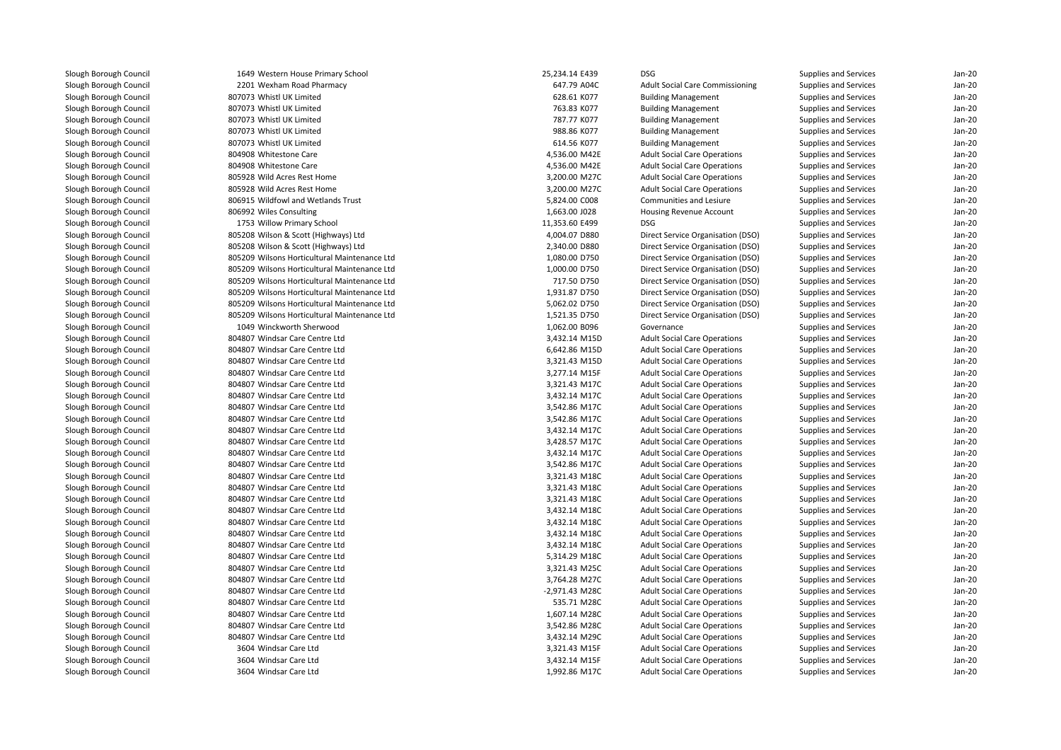1649 Western House Primary School 25,234.14 E439 DSG 2201 Wexham Road Pharmacy 647.79 A04C 807073 Whistl UK Limited 807073 Whistl UK Limited 807073 Whistl UK Limited 807073 Whistl UK Limited 807073 Whistl UK Limited804908 Whitestone Care 804908 Whitestone Care 805928 Wild Acres Rest Home 3,200.00 M27C 3,200.00 M27C 805928 Wild Acres Rest Home 3,200.00 M27C 3,200.00 M27C 806915 Wildfowl and Wetlands Trust 806992 Wiles Consulting 1753 Willow Primary School 11,353.60 E499 DSG 805208 Wilson & Scott (Highways) Ltd 805208 Wilson & Scott (Highways) Ltd 805209 Wilsons Horticultural Maintenance Ltd 805209 Wilsons Horticultural Maintenance Ltd 805209 Wilsons Horticultural Maintenance Ltd 805209 Wilsons Horticultural Maintenance Ltd 805209 Wilsons Horticultural Maintenance Ltd 805209 Wilsons Horticultural Maintenance Ltd 1049 Winckworth Sherwood 804807 Windsar Care Centre Ltd 804807 Windsar Care Centre Ltd 804807 Windsar Care Centre Ltd 804807 Windsar Care Centre Ltd 804807 Windsar Care Centre Ltd 804807 Windsar Care Centre Ltd 804807 Windsar Care Centre Ltd 804807 Windsar Care Centre Ltd 804807 Windsar Care Centre Ltd 804807 Windsar Care Centre Ltd 804807 Windsar Care Centre Ltd 804807 Windsar Care Centre Ltd 804807 Windsar Care Centre Ltd 804807 Windsar Care Centre Ltd 804807 Windsar Care Centre Ltd 804807 Windsar Care Centre Ltd 804807 Windsar Care Centre Ltd 804807 Windsar Care Centre Ltd 804807 Windsar Care Centre Ltd 804807 Windsar Care Centre Ltd 804807 Windsar Care Centre Ltd 804807 Windsar Care Centre Ltd 804807 Windsar Care Centre Ltd 804807 Windsar Care Centre Ltd 804807 Windsar Care Centre Ltd 804807 Windsar Care Centre Ltd 804807 Windsar Care Centre Ltd 3604 Windsar Care Ltd 3604 Windsar Care Ltd3604 Windsar Care Ltd

| 9 Western House Primary School          | 25,234.14 E439                 | <b>DSG</b>                             | Supplies and Services                          | $Jan-20$ |
|-----------------------------------------|--------------------------------|----------------------------------------|------------------------------------------------|----------|
| 1 Wexham Road Pharmacy                  | 647.79 A04C                    | <b>Adult Social Care Commissioning</b> | Supplies and Services                          | Jan-20   |
| 3 Whistl UK Limited                     | 628.61 K077                    | <b>Building Management</b>             | Supplies and Services                          | $Jan-20$ |
| 3 Whistl UK Limited                     | 763.83 K077                    | <b>Building Management</b>             | Supplies and Services                          | $Jan-20$ |
| 3 Whistl UK Limited                     | 787.77 K077                    | <b>Building Management</b>             | Supplies and Services                          | $Jan-20$ |
| 3 Whistl UK Limited                     | 988.86 K077                    | <b>Building Management</b>             | Supplies and Services                          | Jan-20   |
| 3 Whistl UK Limited                     | 614.56 K077                    | <b>Building Management</b>             | Supplies and Services                          | Jan-20   |
| 8 Whitestone Care                       | 4,536.00 M42E                  | <b>Adult Social Care Operations</b>    | Supplies and Services                          | Jan-20   |
| 8 Whitestone Care                       | 4,536.00 M42E                  | <b>Adult Social Care Operations</b>    | Supplies and Services                          | $Jan-20$ |
| 8 Wild Acres Rest Home                  | 3,200.00 M27C                  | <b>Adult Social Care Operations</b>    | Supplies and Services                          | $Jan-20$ |
| 8 Wild Acres Rest Home                  | 3,200.00 M27C                  | <b>Adult Social Care Operations</b>    | Supplies and Services                          | $Jan-20$ |
| 5 Wildfowl and Wetlands Trust           | 5,824.00 C008                  | Communities and Lesiure                | Supplies and Services                          | $Jan-20$ |
| 2 Wiles Consulting                      | 1,663.00 J028                  | <b>Housing Revenue Account</b>         | Supplies and Services                          | Jan-20   |
| 3 Willow Primary School                 | 11,353.60 E499                 | <b>DSG</b>                             | Supplies and Services                          | Jan-20   |
| 8 Wilson & Scott (Highways) Ltd         | 4,004.07 D880                  | Direct Service Organisation (DSO)      | Supplies and Services                          | Jan-20   |
| 8 Wilson & Scott (Highways) Ltd         | 2,340.00 D880                  | Direct Service Organisation (DSO)      | Supplies and Services                          | Jan-20   |
| 9 Wilsons Horticultural Maintenance Ltd | 1,080.00 D750                  | Direct Service Organisation (DSO)      | Supplies and Services                          | $Jan-20$ |
| 9 Wilsons Horticultural Maintenance Ltd | 1,000.00 D750                  | Direct Service Organisation (DSO)      | Supplies and Services                          | $Jan-20$ |
| 9 Wilsons Horticultural Maintenance Ltd | 717.50 D750                    | Direct Service Organisation (DSO)      | Supplies and Services                          | Jan-20   |
| 9 Wilsons Horticultural Maintenance Ltd | 1,931.87 D750                  | Direct Service Organisation (DSO)      | Supplies and Services                          | Jan-20   |
| 9 Wilsons Horticultural Maintenance Ltd | 5,062.02 D750                  | Direct Service Organisation (DSO)      | Supplies and Services                          | Jan-20   |
| 9 Wilsons Horticultural Maintenance Ltd | 1,521.35 D750                  | Direct Service Organisation (DSO)      | Supplies and Services                          | Jan-20   |
| 9 Winckworth Sherwood                   | 1,062.00 B096                  | Governance                             | Supplies and Services                          | $Jan-20$ |
| 7 Windsar Care Centre Ltd               | 3,432.14 M15D                  | <b>Adult Social Care Operations</b>    | Supplies and Services                          | Jan-20   |
| 7 Windsar Care Centre Ltd               | 6,642.86 M15D                  | <b>Adult Social Care Operations</b>    | Supplies and Services                          | Jan-20   |
| 7 Windsar Care Centre Ltd               | 3,321.43 M15D                  | <b>Adult Social Care Operations</b>    | Supplies and Services                          | Jan-20   |
| 7 Windsar Care Centre Ltd               | 3,277.14 M15F                  | <b>Adult Social Care Operations</b>    | Supplies and Services                          | $Jan-20$ |
| 7 Windsar Care Centre Ltd               | 3,321.43 M17C                  | <b>Adult Social Care Operations</b>    | Supplies and Services                          | $Jan-20$ |
| 7 Windsar Care Centre Ltd               | 3,432.14 M17C                  | <b>Adult Social Care Operations</b>    | Supplies and Services                          | Jan-20   |
| 7 Windsar Care Centre Ltd               | 3,542.86 M17C                  | <b>Adult Social Care Operations</b>    | Supplies and Services                          | Jan-20   |
| 7 Windsar Care Centre Ltd               | 3,542.86 M17C                  | <b>Adult Social Care Operations</b>    | Supplies and Services                          | $Jan-20$ |
| 7 Windsar Care Centre Ltd               | 3,432.14 M17C                  | <b>Adult Social Care Operations</b>    | Supplies and Services                          | $Jan-20$ |
| 7 Windsar Care Centre Ltd               | 3,428.57 M17C                  | <b>Adult Social Care Operations</b>    | Supplies and Services                          | $Jan-20$ |
| 7 Windsar Care Centre Ltd               | 3,432.14 M17C                  | <b>Adult Social Care Operations</b>    | Supplies and Services                          | Jan-20   |
| 7 Windsar Care Centre Ltd               | 3,542.86 M17C                  | <b>Adult Social Care Operations</b>    | Supplies and Services                          | Jan-20   |
| 7 Windsar Care Centre Ltd               | 3,321.43 M18C                  | <b>Adult Social Care Operations</b>    | Supplies and Services                          | $Jan-20$ |
| 7 Windsar Care Centre Ltd               | 3,321.43 M18C                  | <b>Adult Social Care Operations</b>    | Supplies and Services                          | $Jan-20$ |
| 7 Windsar Care Centre Ltd               | 3,321.43 M18C                  | <b>Adult Social Care Operations</b>    | Supplies and Services                          | Jan-20   |
| 7 Windsar Care Centre Ltd               | 3,432.14 M18C                  | <b>Adult Social Care Operations</b>    | Supplies and Services                          | $Jan-20$ |
| 7 Windsar Care Centre Ltd               | 3,432.14 M18C                  | <b>Adult Social Care Operations</b>    | Supplies and Services                          | Jan-20   |
| 7 Windsar Care Centre Ltd               | 3,432.14 M18C                  | <b>Adult Social Care Operations</b>    | Supplies and Services                          | $Jan-20$ |
| 7 Windsar Care Centre Ltd               | 3,432.14 M18C                  | <b>Adult Social Care Operations</b>    | Supplies and Services                          | $Jan-20$ |
| 7 Windsar Care Centre Ltd               | 5,314.29 M18C                  | <b>Adult Social Care Operations</b>    | Supplies and Services                          | Jan-20   |
| 7 Windsar Care Centre Ltd               | 3,321.43 M25C                  | <b>Adult Social Care Operations</b>    | Supplies and Services                          | $Jan-20$ |
| 7 Windsar Care Centre Ltd               | 3,764.28 M27C                  | <b>Adult Social Care Operations</b>    | Supplies and Services                          | $Jan-20$ |
| 7 Windsar Care Centre Ltd               | -2,971.43 M28C                 | <b>Adult Social Care Operations</b>    | Supplies and Services                          | Jan-20   |
| 7 Windsar Care Centre Ltd               | 535.71 M28C                    | <b>Adult Social Care Operations</b>    | Supplies and Services                          | Jan-20   |
| 7 Windsar Care Centre Ltd               | 1,607.14 M28C                  | <b>Adult Social Care Operations</b>    | Supplies and Services                          | Jan-20   |
| 7 Windsar Care Centre Ltd               | 3,542.86 M28C                  | <b>Adult Social Care Operations</b>    |                                                | Jan-20   |
| 7 Windsar Care Centre Ltd               |                                | <b>Adult Social Care Operations</b>    | Supplies and Services                          | $Jan-20$ |
| 4 Windsar Care Ltd                      | 3,432.14 M29C<br>3,321.43 M15F | <b>Adult Social Care Operations</b>    | Supplies and Services<br>Supplies and Services | Jan-20   |
| 4 Windsar Care Ltd                      | 3,432.14 M15F                  | <b>Adult Social Care Operations</b>    | <b>Supplies and Services</b>                   | Jan-20   |
| 4 Windsar Care Ltd                      |                                |                                        |                                                | $Jan-20$ |
|                                         | 1,992.86 M17C                  | <b>Adult Social Care Operations</b>    | Supplies and Services                          |          |